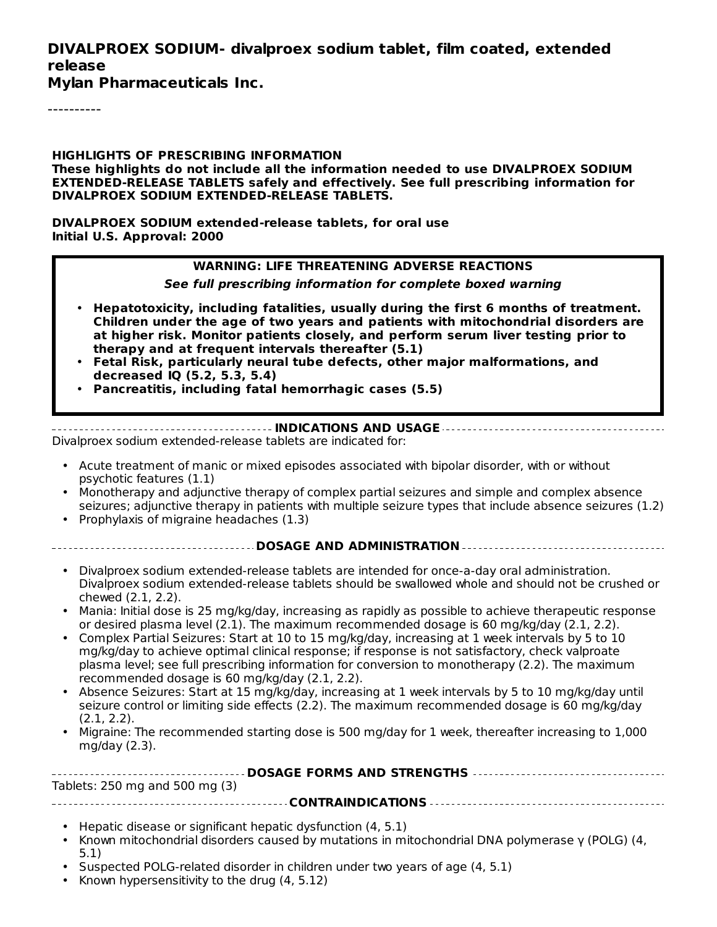#### **DIVALPROEX SODIUM- divalproex sodium tablet, film coated, extended release**

**Mylan Pharmaceuticals Inc.**

----------

**HIGHLIGHTS OF PRESCRIBING INFORMATION These highlights do not include all the information needed to use DIVALPROEX SODIUM EXTENDED-RELEASE TABLETS safely and effectively. See full prescribing information for DIVALPROEX SODIUM EXTENDED-RELEASE TABLETS.**

**DIVALPROEX SODIUM extended-release tablets, for oral use Initial U.S. Approval: 2000**

#### **WARNING: LIFE THREATENING ADVERSE REACTIONS**

**See full prescribing information for complete boxed warning**

- **Hepatotoxicity, including fatalities, usually during the first 6 months of treatment. Children under the age of two years and patients with mitochondrial disorders are at higher risk. Monitor patients closely, and perform serum liver testing prior to therapy and at frequent intervals thereafter (5.1)**
- **Fetal Risk, particularly neural tube defects, other major malformations, and decreased IQ (5.2, 5.3, 5.4)**
- **Pancreatitis, including fatal hemorrhagic cases (5.5)**

**INDICATIONS AND USAGE**

Divalproex sodium extended-release tablets are indicated for:

- Acute treatment of manic or mixed episodes associated with bipolar disorder, with or without psychotic features (1.1)
- Monotherapy and adjunctive therapy of complex partial seizures and simple and complex absence seizures; adjunctive therapy in patients with multiple seizure types that include absence seizures (1.2)
- Prophylaxis of migraine headaches (1.3)
	- **DOSAGE AND ADMINISTRATION**
- Divalproex sodium extended-release tablets are intended for once-a-day oral administration. Divalproex sodium extended-release tablets should be swallowed whole and should not be crushed or chewed (2.1, 2.2).
- Mania: Initial dose is 25 mg/kg/day, increasing as rapidly as possible to achieve therapeutic response or desired plasma level (2.1). The maximum recommended dosage is 60 mg/kg/day (2.1, 2.2).
- Complex Partial Seizures: Start at 10 to 15 mg/kg/day, increasing at 1 week intervals by 5 to 10 mg/kg/day to achieve optimal clinical response; if response is not satisfactory, check valproate plasma level; see full prescribing information for conversion to monotherapy (2.2). The maximum recommended dosage is 60 mg/kg/day (2.1, 2.2).
- Absence Seizures: Start at 15 mg/kg/day, increasing at 1 week intervals by 5 to 10 mg/kg/day until seizure control or limiting side effects (2.2). The maximum recommended dosage is 60 mg/kg/day (2.1, 2.2).
- Migraine: The recommended starting dose is 500 mg/day for 1 week, thereafter increasing to 1,000 mg/day (2.3).

| Tablets: 250 mg and 500 mg (3) |  |  |
|--------------------------------|--|--|
|                                |  |  |

- Hepatic disease or significant hepatic dysfunction (4, 5.1)
- Known mitochondrial disorders caused by mutations in mitochondrial DNA polymerase γ (POLG) (4, 5.1)
- Suspected POLG-related disorder in children under two years of age (4, 5.1)
- Known hypersensitivity to the drug (4, 5.12)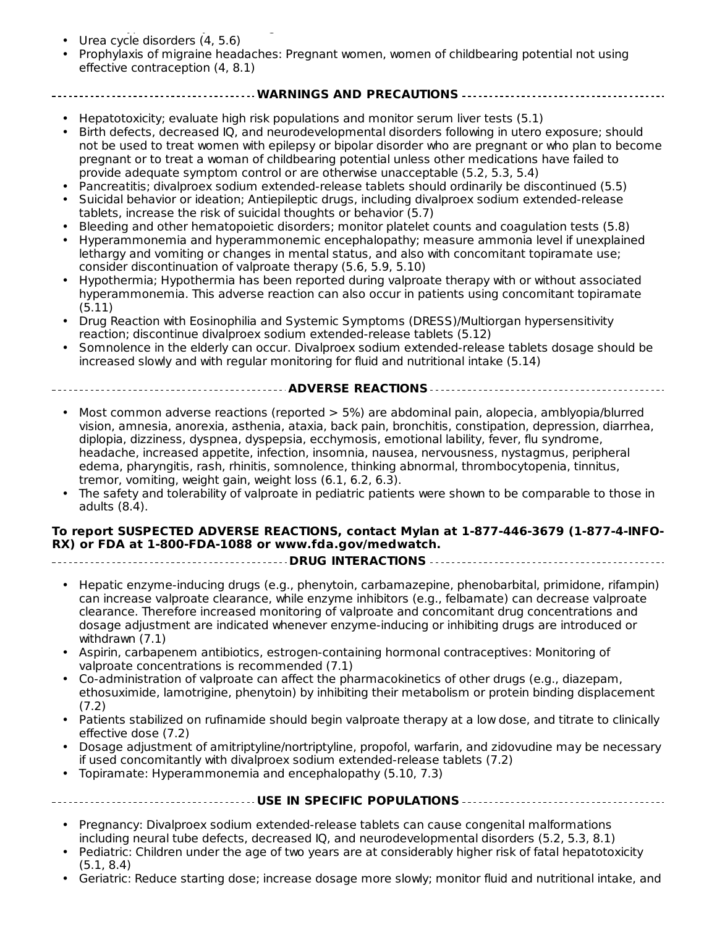- Known hypersensitivity to the drug (4, 5.12) Urea cycle disorders (4, 5.6)
- Prophylaxis of migraine headaches: Pregnant women, women of childbearing potential not using effective contraception (4, 8.1)

#### **WARNINGS AND PRECAUTIONS**

- Hepatotoxicity; evaluate high risk populations and monitor serum liver tests (5.1)
- Birth defects, decreased IQ, and neurodevelopmental disorders following in utero exposure; should not be used to treat women with epilepsy or bipolar disorder who are pregnant or who plan to become pregnant or to treat a woman of childbearing potential unless other medications have failed to provide adequate symptom control or are otherwise unacceptable (5.2, 5.3, 5.4)
- Pancreatitis; divalproex sodium extended-release tablets should ordinarily be discontinued (5.5)
- Suicidal behavior or ideation; Antiepileptic drugs, including divalproex sodium extended-release tablets, increase the risk of suicidal thoughts or behavior (5.7)
- Bleeding and other hematopoietic disorders; monitor platelet counts and coagulation tests (5.8)
- Hyperammonemia and hyperammonemic encephalopathy; measure ammonia level if unexplained lethargy and vomiting or changes in mental status, and also with concomitant topiramate use; consider discontinuation of valproate therapy (5.6, 5.9, 5.10)
- Hypothermia; Hypothermia has been reported during valproate therapy with or without associated hyperammonemia. This adverse reaction can also occur in patients using concomitant topiramate (5.11)
- Drug Reaction with Eosinophilia and Systemic Symptoms (DRESS)/Multiorgan hypersensitivity reaction; discontinue divalproex sodium extended-release tablets (5.12)
- Somnolence in the elderly can occur. Divalproex sodium extended-release tablets dosage should be increased slowly and with regular monitoring for fluid and nutritional intake (5.14)

#### **ADVERSE REACTIONS**

- Most common adverse reactions (reported > 5%) are abdominal pain, alopecia, amblyopia/blurred vision, amnesia, anorexia, asthenia, ataxia, back pain, bronchitis, constipation, depression, diarrhea, diplopia, dizziness, dyspnea, dyspepsia, ecchymosis, emotional lability, fever, flu syndrome, headache, increased appetite, infection, insomnia, nausea, nervousness, nystagmus, peripheral edema, pharyngitis, rash, rhinitis, somnolence, thinking abnormal, thrombocytopenia, tinnitus, tremor, vomiting, weight gain, weight loss (6.1, 6.2, 6.3).
- The safety and tolerability of valproate in pediatric patients were shown to be comparable to those in adults (8.4).

#### **To report SUSPECTED ADVERSE REACTIONS, contact Mylan at 1-877-446-3679 (1-877-4-INFO-RX) or FDA at 1-800-FDA-1088 or www.fda.gov/medwatch.**

#### **DRUG INTERACTIONS**

- Hepatic enzyme-inducing drugs (e.g., phenytoin, carbamazepine, phenobarbital, primidone, rifampin) can increase valproate clearance, while enzyme inhibitors (e.g., felbamate) can decrease valproate clearance. Therefore increased monitoring of valproate and concomitant drug concentrations and dosage adjustment are indicated whenever enzyme-inducing or inhibiting drugs are introduced or withdrawn (7.1)
- Aspirin, carbapenem antibiotics, estrogen-containing hormonal contraceptives: Monitoring of valproate concentrations is recommended (7.1)
- Co-administration of valproate can affect the pharmacokinetics of other drugs (e.g., diazepam, ethosuximide, lamotrigine, phenytoin) by inhibiting their metabolism or protein binding displacement (7.2)
- Patients stabilized on rufinamide should begin valproate therapy at a low dose, and titrate to clinically effective dose (7.2)
- Dosage adjustment of amitriptyline/nortriptyline, propofol, warfarin, and zidovudine may be necessary if used concomitantly with divalproex sodium extended-release tablets (7.2)
- Topiramate: Hyperammonemia and encephalopathy (5.10, 7.3)

#### **USE IN SPECIFIC POPULATIONS**

- Pregnancy: Divalproex sodium extended-release tablets can cause congenital malformations including neural tube defects, decreased IQ, and neurodevelopmental disorders (5.2, 5.3, 8.1)
- Pediatric: Children under the age of two years are at considerably higher risk of fatal hepatotoxicity (5.1, 8.4)
- Geriatric: Reduce starting dose; increase dosage more slowly; monitor fluid and nutritional intake, and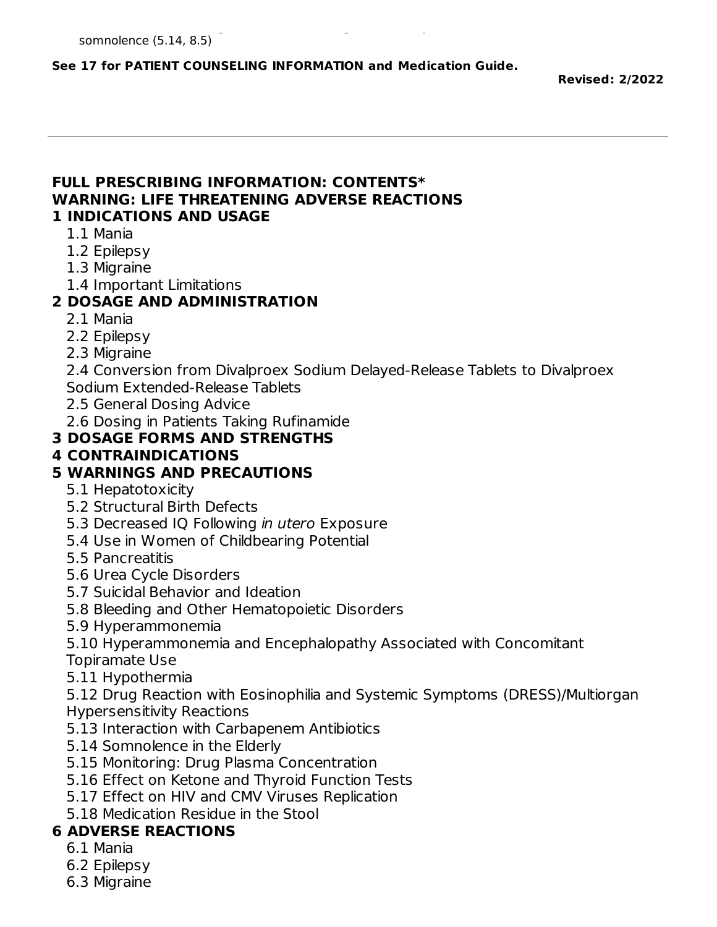#### **See 17 for PATIENT COUNSELING INFORMATION and Medication Guide.**

**Revised: 2/2022**

#### **FULL PRESCRIBING INFORMATION: CONTENTS\* WARNING: LIFE THREATENING ADVERSE REACTIONS 1 INDICATIONS AND USAGE**

- 1.1 Mania
- 1.2 Epilepsy
- 1.3 Migraine
- 1.4 Important Limitations

### **2 DOSAGE AND ADMINISTRATION**

- 2.1 Mania
- 2.2 Epilepsy
- 2.3 Migraine

2.4 Conversion from Divalproex Sodium Delayed-Release Tablets to Divalproex Sodium Extended-Release Tablets

- 2.5 General Dosing Advice
- 2.6 Dosing in Patients Taking Rufinamide

### **3 DOSAGE FORMS AND STRENGTHS**

#### **4 CONTRAINDICATIONS**

#### **5 WARNINGS AND PRECAUTIONS**

- 5.1 Hepatotoxicity
- 5.2 Structural Birth Defects
- 5.3 Decreased IQ Following *in utero* Exposure
- 5.4 Use in Women of Childbearing Potential
- 5.5 Pancreatitis
- 5.6 Urea Cycle Disorders
- 5.7 Suicidal Behavior and Ideation
- 5.8 Bleeding and Other Hematopoietic Disorders
- 5.9 Hyperammonemia

5.10 Hyperammonemia and Encephalopathy Associated with Concomitant Topiramate Use

5.11 Hypothermia

5.12 Drug Reaction with Eosinophilia and Systemic Symptoms (DRESS)/Multiorgan Hypersensitivity Reactions

- 5.13 Interaction with Carbapenem Antibiotics
- 5.14 Somnolence in the Elderly
- 5.15 Monitoring: Drug Plasma Concentration
- 5.16 Effect on Ketone and Thyroid Function Tests
- 5.17 Effect on HIV and CMV Viruses Replication
- 5.18 Medication Residue in the Stool

# **6 ADVERSE REACTIONS**

- 6.1 Mania
- 6.2 Epilepsy
- 6.3 Migraine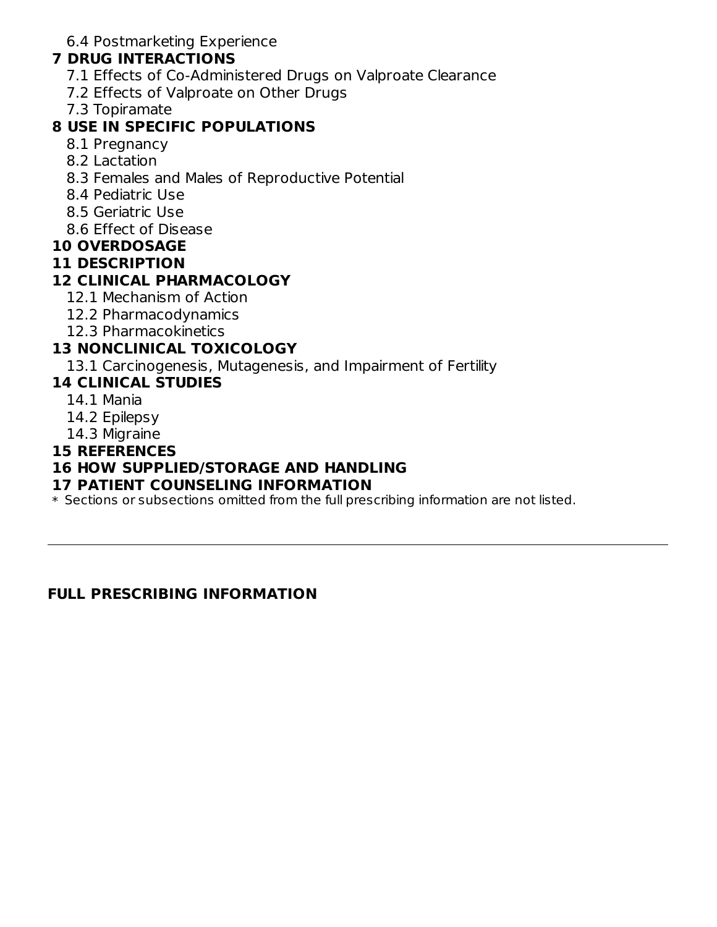6.4 Postmarketing Experience

#### **7 DRUG INTERACTIONS**

- 7.1 Effects of Co-Administered Drugs on Valproate Clearance
- 7.2 Effects of Valproate on Other Drugs
- 7.3 Topiramate

#### **8 USE IN SPECIFIC POPULATIONS**

- 8.1 Pregnancy
- 8.2 Lactation
- 8.3 Females and Males of Reproductive Potential
- 8.4 Pediatric Use
- 8.5 Geriatric Use
- 8.6 Effect of Disease

#### **10 OVERDOSAGE**

#### **11 DESCRIPTION**

### **12 CLINICAL PHARMACOLOGY**

- 12.1 Mechanism of Action
- 12.2 Pharmacodynamics
- 12.3 Pharmacokinetics

### **13 NONCLINICAL TOXICOLOGY**

13.1 Carcinogenesis, Mutagenesis, and Impairment of Fertility

#### **14 CLINICAL STUDIES**

- 14.1 Mania
- 14.2 Epilepsy
- 14.3 Migraine

#### **15 REFERENCES**

#### **16 HOW SUPPLIED/STORAGE AND HANDLING**

#### **17 PATIENT COUNSELING INFORMATION**

 $\ast$  Sections or subsections omitted from the full prescribing information are not listed.

#### **FULL PRESCRIBING INFORMATION**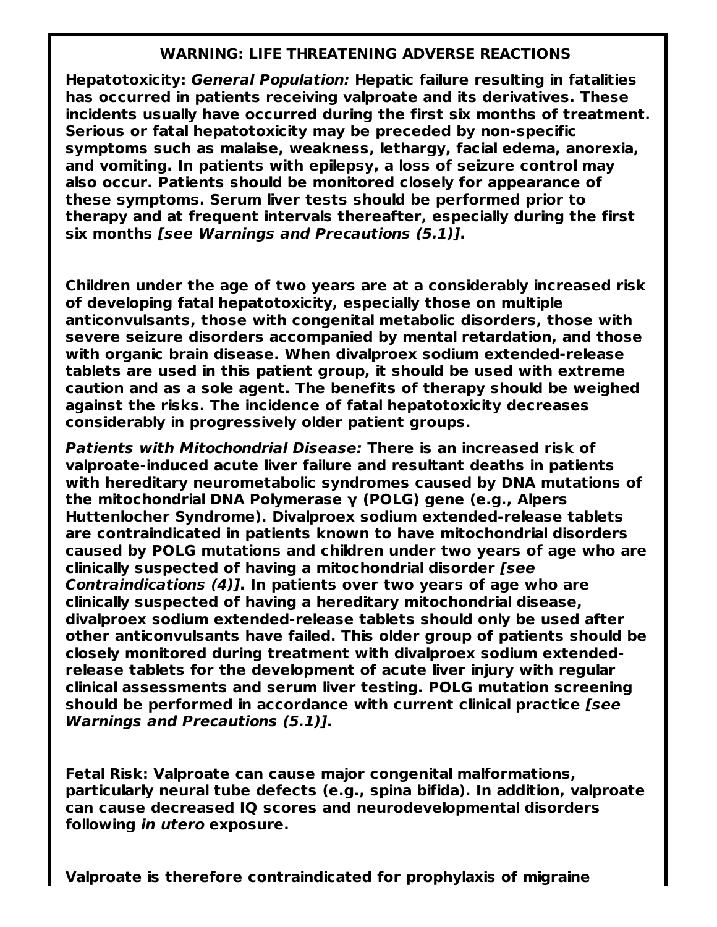#### **WARNING: LIFE THREATENING ADVERSE REACTIONS**

**Hepatotoxicity: General Population: Hepatic failure resulting in fatalities has occurred in patients receiving valproate and its derivatives. These incidents usually have occurred during the first six months of treatment. Serious or fatal hepatotoxicity may be preceded by non-specific symptoms such as malaise, weakness, lethargy, facial edema, anorexia, and vomiting. In patients with epilepsy, a loss of seizure control may also occur. Patients should be monitored closely for appearance of these symptoms. Serum liver tests should be performed prior to therapy and at frequent intervals thereafter, especially during the first six months [see Warnings and Precautions (5.1)].**

**Children under the age of two years are at a considerably increased risk of developing fatal hepatotoxicity, especially those on multiple anticonvulsants, those with congenital metabolic disorders, those with severe seizure disorders accompanied by mental retardation, and those with organic brain disease. When divalproex sodium extended-release tablets are used in this patient group, it should be used with extreme caution and as a sole agent. The benefits of therapy should be weighed against the risks. The incidence of fatal hepatotoxicity decreases considerably in progressively older patient groups.**

**Patients with Mitochondrial Disease: There is an increased risk of valproate-induced acute liver failure and resultant deaths in patients with hereditary neurometabolic syndromes caused by DNA mutations of the mitochondrial DNA Polymerase γ (POLG) gene (e.g., Alpers Huttenlocher Syndrome). Divalproex sodium extended-release tablets are contraindicated in patients known to have mitochondrial disorders caused by POLG mutations and children under two years of age who are clinically suspected of having a mitochondrial disorder [see Contraindications (4)]. In patients over two years of age who are clinically suspected of having a hereditary mitochondrial disease, divalproex sodium extended-release tablets should only be used after other anticonvulsants have failed. This older group of patients should be closely monitored during treatment with divalproex sodium extendedrelease tablets for the development of acute liver injury with regular clinical assessments and serum liver testing. POLG mutation screening should be performed in accordance with current clinical practice [see Warnings and Precautions (5.1)].**

**Fetal Risk: Valproate can cause major congenital malformations, particularly neural tube defects (e.g., spina bifida). In addition, valproate can cause decreased IQ scores and neurodevelopmental disorders following in utero exposure.**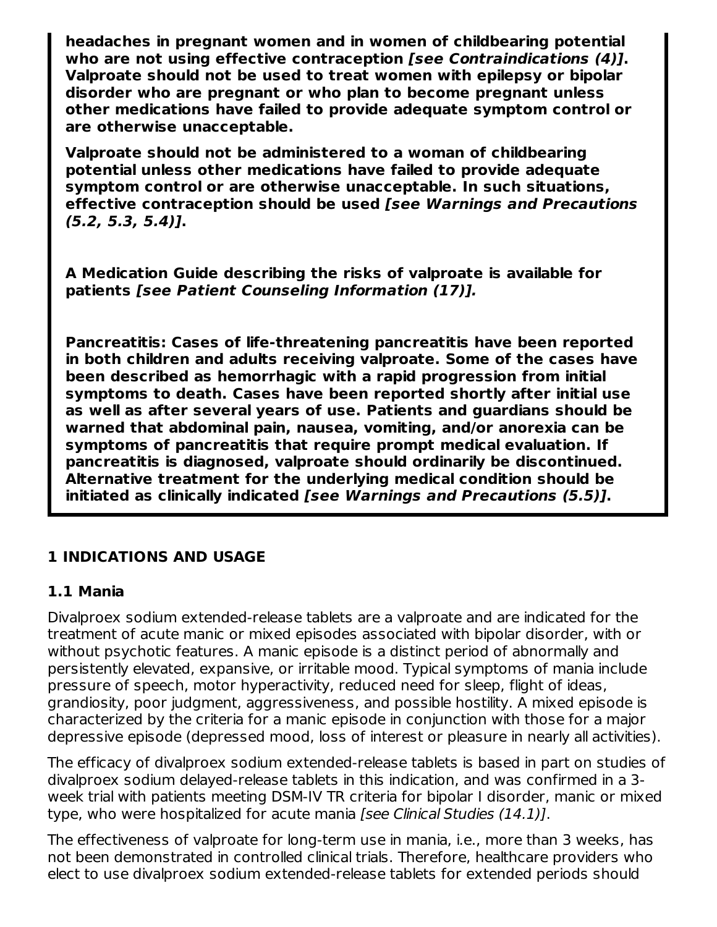**headaches in pregnant women and in women of childbearing potential who are not using effective contraception [see Contraindications (4)]. Valproate should not be used to treat women with epilepsy or bipolar disorder who are pregnant or who plan to become pregnant unless other medications have failed to provide adequate symptom control or are otherwise unacceptable.**

**Valproate should not be administered to a woman of childbearing potential unless other medications have failed to provide adequate symptom control or are otherwise unacceptable. In such situations, effective contraception should be used [see Warnings and Precautions (5.2, 5.3, 5.4)].**

**A Medication Guide describing the risks of valproate is available for patients [see Patient Counseling Information (17)].**

**Pancreatitis: Cases of life-threatening pancreatitis have been reported in both children and adults receiving valproate. Some of the cases have been described as hemorrhagic with a rapid progression from initial symptoms to death. Cases have been reported shortly after initial use as well as after several years of use. Patients and guardians should be warned that abdominal pain, nausea, vomiting, and/or anorexia can be symptoms of pancreatitis that require prompt medical evaluation. If pancreatitis is diagnosed, valproate should ordinarily be discontinued. Alternative treatment for the underlying medical condition should be initiated as clinically indicated [see Warnings and Precautions (5.5)].**

#### **1 INDICATIONS AND USAGE**

#### **1.1 Mania**

Divalproex sodium extended-release tablets are a valproate and are indicated for the treatment of acute manic or mixed episodes associated with bipolar disorder, with or without psychotic features. A manic episode is a distinct period of abnormally and persistently elevated, expansive, or irritable mood. Typical symptoms of mania include pressure of speech, motor hyperactivity, reduced need for sleep, flight of ideas, grandiosity, poor judgment, aggressiveness, and possible hostility. A mixed episode is characterized by the criteria for a manic episode in conjunction with those for a major depressive episode (depressed mood, loss of interest or pleasure in nearly all activities).

The efficacy of divalproex sodium extended-release tablets is based in part on studies of divalproex sodium delayed-release tablets in this indication, and was confirmed in a 3 week trial with patients meeting DSM-IV TR criteria for bipolar I disorder, manic or mixed type, who were hospitalized for acute mania [see Clinical Studies (14.1)].

The effectiveness of valproate for long-term use in mania, i.e., more than 3 weeks, has not been demonstrated in controlled clinical trials. Therefore, healthcare providers who elect to use divalproex sodium extended-release tablets for extended periods should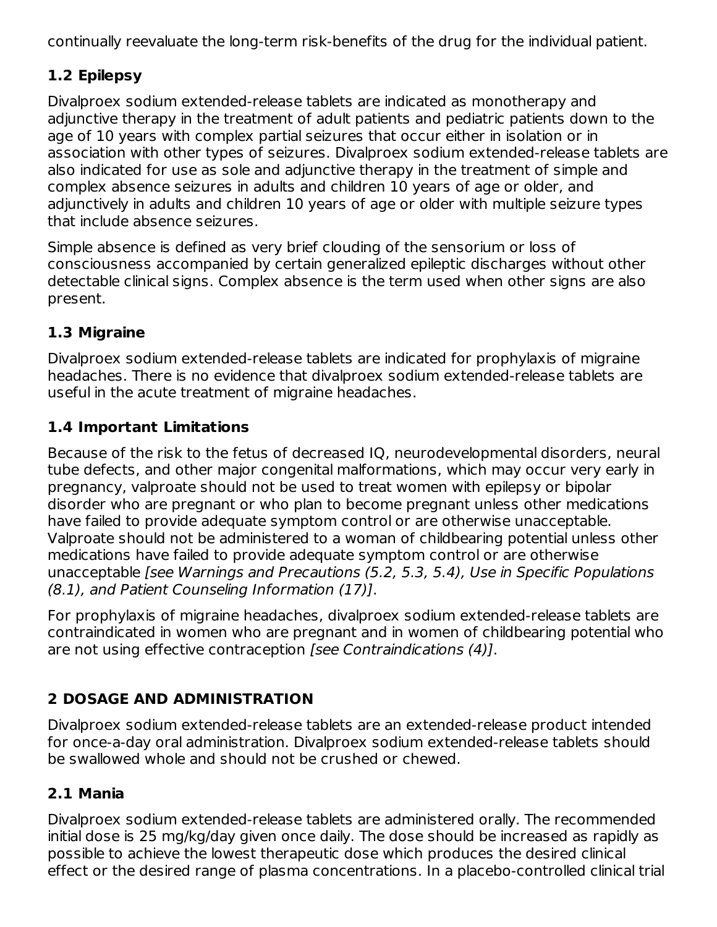continually reevaluate the long-term risk-benefits of the drug for the individual patient.

# **1.2 Epilepsy**

Divalproex sodium extended-release tablets are indicated as monotherapy and adjunctive therapy in the treatment of adult patients and pediatric patients down to the age of 10 years with complex partial seizures that occur either in isolation or in association with other types of seizures. Divalproex sodium extended-release tablets are also indicated for use as sole and adjunctive therapy in the treatment of simple and complex absence seizures in adults and children 10 years of age or older, and adjunctively in adults and children 10 years of age or older with multiple seizure types that include absence seizures.

Simple absence is defined as very brief clouding of the sensorium or loss of consciousness accompanied by certain generalized epileptic discharges without other detectable clinical signs. Complex absence is the term used when other signs are also present.

# **1.3 Migraine**

Divalproex sodium extended-release tablets are indicated for prophylaxis of migraine headaches. There is no evidence that divalproex sodium extended-release tablets are useful in the acute treatment of migraine headaches.

# **1.4 Important Limitations**

Because of the risk to the fetus of decreased IQ, neurodevelopmental disorders, neural tube defects, and other major congenital malformations, which may occur very early in pregnancy, valproate should not be used to treat women with epilepsy or bipolar disorder who are pregnant or who plan to become pregnant unless other medications have failed to provide adequate symptom control or are otherwise unacceptable. Valproate should not be administered to a woman of childbearing potential unless other medications have failed to provide adequate symptom control or are otherwise unacceptable [see Warnings and Precautions (5.2, 5.3, 5.4), Use in Specific Populations (8.1), and Patient Counseling Information (17)].

For prophylaxis of migraine headaches, divalproex sodium extended-release tablets are contraindicated in women who are pregnant and in women of childbearing potential who are not using effective contraception [see Contraindications (4)].

# **2 DOSAGE AND ADMINISTRATION**

Divalproex sodium extended-release tablets are an extended-release product intended for once-a-day oral administration. Divalproex sodium extended-release tablets should be swallowed whole and should not be crushed or chewed.

# **2.1 Mania**

Divalproex sodium extended-release tablets are administered orally. The recommended initial dose is 25 mg/kg/day given once daily. The dose should be increased as rapidly as possible to achieve the lowest therapeutic dose which produces the desired clinical effect or the desired range of plasma concentrations. In a placebo-controlled clinical trial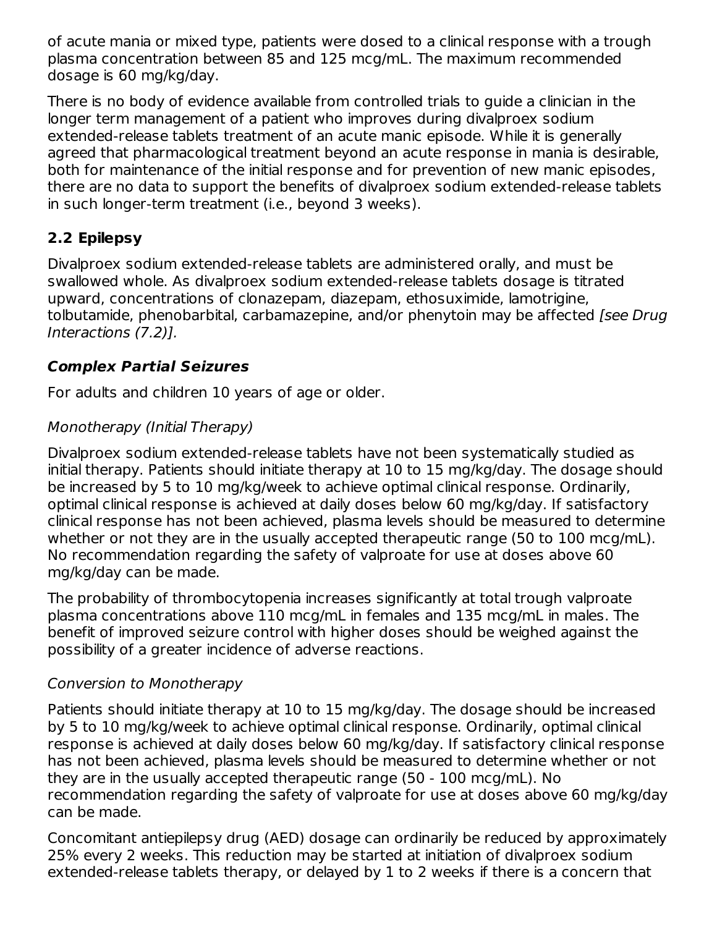of acute mania or mixed type, patients were dosed to a clinical response with a trough plasma concentration between 85 and 125 mcg/mL. The maximum recommended dosage is 60 mg/kg/day.

There is no body of evidence available from controlled trials to guide a clinician in the longer term management of a patient who improves during divalproex sodium extended-release tablets treatment of an acute manic episode. While it is generally agreed that pharmacological treatment beyond an acute response in mania is desirable, both for maintenance of the initial response and for prevention of new manic episodes, there are no data to support the benefits of divalproex sodium extended-release tablets in such longer-term treatment (i.e., beyond 3 weeks).

# **2.2 Epilepsy**

Divalproex sodium extended-release tablets are administered orally, and must be swallowed whole. As divalproex sodium extended-release tablets dosage is titrated upward, concentrations of clonazepam, diazepam, ethosuximide, lamotrigine, tolbutamide, phenobarbital, carbamazepine, and/or phenytoin may be affected [see Drug] Interactions (7.2)].

### **Complex Partial Seizures**

For adults and children 10 years of age or older.

# Monotherapy (Initial Therapy)

Divalproex sodium extended-release tablets have not been systematically studied as initial therapy. Patients should initiate therapy at 10 to 15 mg/kg/day. The dosage should be increased by 5 to 10 mg/kg/week to achieve optimal clinical response. Ordinarily, optimal clinical response is achieved at daily doses below 60 mg/kg/day. If satisfactory clinical response has not been achieved, plasma levels should be measured to determine whether or not they are in the usually accepted therapeutic range (50 to 100 mcg/mL). No recommendation regarding the safety of valproate for use at doses above 60 mg/kg/day can be made.

The probability of thrombocytopenia increases significantly at total trough valproate plasma concentrations above 110 mcg/mL in females and 135 mcg/mL in males. The benefit of improved seizure control with higher doses should be weighed against the possibility of a greater incidence of adverse reactions.

### Conversion to Monotherapy

Patients should initiate therapy at 10 to 15 mg/kg/day. The dosage should be increased by 5 to 10 mg/kg/week to achieve optimal clinical response. Ordinarily, optimal clinical response is achieved at daily doses below 60 mg/kg/day. If satisfactory clinical response has not been achieved, plasma levels should be measured to determine whether or not they are in the usually accepted therapeutic range (50 - 100 mcg/mL). No recommendation regarding the safety of valproate for use at doses above 60 mg/kg/day can be made.

Concomitant antiepilepsy drug (AED) dosage can ordinarily be reduced by approximately 25% every 2 weeks. This reduction may be started at initiation of divalproex sodium extended-release tablets therapy, or delayed by 1 to 2 weeks if there is a concern that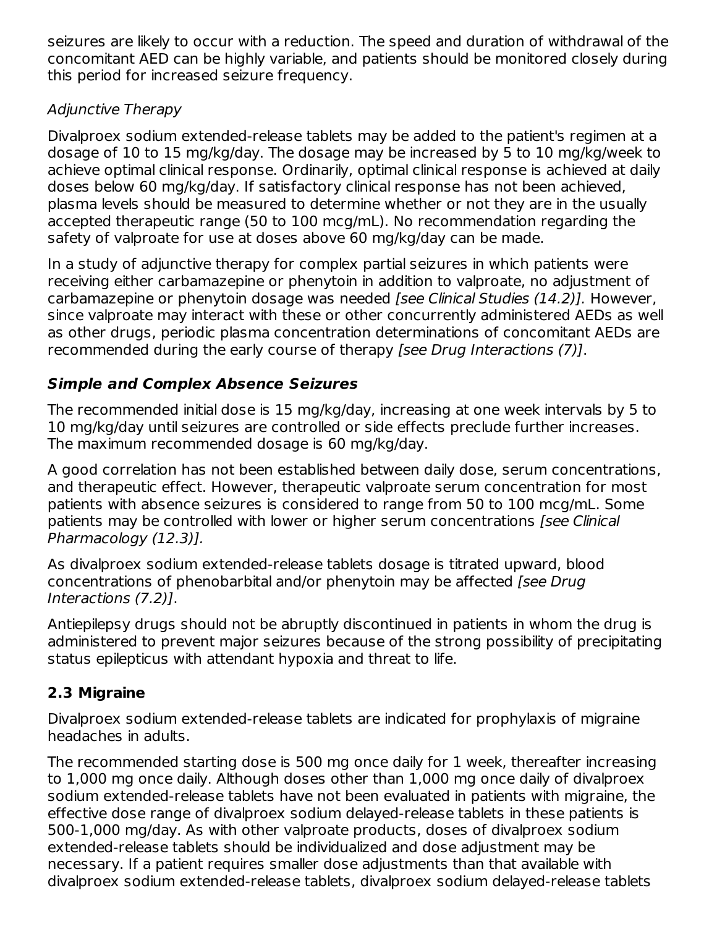seizures are likely to occur with a reduction. The speed and duration of withdrawal of the concomitant AED can be highly variable, and patients should be monitored closely during this period for increased seizure frequency.

### Adjunctive Therapy

Divalproex sodium extended-release tablets may be added to the patient's regimen at a dosage of 10 to 15 mg/kg/day. The dosage may be increased by 5 to 10 mg/kg/week to achieve optimal clinical response. Ordinarily, optimal clinical response is achieved at daily doses below 60 mg/kg/day. If satisfactory clinical response has not been achieved, plasma levels should be measured to determine whether or not they are in the usually accepted therapeutic range (50 to 100 mcg/mL). No recommendation regarding the safety of valproate for use at doses above 60 mg/kg/day can be made.

In a study of adjunctive therapy for complex partial seizures in which patients were receiving either carbamazepine or phenytoin in addition to valproate, no adjustment of carbamazepine or phenytoin dosage was needed [see Clinical Studies (14.2)]. However, since valproate may interact with these or other concurrently administered AEDs as well as other drugs, periodic plasma concentration determinations of concomitant AEDs are recommended during the early course of therapy [see Drug Interactions (7)].

# **Simple and Complex Absence Seizures**

The recommended initial dose is 15 mg/kg/day, increasing at one week intervals by 5 to 10 mg/kg/day until seizures are controlled or side effects preclude further increases. The maximum recommended dosage is 60 mg/kg/day.

A good correlation has not been established between daily dose, serum concentrations, and therapeutic effect. However, therapeutic valproate serum concentration for most patients with absence seizures is considered to range from 50 to 100 mcg/mL. Some patients may be controlled with lower or higher serum concentrations [see Clinical Pharmacology (12.3)].

As divalproex sodium extended-release tablets dosage is titrated upward, blood concentrations of phenobarbital and/or phenytoin may be affected [see Drug] Interactions (7.2)].

Antiepilepsy drugs should not be abruptly discontinued in patients in whom the drug is administered to prevent major seizures because of the strong possibility of precipitating status epilepticus with attendant hypoxia and threat to life.

# **2.3 Migraine**

Divalproex sodium extended-release tablets are indicated for prophylaxis of migraine headaches in adults.

The recommended starting dose is 500 mg once daily for 1 week, thereafter increasing to 1,000 mg once daily. Although doses other than 1,000 mg once daily of divalproex sodium extended-release tablets have not been evaluated in patients with migraine, the effective dose range of divalproex sodium delayed-release tablets in these patients is 500-1,000 mg/day. As with other valproate products, doses of divalproex sodium extended-release tablets should be individualized and dose adjustment may be necessary. If a patient requires smaller dose adjustments than that available with divalproex sodium extended-release tablets, divalproex sodium delayed-release tablets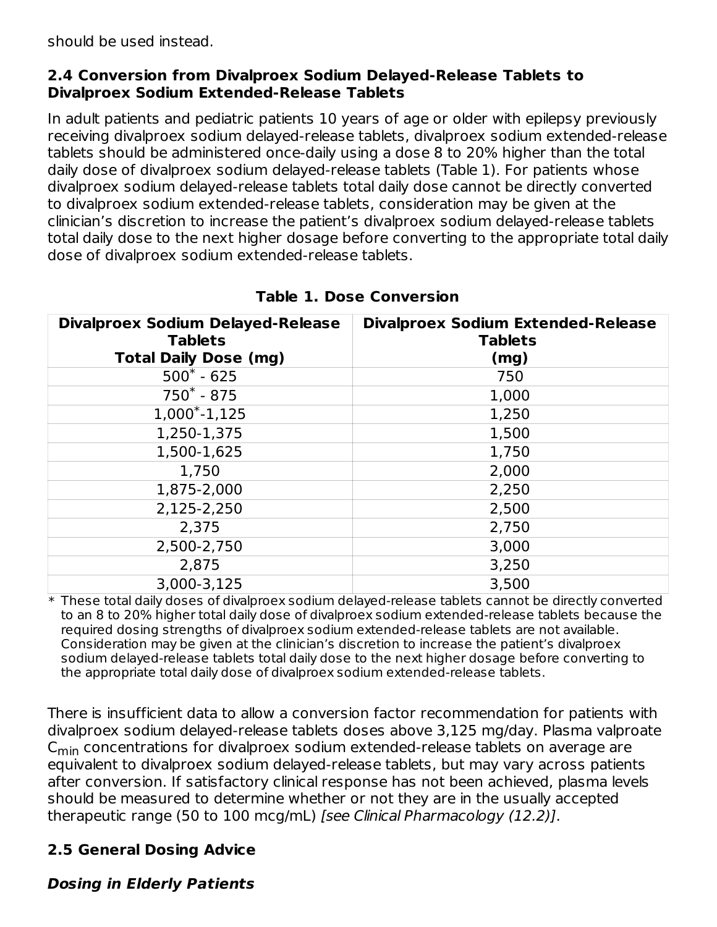should be used instead.

#### **2.4 Conversion from Divalproex Sodium Delayed-Release Tablets to Divalproex Sodium Extended-Release Tablets**

In adult patients and pediatric patients 10 years of age or older with epilepsy previously receiving divalproex sodium delayed-release tablets, divalproex sodium extended-release tablets should be administered once-daily using a dose 8 to 20% higher than the total daily dose of divalproex sodium delayed-release tablets (Table 1). For patients whose divalproex sodium delayed-release tablets total daily dose cannot be directly converted to divalproex sodium extended-release tablets, consideration may be given at the clinician's discretion to increase the patient's divalproex sodium delayed-release tablets total daily dose to the next higher dosage before converting to the appropriate total daily dose of divalproex sodium extended-release tablets.

| <b>Divalproex Sodium Delayed-Release</b><br><b>Tablets</b> | <b>Divalproex Sodium Extended-Release</b><br><b>Tablets</b> |
|------------------------------------------------------------|-------------------------------------------------------------|
| <b>Total Daily Dose (mg)</b>                               | (mg)                                                        |
| $500^* - 625$                                              | 750                                                         |
| $750^* - 875$                                              | 1,000                                                       |
| $1,000^*$ -1,125                                           | 1,250                                                       |
| 1,250-1,375                                                | 1,500                                                       |
| 1,500-1,625                                                | 1,750                                                       |
| 1,750                                                      | 2,000                                                       |
| 1,875-2,000                                                | 2,250                                                       |
| 2,125-2,250                                                | 2,500                                                       |
| 2,375                                                      | 2,750                                                       |
| 2,500-2,750                                                | 3,000                                                       |
| 2,875                                                      | 3,250                                                       |
| 3,000-3,125                                                | 3,500                                                       |

### **Table 1. Dose Conversion**

 $\ast$  These total daily doses of divalproex sodium delayed-release tablets cannot be directly converted to an 8 to 20% higher total daily dose of divalproex sodium extended-release tablets because the required dosing strengths of divalproex sodium extended-release tablets are not available. Consideration may be given at the clinician's discretion to increase the patient's divalproex sodium delayed-release tablets total daily dose to the next higher dosage before converting to the appropriate total daily dose of divalproex sodium extended-release tablets.

There is insufficient data to allow a conversion factor recommendation for patients with divalproex sodium delayed-release tablets doses above 3,125 mg/day. Plasma valproate  $\mathsf{C}_{\mathsf{min}}$  concentrations for divalproex sodium extended-release tablets on average are equivalent to divalproex sodium delayed-release tablets, but may vary across patients after conversion. If satisfactory clinical response has not been achieved, plasma levels should be measured to determine whether or not they are in the usually accepted therapeutic range (50 to 100 mcg/mL) [see Clinical Pharmacology (12.2)].

# **2.5 General Dosing Advice**

### **Dosing in Elderly Patients**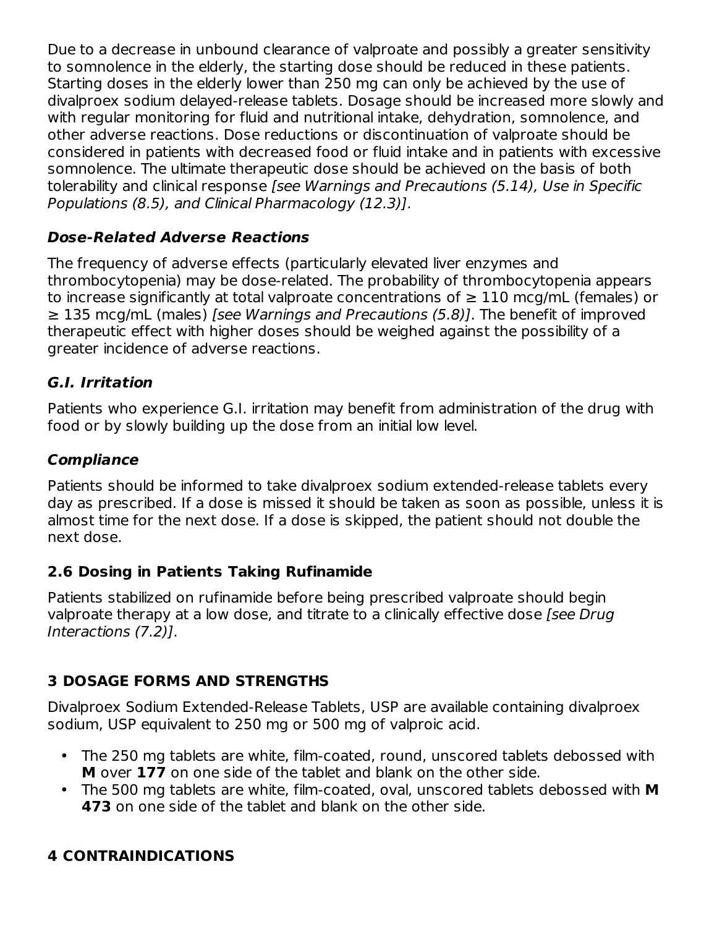Due to a decrease in unbound clearance of valproate and possibly a greater sensitivity to somnolence in the elderly, the starting dose should be reduced in these patients. Starting doses in the elderly lower than 250 mg can only be achieved by the use of divalproex sodium delayed-release tablets. Dosage should be increased more slowly and with regular monitoring for fluid and nutritional intake, dehydration, somnolence, and other adverse reactions. Dose reductions or discontinuation of valproate should be considered in patients with decreased food or fluid intake and in patients with excessive somnolence. The ultimate therapeutic dose should be achieved on the basis of both tolerability and clinical response [see Warnings and Precautions (5.14), Use in Specific Populations (8.5), and Clinical Pharmacology (12.3)].

# **Dose-Related Adverse Reactions**

The frequency of adverse effects (particularly elevated liver enzymes and thrombocytopenia) may be dose-related. The probability of thrombocytopenia appears to increase significantly at total valproate concentrations of  $\geq 110$  mcg/mL (females) or ≥ 135 mcg/mL (males) [see Warnings and Precautions (5.8)]. The benefit of improved therapeutic effect with higher doses should be weighed against the possibility of a greater incidence of adverse reactions.

### **G.I. Irritation**

Patients who experience G.I. irritation may benefit from administration of the drug with food or by slowly building up the dose from an initial low level.

### **Compliance**

Patients should be informed to take divalproex sodium extended-release tablets every day as prescribed. If a dose is missed it should be taken as soon as possible, unless it is almost time for the next dose. If a dose is skipped, the patient should not double the next dose.

### **2.6 Dosing in Patients Taking Rufinamide**

Patients stabilized on rufinamide before being prescribed valproate should begin valproate therapy at a low dose, and titrate to a clinically effective dose [see Drug] Interactions (7.2)].

### **3 DOSAGE FORMS AND STRENGTHS**

Divalproex Sodium Extended-Release Tablets, USP are available containing divalproex sodium, USP equivalent to 250 mg or 500 mg of valproic acid.

- The 250 mg tablets are white, film-coated, round, unscored tablets debossed with **M** over **177** on one side of the tablet and blank on the other side.
- The 500 mg tablets are white, film-coated, oval, unscored tablets debossed with **M 473** on one side of the tablet and blank on the other side.

# **4 CONTRAINDICATIONS**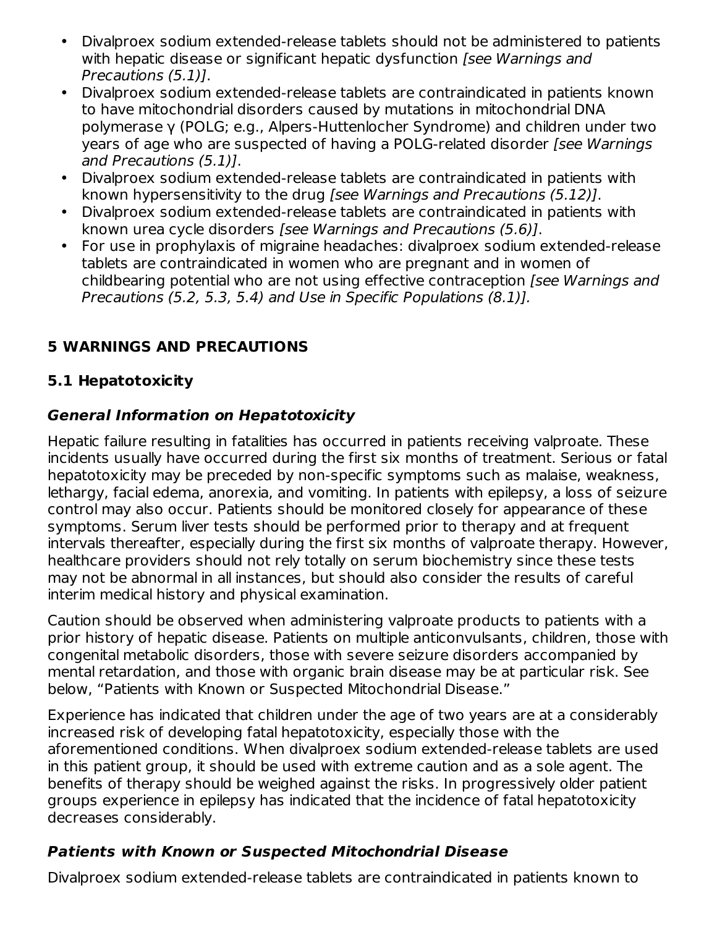- Divalproex sodium extended-release tablets should not be administered to patients with hepatic disease or significant hepatic dysfunction *[see Warnings and* Precautions (5.1)].
- Divalproex sodium extended-release tablets are contraindicated in patients known to have mitochondrial disorders caused by mutations in mitochondrial DNA polymerase γ (POLG; e.g., Alpers-Huttenlocher Syndrome) and children under two years of age who are suspected of having a POLG-related disorder [see Warnings] and Precautions (5.1)].
- Divalproex sodium extended-release tablets are contraindicated in patients with known hypersensitivity to the drug [see Warnings and Precautions (5.12)].
- Divalproex sodium extended-release tablets are contraindicated in patients with known urea cycle disorders [see Warnings and Precautions (5.6)].
- $\bullet$ For use in prophylaxis of migraine headaches: divalproex sodium extended-release tablets are contraindicated in women who are pregnant and in women of childbearing potential who are not using effective contraception [see Warnings and Precautions (5.2, 5.3, 5.4) and Use in Specific Populations (8.1)].

# **5 WARNINGS AND PRECAUTIONS**

# **5.1 Hepatotoxicity**

### **General Information on Hepatotoxicity**

Hepatic failure resulting in fatalities has occurred in patients receiving valproate. These incidents usually have occurred during the first six months of treatment. Serious or fatal hepatotoxicity may be preceded by non-specific symptoms such as malaise, weakness, lethargy, facial edema, anorexia, and vomiting. In patients with epilepsy, a loss of seizure control may also occur. Patients should be monitored closely for appearance of these symptoms. Serum liver tests should be performed prior to therapy and at frequent intervals thereafter, especially during the first six months of valproate therapy. However, healthcare providers should not rely totally on serum biochemistry since these tests may not be abnormal in all instances, but should also consider the results of careful interim medical history and physical examination.

Caution should be observed when administering valproate products to patients with a prior history of hepatic disease. Patients on multiple anticonvulsants, children, those with congenital metabolic disorders, those with severe seizure disorders accompanied by mental retardation, and those with organic brain disease may be at particular risk. See below, "Patients with Known or Suspected Mitochondrial Disease."

Experience has indicated that children under the age of two years are at a considerably increased risk of developing fatal hepatotoxicity, especially those with the aforementioned conditions. When divalproex sodium extended-release tablets are used in this patient group, it should be used with extreme caution and as a sole agent. The benefits of therapy should be weighed against the risks. In progressively older patient groups experience in epilepsy has indicated that the incidence of fatal hepatotoxicity decreases considerably.

### **Patients with Known or Suspected Mitochondrial Disease**

Divalproex sodium extended-release tablets are contraindicated in patients known to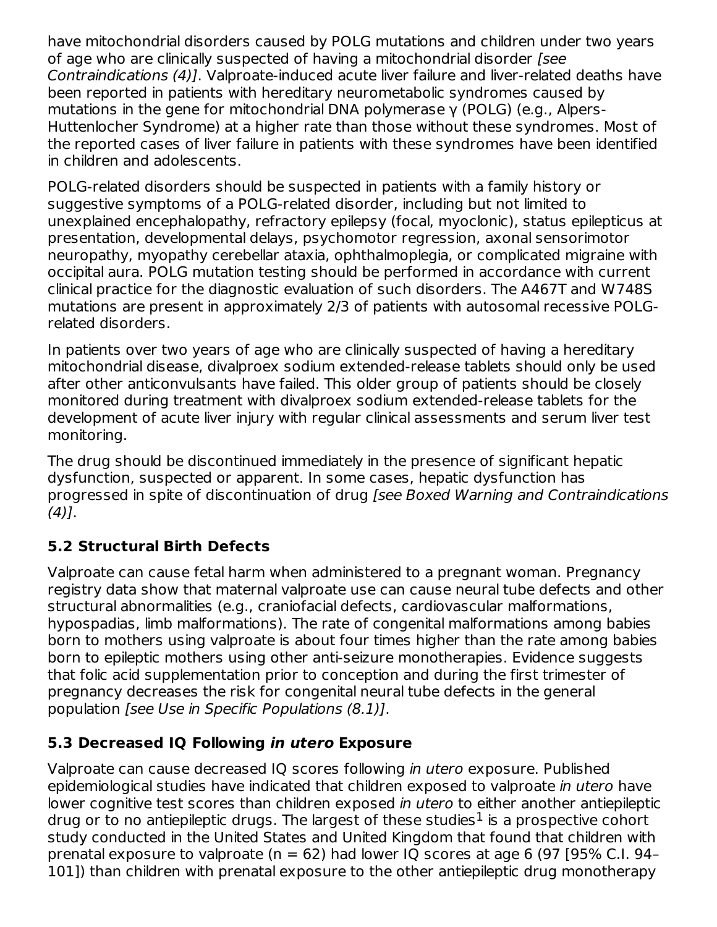have mitochondrial disorders caused by POLG mutations and children under two years of age who are clinically suspected of having a mitochondrial disorder [see Contraindications (4)]. Valproate-induced acute liver failure and liver-related deaths have been reported in patients with hereditary neurometabolic syndromes caused by mutations in the gene for mitochondrial DNA polymerase γ (POLG) (e.g., Alpers-Huttenlocher Syndrome) at a higher rate than those without these syndromes. Most of the reported cases of liver failure in patients with these syndromes have been identified in children and adolescents.

POLG-related disorders should be suspected in patients with a family history or suggestive symptoms of a POLG-related disorder, including but not limited to unexplained encephalopathy, refractory epilepsy (focal, myoclonic), status epilepticus at presentation, developmental delays, psychomotor regression, axonal sensorimotor neuropathy, myopathy cerebellar ataxia, ophthalmoplegia, or complicated migraine with occipital aura. POLG mutation testing should be performed in accordance with current clinical practice for the diagnostic evaluation of such disorders. The A467T and W748S mutations are present in approximately 2/3 of patients with autosomal recessive POLGrelated disorders.

In patients over two years of age who are clinically suspected of having a hereditary mitochondrial disease, divalproex sodium extended-release tablets should only be used after other anticonvulsants have failed. This older group of patients should be closely monitored during treatment with divalproex sodium extended-release tablets for the development of acute liver injury with regular clinical assessments and serum liver test monitoring.

The drug should be discontinued immediately in the presence of significant hepatic dysfunction, suspected or apparent. In some cases, hepatic dysfunction has progressed in spite of discontinuation of drug [see Boxed Warning and Contraindications  $(4)$ ].

# **5.2 Structural Birth Defects**

Valproate can cause fetal harm when administered to a pregnant woman. Pregnancy registry data show that maternal valproate use can cause neural tube defects and other structural abnormalities (e.g., craniofacial defects, cardiovascular malformations, hypospadias, limb malformations). The rate of congenital malformations among babies born to mothers using valproate is about four times higher than the rate among babies born to epileptic mothers using other anti-seizure monotherapies. Evidence suggests that folic acid supplementation prior to conception and during the first trimester of pregnancy decreases the risk for congenital neural tube defects in the general population [see Use in Specific Populations (8.1)].

### **5.3 Decreased IQ Following in utero Exposure**

Valproate can cause decreased IQ scores following in utero exposure. Published epidemiological studies have indicated that children exposed to valproate in utero have lower cognitive test scores than children exposed in utero to either another antiepileptic drug or to no antiepileptic drugs. The largest of these studies $^1$  is a prospective cohort study conducted in the United States and United Kingdom that found that children with prenatal exposure to valproate ( $n = 62$ ) had lower IQ scores at age 6 (97 [95% C.I. 94– 101]) than children with prenatal exposure to the other antiepileptic drug monotherapy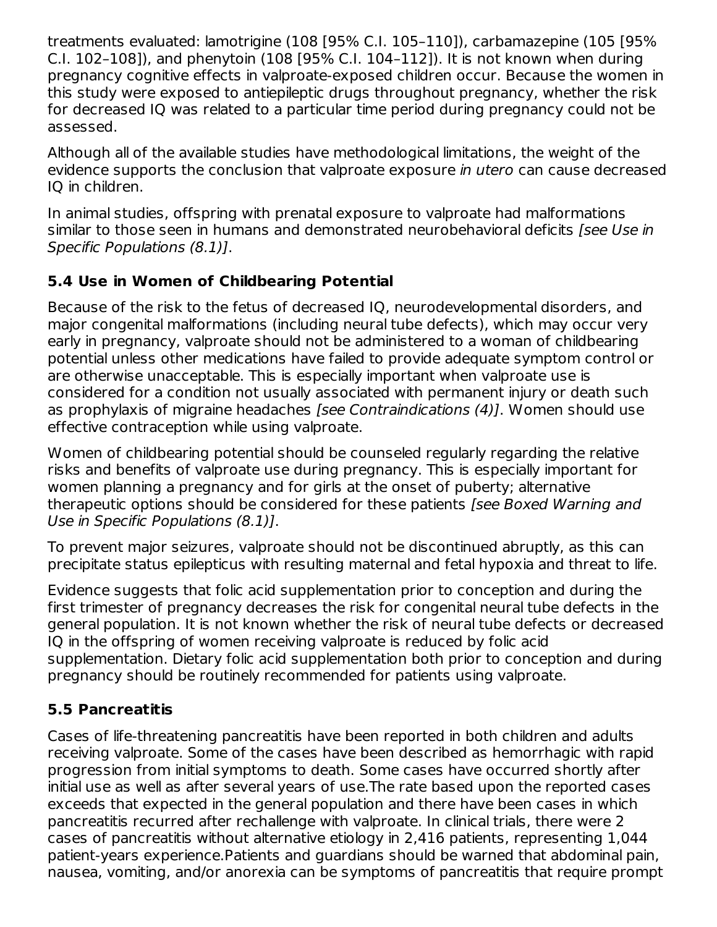treatments evaluated: lamotrigine (108 [95% C.I. 105–110]), carbamazepine (105 [95% C.I. 102–108]), and phenytoin (108 [95% C.I. 104–112]). It is not known when during pregnancy cognitive effects in valproate-exposed children occur. Because the women in this study were exposed to antiepileptic drugs throughout pregnancy, whether the risk for decreased IQ was related to a particular time period during pregnancy could not be assessed.

Although all of the available studies have methodological limitations, the weight of the evidence supports the conclusion that valproate exposure in utero can cause decreased IQ in children.

In animal studies, offspring with prenatal exposure to valproate had malformations similar to those seen in humans and demonstrated neurobehavioral deficits [see Use in Specific Populations (8.1)].

### **5.4 Use in Women of Childbearing Potential**

Because of the risk to the fetus of decreased IQ, neurodevelopmental disorders, and major congenital malformations (including neural tube defects), which may occur very early in pregnancy, valproate should not be administered to a woman of childbearing potential unless other medications have failed to provide adequate symptom control or are otherwise unacceptable. This is especially important when valproate use is considered for a condition not usually associated with permanent injury or death such as prophylaxis of migraine headaches [see Contraindications (4)]. Women should use effective contraception while using valproate.

Women of childbearing potential should be counseled regularly regarding the relative risks and benefits of valproate use during pregnancy. This is especially important for women planning a pregnancy and for girls at the onset of puberty; alternative therapeutic options should be considered for these patients [see Boxed Warning and Use in Specific Populations (8.1)].

To prevent major seizures, valproate should not be discontinued abruptly, as this can precipitate status epilepticus with resulting maternal and fetal hypoxia and threat to life.

Evidence suggests that folic acid supplementation prior to conception and during the first trimester of pregnancy decreases the risk for congenital neural tube defects in the general population. It is not known whether the risk of neural tube defects or decreased IQ in the offspring of women receiving valproate is reduced by folic acid supplementation. Dietary folic acid supplementation both prior to conception and during pregnancy should be routinely recommended for patients using valproate.

# **5.5 Pancreatitis**

Cases of life-threatening pancreatitis have been reported in both children and adults receiving valproate. Some of the cases have been described as hemorrhagic with rapid progression from initial symptoms to death. Some cases have occurred shortly after initial use as well as after several years of use.The rate based upon the reported cases exceeds that expected in the general population and there have been cases in which pancreatitis recurred after rechallenge with valproate. In clinical trials, there were 2 cases of pancreatitis without alternative etiology in 2,416 patients, representing 1,044 patient-years experience.Patients and guardians should be warned that abdominal pain, nausea, vomiting, and/or anorexia can be symptoms of pancreatitis that require prompt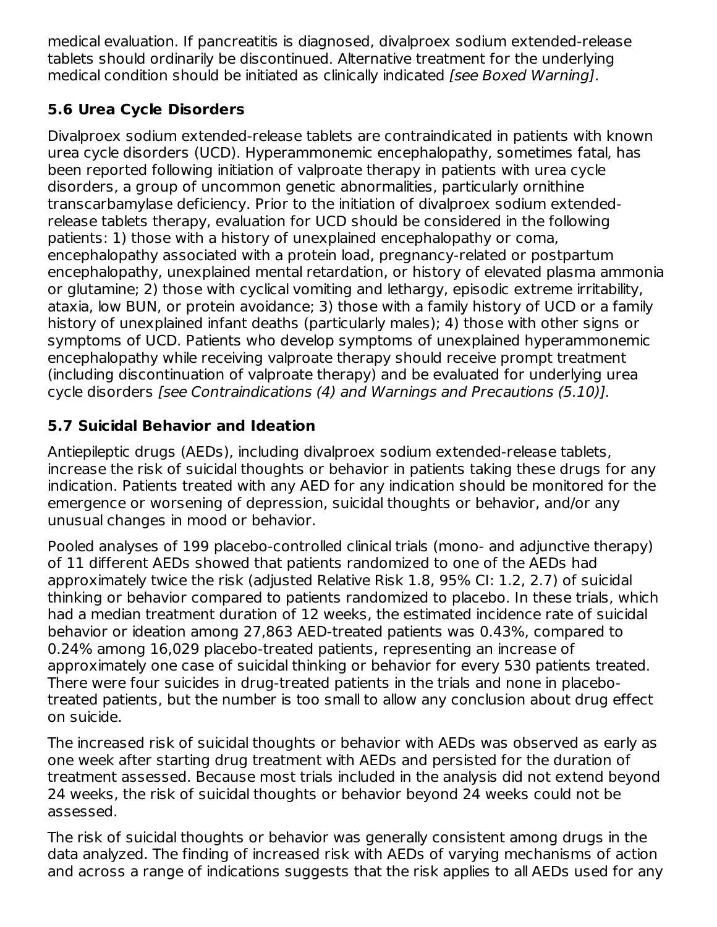medical evaluation. If pancreatitis is diagnosed, divalproex sodium extended-release tablets should ordinarily be discontinued. Alternative treatment for the underlying medical condition should be initiated as clinically indicated [see Boxed Warning].

# **5.6 Urea Cycle Disorders**

Divalproex sodium extended-release tablets are contraindicated in patients with known urea cycle disorders (UCD). Hyperammonemic encephalopathy, sometimes fatal, has been reported following initiation of valproate therapy in patients with urea cycle disorders, a group of uncommon genetic abnormalities, particularly ornithine transcarbamylase deficiency. Prior to the initiation of divalproex sodium extendedrelease tablets therapy, evaluation for UCD should be considered in the following patients: 1) those with a history of unexplained encephalopathy or coma, encephalopathy associated with a protein load, pregnancy-related or postpartum encephalopathy, unexplained mental retardation, or history of elevated plasma ammonia or glutamine; 2) those with cyclical vomiting and lethargy, episodic extreme irritability, ataxia, low BUN, or protein avoidance; 3) those with a family history of UCD or a family history of unexplained infant deaths (particularly males); 4) those with other signs or symptoms of UCD. Patients who develop symptoms of unexplained hyperammonemic encephalopathy while receiving valproate therapy should receive prompt treatment (including discontinuation of valproate therapy) and be evaluated for underlying urea cycle disorders [see Contraindications (4) and Warnings and Precautions (5.10)].

# **5.7 Suicidal Behavior and Ideation**

Antiepileptic drugs (AEDs), including divalproex sodium extended-release tablets, increase the risk of suicidal thoughts or behavior in patients taking these drugs for any indication. Patients treated with any AED for any indication should be monitored for the emergence or worsening of depression, suicidal thoughts or behavior, and/or any unusual changes in mood or behavior.

Pooled analyses of 199 placebo-controlled clinical trials (mono- and adjunctive therapy) of 11 different AEDs showed that patients randomized to one of the AEDs had approximately twice the risk (adjusted Relative Risk 1.8, 95% CI: 1.2, 2.7) of suicidal thinking or behavior compared to patients randomized to placebo. In these trials, which had a median treatment duration of 12 weeks, the estimated incidence rate of suicidal behavior or ideation among 27,863 AED-treated patients was 0.43%, compared to 0.24% among 16,029 placebo-treated patients, representing an increase of approximately one case of suicidal thinking or behavior for every 530 patients treated. There were four suicides in drug-treated patients in the trials and none in placebotreated patients, but the number is too small to allow any conclusion about drug effect on suicide.

The increased risk of suicidal thoughts or behavior with AEDs was observed as early as one week after starting drug treatment with AEDs and persisted for the duration of treatment assessed. Because most trials included in the analysis did not extend beyond 24 weeks, the risk of suicidal thoughts or behavior beyond 24 weeks could not be assessed.

The risk of suicidal thoughts or behavior was generally consistent among drugs in the data analyzed. The finding of increased risk with AEDs of varying mechanisms of action and across a range of indications suggests that the risk applies to all AEDs used for any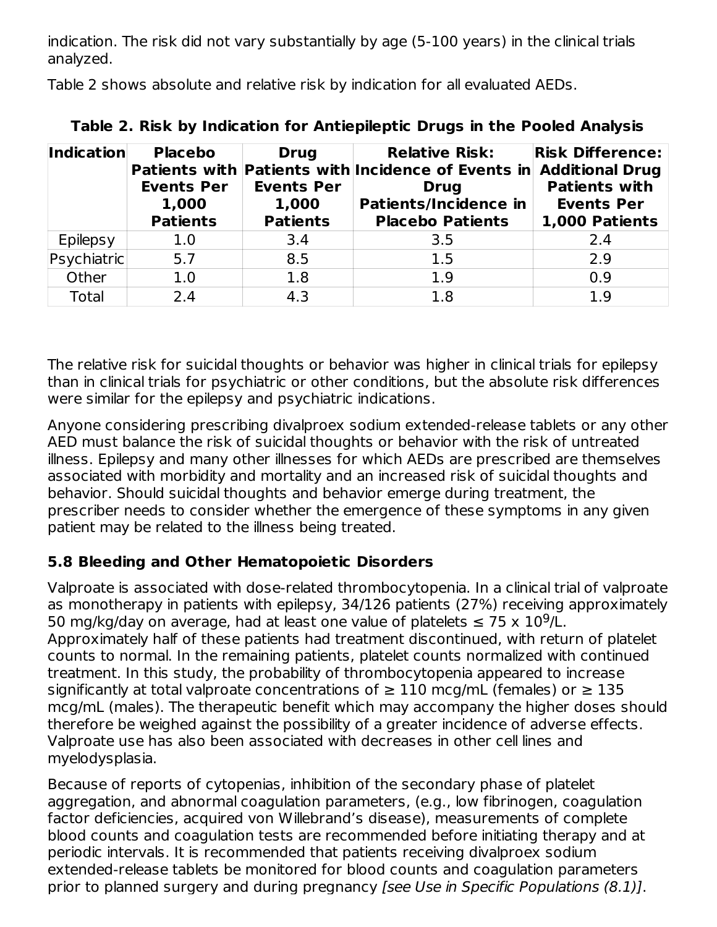indication. The risk did not vary substantially by age (5-100 years) in the clinical trials analyzed.

Table 2 shows absolute and relative risk by indication for all evaluated AEDs.

| <b>Indication</b> | <b>Placebo</b><br><b>Events Per</b><br>1,000<br><b>Patients</b> | <b>Drug</b><br><b>Events Per</b><br>1,000<br><b>Patients</b> | <b>Relative Risk:</b><br>Patients with Patients with Incidence of Events in Additional Drug<br><b>Drug</b><br><b>Patients/Incidence in</b><br><b>Placebo Patients</b> | <b>Risk Difference:</b><br><b>Patients with</b><br><b>Events Per</b><br>1,000 Patients |
|-------------------|-----------------------------------------------------------------|--------------------------------------------------------------|-----------------------------------------------------------------------------------------------------------------------------------------------------------------------|----------------------------------------------------------------------------------------|
| Epilepsy          | 1.0                                                             | 3.4                                                          | 3.5                                                                                                                                                                   | 2.4                                                                                    |
| Psychiatric       | 5.7                                                             | 8.5                                                          | 1.5                                                                                                                                                                   | 2.9                                                                                    |
| Other             | 1.0                                                             | 1.8                                                          | 1.9                                                                                                                                                                   | 0.9                                                                                    |
| Total             | 2.4                                                             | 4.3                                                          | 1.8                                                                                                                                                                   | 1.9                                                                                    |

**Table 2. Risk by Indication for Antiepileptic Drugs in the Pooled Analysis**

The relative risk for suicidal thoughts or behavior was higher in clinical trials for epilepsy than in clinical trials for psychiatric or other conditions, but the absolute risk differences were similar for the epilepsy and psychiatric indications.

Anyone considering prescribing divalproex sodium extended-release tablets or any other AED must balance the risk of suicidal thoughts or behavior with the risk of untreated illness. Epilepsy and many other illnesses for which AEDs are prescribed are themselves associated with morbidity and mortality and an increased risk of suicidal thoughts and behavior. Should suicidal thoughts and behavior emerge during treatment, the prescriber needs to consider whether the emergence of these symptoms in any given patient may be related to the illness being treated.

# **5.8 Bleeding and Other Hematopoietic Disorders**

Valproate is associated with dose-related thrombocytopenia. In a clinical trial of valproate as monotherapy in patients with epilepsy, 34/126 patients (27%) receiving approximately 50 mg/kg/day on average, had at least one value of platelets  $\leq 75 \times 10^9$ /L. Approximately half of these patients had treatment discontinued, with return of platelet counts to normal. In the remaining patients, platelet counts normalized with continued treatment. In this study, the probability of thrombocytopenia appeared to increase significantly at total valproate concentrations of  $\geq 110$  mcg/mL (females) or  $\geq 135$ mcg/mL (males). The therapeutic benefit which may accompany the higher doses should therefore be weighed against the possibility of a greater incidence of adverse effects. Valproate use has also been associated with decreases in other cell lines and myelodysplasia.

Because of reports of cytopenias, inhibition of the secondary phase of platelet aggregation, and abnormal coagulation parameters, (e.g., low fibrinogen, coagulation factor deficiencies, acquired von Willebrand's disease), measurements of complete blood counts and coagulation tests are recommended before initiating therapy and at periodic intervals. It is recommended that patients receiving divalproex sodium extended-release tablets be monitored for blood counts and coagulation parameters prior to planned surgery and during pregnancy [see Use in Specific Populations (8.1)].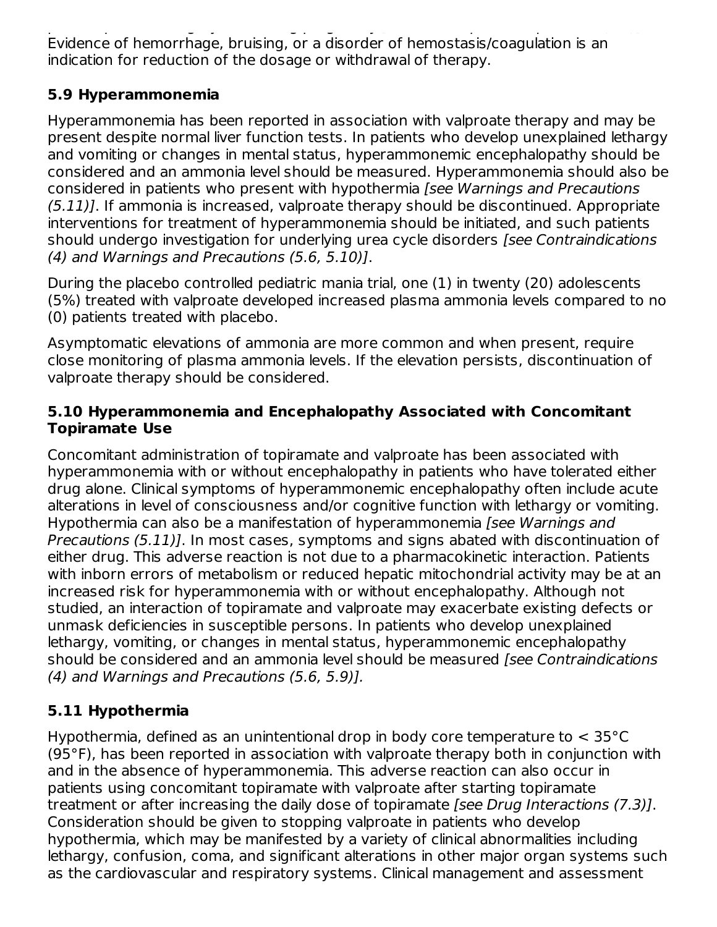prior to planned surgery and during pregnancy [see Use in Specific Populations (8.1)]. Evidence of hemorrhage, bruising, or a disorder of hemostasis/coagulation is an indication for reduction of the dosage or withdrawal of therapy.

### **5.9 Hyperammonemia**

Hyperammonemia has been reported in association with valproate therapy and may be present despite normal liver function tests. In patients who develop unexplained lethargy and vomiting or changes in mental status, hyperammonemic encephalopathy should be considered and an ammonia level should be measured. Hyperammonemia should also be considered in patients who present with hypothermia [see Warnings and Precautions  $(5.11)$ ]. If ammonia is increased, valproate therapy should be discontinued. Appropriate interventions for treatment of hyperammonemia should be initiated, and such patients should undergo investigation for underlying urea cycle disorders [see Contraindications (4) and Warnings and Precautions (5.6, 5.10)].

During the placebo controlled pediatric mania trial, one (1) in twenty (20) adolescents (5%) treated with valproate developed increased plasma ammonia levels compared to no (0) patients treated with placebo.

Asymptomatic elevations of ammonia are more common and when present, require close monitoring of plasma ammonia levels. If the elevation persists, discontinuation of valproate therapy should be considered.

#### **5.10 Hyperammonemia and Encephalopathy Associated with Concomitant Topiramate Use**

Concomitant administration of topiramate and valproate has been associated with hyperammonemia with or without encephalopathy in patients who have tolerated either drug alone. Clinical symptoms of hyperammonemic encephalopathy often include acute alterations in level of consciousness and/or cognitive function with lethargy or vomiting. Hypothermia can also be a manifestation of hyperammonemia [see Warnings and Precautions (5.11)]. In most cases, symptoms and signs abated with discontinuation of either drug. This adverse reaction is not due to a pharmacokinetic interaction. Patients with inborn errors of metabolism or reduced hepatic mitochondrial activity may be at an increased risk for hyperammonemia with or without encephalopathy. Although not studied, an interaction of topiramate and valproate may exacerbate existing defects or unmask deficiencies in susceptible persons. In patients who develop unexplained lethargy, vomiting, or changes in mental status, hyperammonemic encephalopathy should be considered and an ammonia level should be measured *[see Contraindications* (4) and Warnings and Precautions (5.6, 5.9)].

# **5.11 Hypothermia**

Hypothermia, defined as an unintentional drop in body core temperature to < 35°C (95°F), has been reported in association with valproate therapy both in conjunction with and in the absence of hyperammonemia. This adverse reaction can also occur in patients using concomitant topiramate with valproate after starting topiramate treatment or after increasing the daily dose of topiramate [see Drug Interactions (7.3)]. Consideration should be given to stopping valproate in patients who develop hypothermia, which may be manifested by a variety of clinical abnormalities including lethargy, confusion, coma, and significant alterations in other major organ systems such as the cardiovascular and respiratory systems. Clinical management and assessment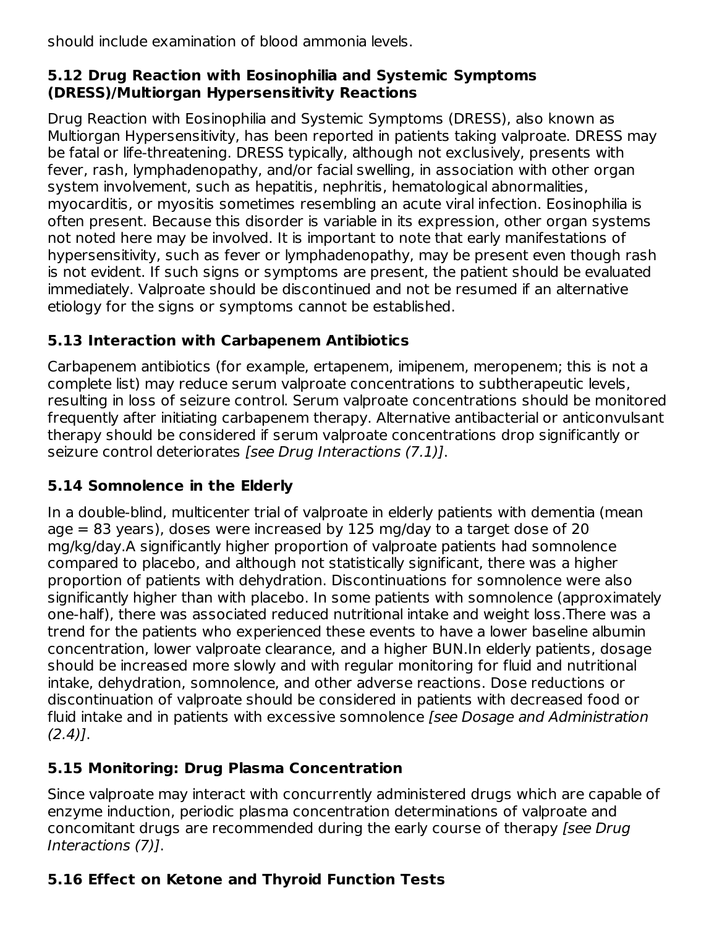should include examination of blood ammonia levels.

### **5.12 Drug Reaction with Eosinophilia and Systemic Symptoms (DRESS)/Multiorgan Hypersensitivity Reactions**

Drug Reaction with Eosinophilia and Systemic Symptoms (DRESS), also known as Multiorgan Hypersensitivity, has been reported in patients taking valproate. DRESS may be fatal or life-threatening. DRESS typically, although not exclusively, presents with fever, rash, lymphadenopathy, and/or facial swelling, in association with other organ system involvement, such as hepatitis, nephritis, hematological abnormalities, myocarditis, or myositis sometimes resembling an acute viral infection. Eosinophilia is often present. Because this disorder is variable in its expression, other organ systems not noted here may be involved. It is important to note that early manifestations of hypersensitivity, such as fever or lymphadenopathy, may be present even though rash is not evident. If such signs or symptoms are present, the patient should be evaluated immediately. Valproate should be discontinued and not be resumed if an alternative etiology for the signs or symptoms cannot be established.

# **5.13 Interaction with Carbapenem Antibiotics**

Carbapenem antibiotics (for example, ertapenem, imipenem, meropenem; this is not a complete list) may reduce serum valproate concentrations to subtherapeutic levels, resulting in loss of seizure control. Serum valproate concentrations should be monitored frequently after initiating carbapenem therapy. Alternative antibacterial or anticonvulsant therapy should be considered if serum valproate concentrations drop significantly or seizure control deteriorates [see Drug Interactions (7.1)].

# **5.14 Somnolence in the Elderly**

In a double-blind, multicenter trial of valproate in elderly patients with dementia (mean age  $= 83$  years), doses were increased by 125 mg/day to a target dose of 20 mg/kg/day.A significantly higher proportion of valproate patients had somnolence compared to placebo, and although not statistically significant, there was a higher proportion of patients with dehydration. Discontinuations for somnolence were also significantly higher than with placebo. In some patients with somnolence (approximately one-half), there was associated reduced nutritional intake and weight loss.There was a trend for the patients who experienced these events to have a lower baseline albumin concentration, lower valproate clearance, and a higher BUN.In elderly patients, dosage should be increased more slowly and with regular monitoring for fluid and nutritional intake, dehydration, somnolence, and other adverse reactions. Dose reductions or discontinuation of valproate should be considered in patients with decreased food or fluid intake and in patients with excessive somnolence [see Dosage and Administration  $(2.4)$ ].

# **5.15 Monitoring: Drug Plasma Concentration**

Since valproate may interact with concurrently administered drugs which are capable of enzyme induction, periodic plasma concentration determinations of valproate and concomitant drugs are recommended during the early course of therapy [see Drug Interactions (7)].

# **5.16 Effect on Ketone and Thyroid Function Tests**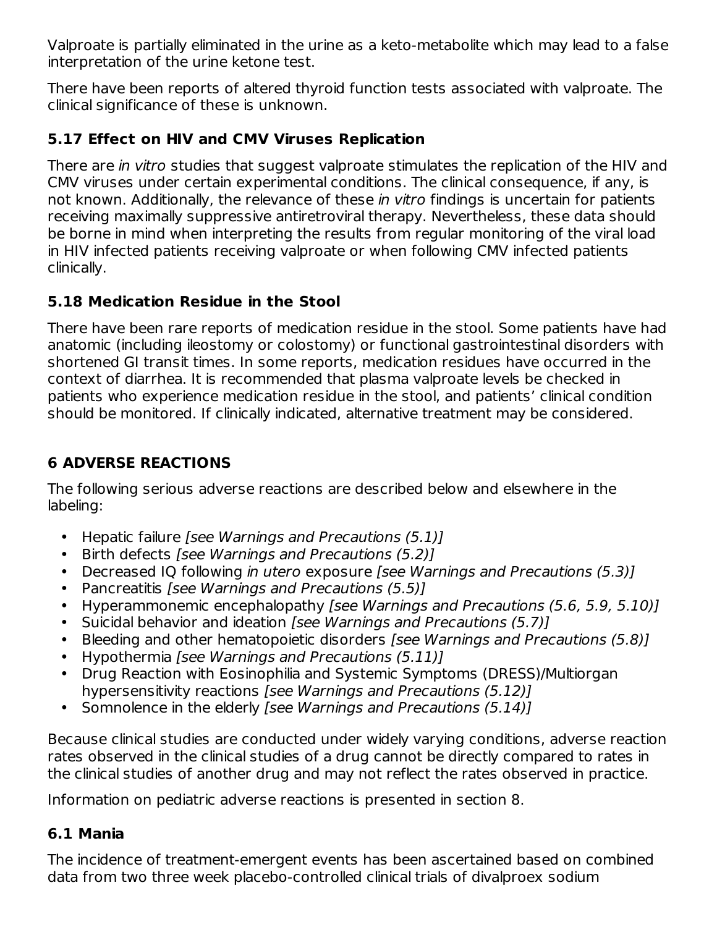Valproate is partially eliminated in the urine as a keto-metabolite which may lead to a false interpretation of the urine ketone test.

There have been reports of altered thyroid function tests associated with valproate. The clinical significance of these is unknown.

### **5.17 Effect on HIV and CMV Viruses Replication**

There are *in vitro* studies that suggest valproate stimulates the replication of the HIV and CMV viruses under certain experimental conditions. The clinical consequence, if any, is not known. Additionally, the relevance of these in vitro findings is uncertain for patients receiving maximally suppressive antiretroviral therapy. Nevertheless, these data should be borne in mind when interpreting the results from regular monitoring of the viral load in HIV infected patients receiving valproate or when following CMV infected patients clinically.

### **5.18 Medication Residue in the Stool**

There have been rare reports of medication residue in the stool. Some patients have had anatomic (including ileostomy or colostomy) or functional gastrointestinal disorders with shortened GI transit times. In some reports, medication residues have occurred in the context of diarrhea. It is recommended that plasma valproate levels be checked in patients who experience medication residue in the stool, and patients' clinical condition should be monitored. If clinically indicated, alternative treatment may be considered.

# **6 ADVERSE REACTIONS**

The following serious adverse reactions are described below and elsewhere in the labeling:

- Hepatic failure [see Warnings and Precautions (5.1)]
- Birth defects [see Warnings and Precautions (5.2)]
- Decreased IQ following *in utero exposure [see Warnings and Precautions (5.3)]*
- Pancreatitis [see Warnings and Precautions (5.5)]
- Hyperammonemic encephalopathy [see Warnings and Precautions (5.6, 5.9, 5.10)]
- Suicidal behavior and ideation [see Warnings and Precautions (5.7)]
- Bleeding and other hematopoietic disorders [see Warnings and Precautions (5.8)]
- Hypothermia [see Warnings and Precautions (5.11)]
- Drug Reaction with Eosinophilia and Systemic Symptoms (DRESS)/Multiorgan hypersensitivity reactions [see Warnings and Precautions (5.12)]
- Somnolence in the elderly [see Warnings and Precautions (5.14)]

Because clinical studies are conducted under widely varying conditions, adverse reaction rates observed in the clinical studies of a drug cannot be directly compared to rates in the clinical studies of another drug and may not reflect the rates observed in practice.

Information on pediatric adverse reactions is presented in section 8.

### **6.1 Mania**

The incidence of treatment-emergent events has been ascertained based on combined data from two three week placebo-controlled clinical trials of divalproex sodium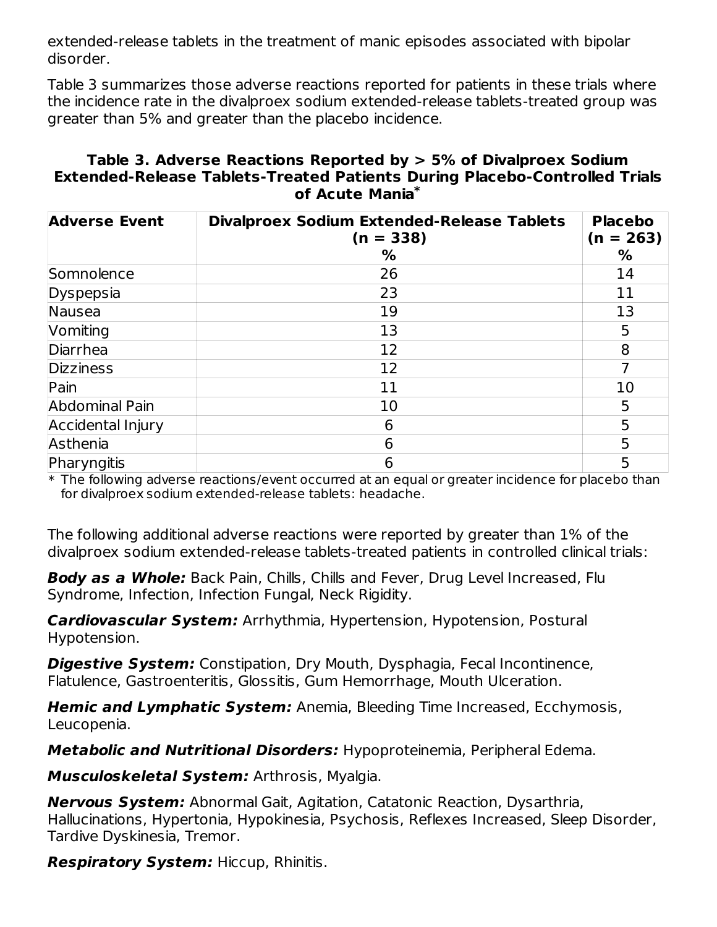extended-release tablets in the treatment of manic episodes associated with bipolar disorder.

Table 3 summarizes those adverse reactions reported for patients in these trials where the incidence rate in the divalproex sodium extended-release tablets-treated group was greater than 5% and greater than the placebo incidence.

#### **Table 3. Adverse Reactions Reported by > 5% of Divalproex Sodium Extended-Release Tablets-Treated Patients During Placebo-Controlled Trials of Acute Mania \***

| <b>Adverse Event</b> | <b>Divalproex Sodium Extended-Release Tablets</b><br>$(n = 338)$ | <b>Placebo</b><br>$(n = 263)$ |
|----------------------|------------------------------------------------------------------|-------------------------------|
|                      | %                                                                | %                             |
| Somnolence           | 26                                                               | 14                            |
| Dyspepsia            | 23                                                               | 11                            |
| Nausea               | 19                                                               | 13                            |
| Vomiting             | 13                                                               | 5                             |
| Diarrhea             | 12                                                               | 8                             |
| <b>Dizziness</b>     | 12                                                               |                               |
| Pain                 | 11                                                               | 10                            |
| Abdominal Pain       | 10                                                               | 5                             |
| Accidental Injury    | 6                                                                | 5                             |
| Asthenia             | 6                                                                | 5                             |
| Pharyngitis          | 6                                                                | 5                             |

 $\ast$  The following adverse reactions/event occurred at an equal or greater incidence for placebo than  $\,$ for divalproex sodium extended-release tablets: headache.

The following additional adverse reactions were reported by greater than 1% of the divalproex sodium extended-release tablets-treated patients in controlled clinical trials:

**Body as a Whole:** Back Pain, Chills, Chills and Fever, Drug Level Increased, Flu Syndrome, Infection, Infection Fungal, Neck Rigidity.

**Cardiovascular System:** Arrhythmia, Hypertension, Hypotension, Postural Hypotension.

**Digestive System:** Constipation, Dry Mouth, Dysphagia, Fecal Incontinence, Flatulence, Gastroenteritis, Glossitis, Gum Hemorrhage, Mouth Ulceration.

**Hemic and Lymphatic System:** Anemia, Bleeding Time Increased, Ecchymosis, Leucopenia.

**Metabolic and Nutritional Disorders:** Hypoproteinemia, Peripheral Edema.

**Musculoskeletal System:** Arthrosis, Myalgia.

**Nervous System:** Abnormal Gait, Agitation, Catatonic Reaction, Dysarthria, Hallucinations, Hypertonia, Hypokinesia, Psychosis, Reflexes Increased, Sleep Disorder, Tardive Dyskinesia, Tremor.

**Respiratory System:** Hiccup, Rhinitis.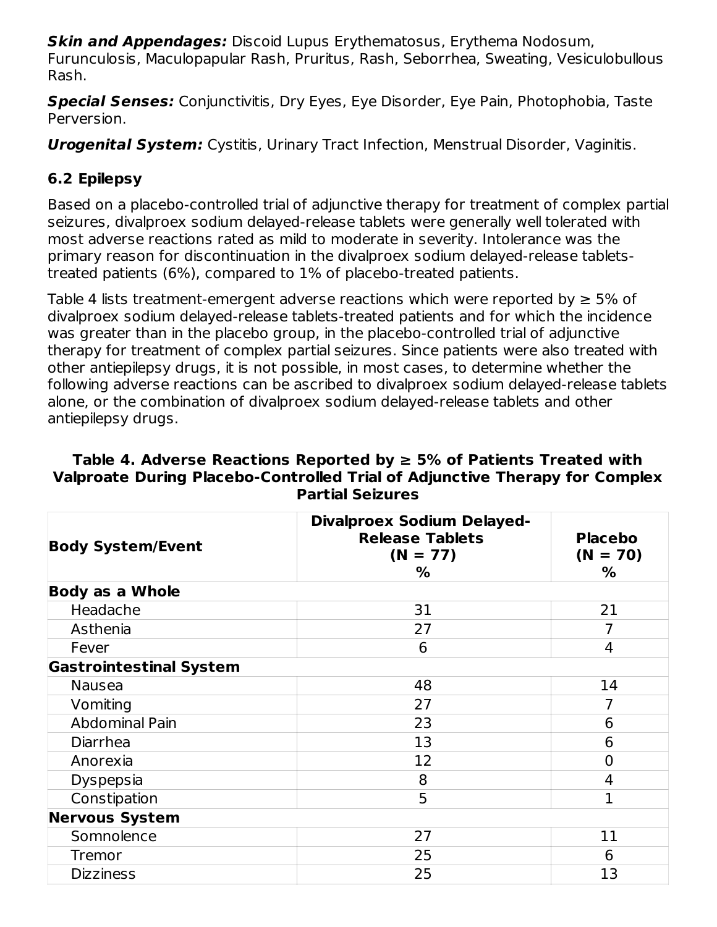**Skin and Appendages:** Discoid Lupus Erythematosus, Erythema Nodosum, Furunculosis, Maculopapular Rash, Pruritus, Rash, Seborrhea, Sweating, Vesiculobullous Rash.

**Special Senses:** Conjunctivitis, Dry Eyes, Eye Disorder, Eye Pain, Photophobia, Taste Perversion.

**Urogenital System:** Cystitis, Urinary Tract Infection, Menstrual Disorder, Vaginitis.

# **6.2 Epilepsy**

Based on a placebo-controlled trial of adjunctive therapy for treatment of complex partial seizures, divalproex sodium delayed-release tablets were generally well tolerated with most adverse reactions rated as mild to moderate in severity. Intolerance was the primary reason for discontinuation in the divalproex sodium delayed-release tabletstreated patients (6%), compared to 1% of placebo-treated patients.

Table 4 lists treatment-emergent adverse reactions which were reported by  $\geq 5\%$  of divalproex sodium delayed-release tablets-treated patients and for which the incidence was greater than in the placebo group, in the placebo-controlled trial of adjunctive therapy for treatment of complex partial seizures. Since patients were also treated with other antiepilepsy drugs, it is not possible, in most cases, to determine whether the following adverse reactions can be ascribed to divalproex sodium delayed-release tablets alone, or the combination of divalproex sodium delayed-release tablets and other antiepilepsy drugs.

#### **Table 4. Adverse Reactions Reported by ≥ 5% of Patients Treated with Valproate During Placebo-Controlled Trial of Adjunctive Therapy for Complex Partial Seizures**

| <b>Body System/Event</b>       | <b>Divalproex Sodium Delayed-</b><br><b>Release Tablets</b><br>$(N = 77)$<br>% | <b>Placebo</b><br>$(N = 70)$<br>% |
|--------------------------------|--------------------------------------------------------------------------------|-----------------------------------|
| <b>Body as a Whole</b>         |                                                                                |                                   |
| Headache                       | 31                                                                             | 21                                |
| Asthenia                       | 27                                                                             |                                   |
| Fever                          | 6                                                                              | 4                                 |
| <b>Gastrointestinal System</b> |                                                                                |                                   |
| <b>Nausea</b>                  | 48                                                                             | 14                                |
| Vomiting                       | 27                                                                             | 7                                 |
| <b>Abdominal Pain</b>          | 23                                                                             | 6                                 |
| Diarrhea                       | 13                                                                             | 6                                 |
| Anorexia                       | 12                                                                             | 0                                 |
| <b>Dyspepsia</b>               | 8                                                                              | 4                                 |
| Constipation                   | 5                                                                              | 1                                 |
| <b>Nervous System</b>          |                                                                                |                                   |
| Somnolence                     | 27                                                                             | 11                                |
| <b>Tremor</b>                  | 25                                                                             | 6                                 |
| <b>Dizziness</b>               | 25                                                                             | 13                                |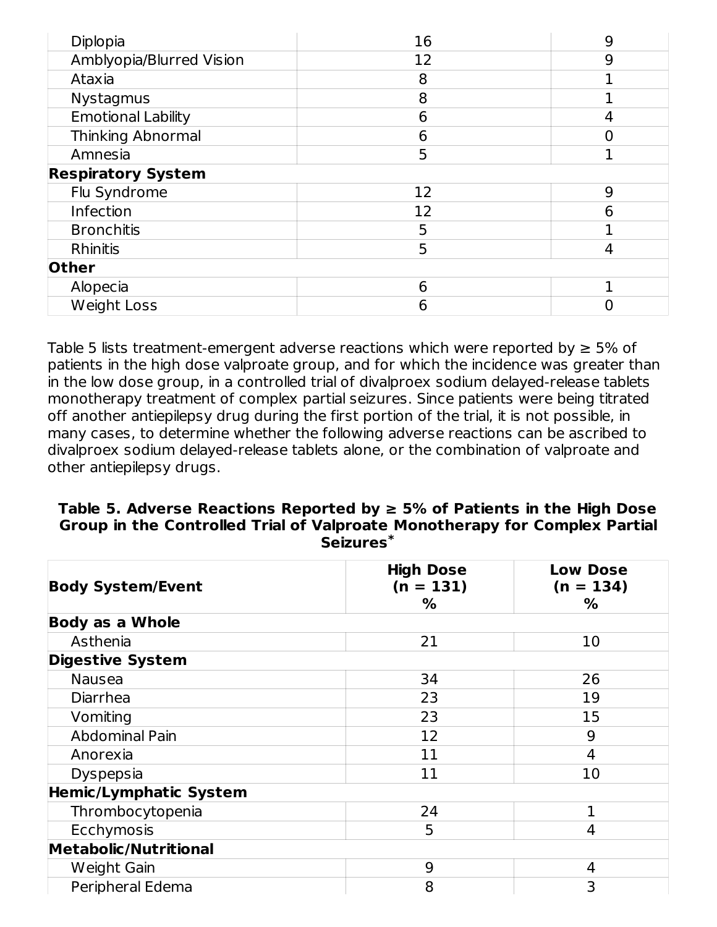| Diplopia                  | 16 | 9 |
|---------------------------|----|---|
| Amblyopia/Blurred Vision  | 12 | 9 |
| Ataxia                    | 8  |   |
| <b>Nystagmus</b>          | 8  |   |
| <b>Emotional Lability</b> | 6  | 4 |
| <b>Thinking Abnormal</b>  | 6  |   |
| Amnesia                   | 5  |   |
| <b>Respiratory System</b> |    |   |
| Flu Syndrome              | 12 | 9 |
| Infection                 | 12 | 6 |
| <b>Bronchitis</b>         | 5  |   |
| Rhinitis                  | 5  | 4 |
| <b>Other</b>              |    |   |
| Alopecia                  | 6  |   |
| <b>Weight Loss</b>        | 6  |   |

Table 5 lists treatment-emergent adverse reactions which were reported by  $\geq 5\%$  of patients in the high dose valproate group, and for which the incidence was greater than in the low dose group, in a controlled trial of divalproex sodium delayed-release tablets monotherapy treatment of complex partial seizures. Since patients were being titrated off another antiepilepsy drug during the first portion of the trial, it is not possible, in many cases, to determine whether the following adverse reactions can be ascribed to divalproex sodium delayed-release tablets alone, or the combination of valproate and other antiepilepsy drugs.

#### **Table 5. Adverse Reactions Reported by ≥ 5% of Patients in the High Dose Group in the Controlled Trial of Valproate Monotherapy for Complex Partial Seizures \***

|                               | <b>High Dose</b> | <b>Low Dose</b> |
|-------------------------------|------------------|-----------------|
| <b>Body System/Event</b>      | $(n = 131)$      | $(n = 134)$     |
|                               | %                | %               |
| <b>Body as a Whole</b>        |                  |                 |
| Asthenia                      | 21               | 10              |
| <b>Digestive System</b>       |                  |                 |
| <b>Nausea</b>                 | 34               | 26              |
| Diarrhea                      | 23               | 19              |
| Vomiting                      | 23               | 15              |
| <b>Abdominal Pain</b>         | 12               | 9               |
| Anorexia                      | 11               | 4               |
| Dyspepsia                     | 11               | 10              |
| <b>Hemic/Lymphatic System</b> |                  |                 |
| Thrombocytopenia              | 24               | 1               |
| Ecchymosis                    | 5                | 4               |
| Metabolic/Nutritional         |                  |                 |
| Weight Gain                   | 9                | 4               |
| Peripheral Edema              | 8                | 3               |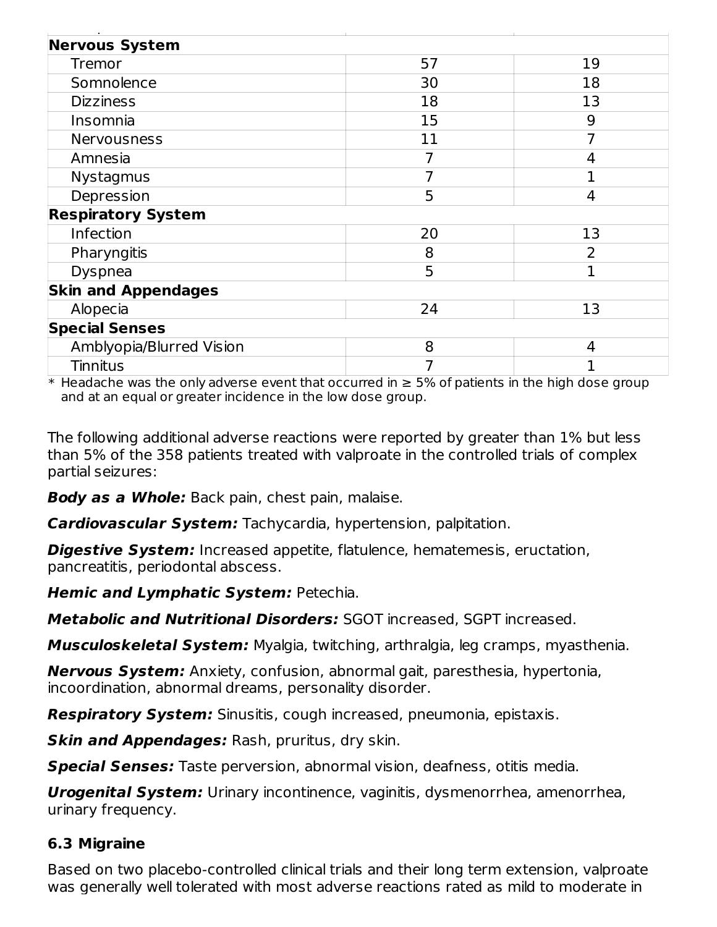| <b>Nervous System</b>      |    |                          |
|----------------------------|----|--------------------------|
| Tremor                     | 57 | 19                       |
| Somnolence                 | 30 | 18                       |
| <b>Dizziness</b>           | 18 | 13                       |
| Insomnia                   | 15 | 9                        |
| Nervousness                | 11 | 7                        |
| Amnesia                    | 7  | 4                        |
| <b>Nystagmus</b>           | 7  | 1                        |
| Depression                 | 5  | 4                        |
| <b>Respiratory System</b>  |    |                          |
| Infection                  | 20 | 13                       |
| Pharyngitis                | 8  | $\overline{\phantom{0}}$ |
| Dyspnea                    | 5  | 1                        |
| <b>Skin and Appendages</b> |    |                          |
| Alopecia                   | 24 | 13                       |
| <b>Special Senses</b>      |    |                          |
| Amblyopia/Blurred Vision   | 8  | 4                        |
| <b>Tinnitus</b>            | 7  |                          |

 $\ast$  Headache was the only adverse event that occurred in  $\geq$  5% of patients in the high dose group and at an equal or greater incidence in the low dose group.

The following additional adverse reactions were reported by greater than 1% but less than 5% of the 358 patients treated with valproate in the controlled trials of complex partial seizures:

**Body as a Whole:** Back pain, chest pain, malaise.

**Cardiovascular System:** Tachycardia, hypertension, palpitation.

**Digestive System:** Increased appetite, flatulence, hematemesis, eructation, pancreatitis, periodontal abscess.

**Hemic and Lymphatic System:** Petechia.

**Metabolic and Nutritional Disorders:** SGOT increased, SGPT increased.

**Musculoskeletal System:** Myalgia, twitching, arthralgia, leg cramps, myasthenia.

**Nervous System:** Anxiety, confusion, abnormal gait, paresthesia, hypertonia, incoordination, abnormal dreams, personality disorder.

**Respiratory System:** Sinusitis, cough increased, pneumonia, epistaxis.

**Skin and Appendages:** Rash, pruritus, dry skin.

**Special Senses:** Taste perversion, abnormal vision, deafness, otitis media.

**Urogenital System:** Urinary incontinence, vaginitis, dysmenorrhea, amenorrhea, urinary frequency.

# **6.3 Migraine**

Based on two placebo-controlled clinical trials and their long term extension, valproate was generally well tolerated with most adverse reactions rated as mild to moderate in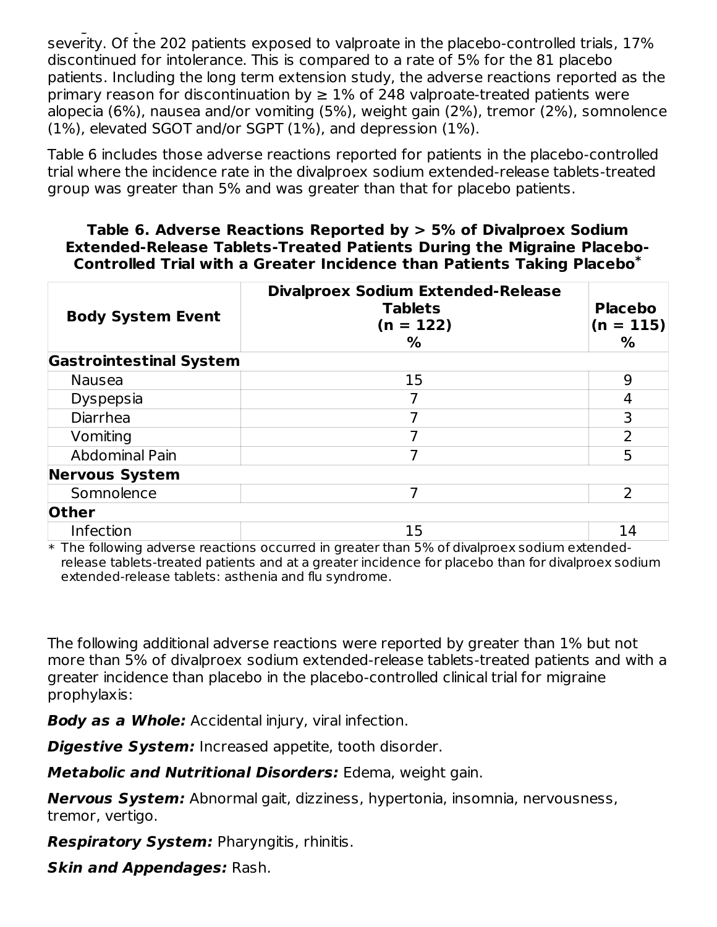was generally well to the most adverse reactions rated with most adverse reactions rated as mild to moderate i<br>The most adverse reactions rated as mild to moderate in the most as mild to moderate in the moderate in the mo severity. Of the 202 patients exposed to valproate in the placebo-controlled trials, 17% discontinued for intolerance. This is compared to a rate of 5% for the 81 placebo patients. Including the long term extension study, the adverse reactions reported as the primary reason for discontinuation by  $\geq 1\%$  of 248 valproate-treated patients were alopecia (6%), nausea and/or vomiting (5%), weight gain (2%), tremor (2%), somnolence (1%), elevated SGOT and/or SGPT (1%), and depression (1%).

Table 6 includes those adverse reactions reported for patients in the placebo-controlled trial where the incidence rate in the divalproex sodium extended-release tablets-treated group was greater than 5% and was greater than that for placebo patients.

#### **Table 6. Adverse Reactions Reported by > 5% of Divalproex Sodium Extended-Release Tablets-Treated Patients During the Migraine Placebo-Controlled Trial with a Greater Incidence than Patients Taking Placebo \***

| <b>Body System Event</b>       | <b>Divalproex Sodium Extended-Release</b><br><b>Tablets</b><br>$(n = 122)$<br>% | <b>Placebo</b><br>$(n = 115)$<br>% |
|--------------------------------|---------------------------------------------------------------------------------|------------------------------------|
| <b>Gastrointestinal System</b> |                                                                                 |                                    |
| <b>Nausea</b>                  | 15                                                                              | 9                                  |
| <b>Dyspepsia</b>               |                                                                                 | 4                                  |
| Diarrhea                       |                                                                                 | 3                                  |
| Vomiting                       |                                                                                 | $\mathcal{P}$                      |
| <b>Abdominal Pain</b>          |                                                                                 | 5                                  |
| <b>Nervous System</b>          |                                                                                 |                                    |
| Somnolence                     |                                                                                 | $\overline{\phantom{0}}$           |
| <b>Other</b>                   |                                                                                 |                                    |
| Infection                      | 15                                                                              | 14                                 |

 $\,^*$  The following adverse reactions occurred in greater than 5% of divalproex sodium extendedrelease tablets-treated patients and at a greater incidence for placebo than for divalproex sodium extended-release tablets: asthenia and flu syndrome.

The following additional adverse reactions were reported by greater than 1% but not more than 5% of divalproex sodium extended-release tablets-treated patients and with a greater incidence than placebo in the placebo-controlled clinical trial for migraine prophylaxis:

**Body as a Whole:** Accidental injury, viral infection.

**Digestive System:** Increased appetite, tooth disorder.

**Metabolic and Nutritional Disorders:** Edema, weight gain.

**Nervous System:** Abnormal gait, dizziness, hypertonia, insomnia, nervousness, tremor, vertigo.

**Respiratory System:** Pharyngitis, rhinitis.

**Skin and Appendages:** Rash.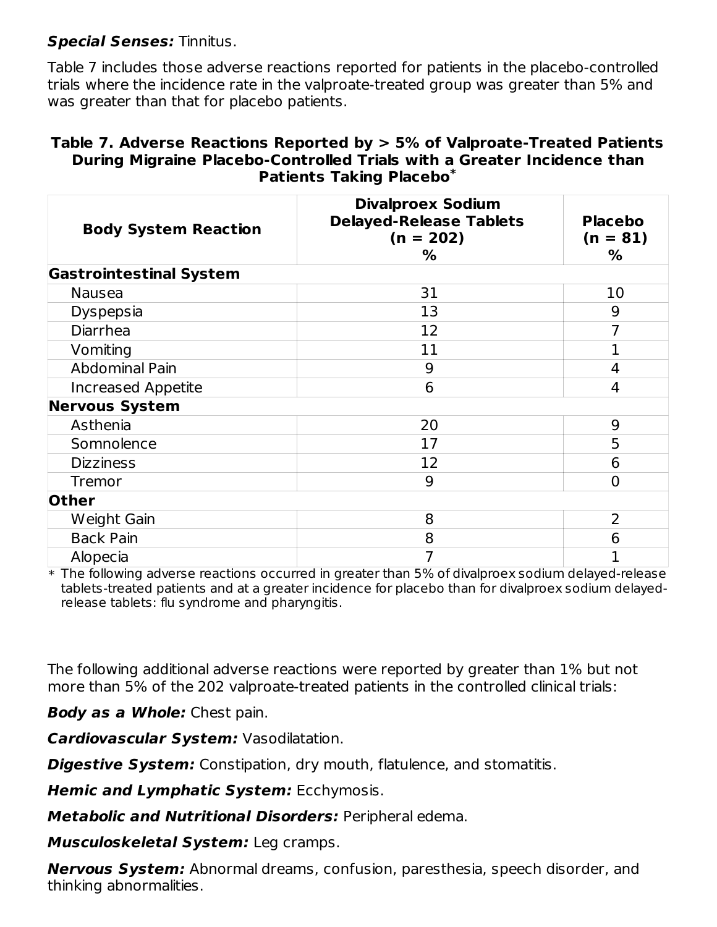### **Special Senses:** Tinnitus.

Table 7 includes those adverse reactions reported for patients in the placebo-controlled trials where the incidence rate in the valproate-treated group was greater than 5% and was greater than that for placebo patients.

#### **Table 7. Adverse Reactions Reported by > 5% of Valproate-Treated Patients During Migraine Placebo-Controlled Trials with a Greater Incidence than Patients Taking Placebo \***

| <b>Body System Reaction</b>    | <b>Divalproex Sodium</b><br><b>Delayed-Release Tablets</b><br>$(n = 202)$<br>% | <b>Placebo</b><br>$(n = 81)$<br>% |  |
|--------------------------------|--------------------------------------------------------------------------------|-----------------------------------|--|
| <b>Gastrointestinal System</b> |                                                                                |                                   |  |
| <b>Nausea</b>                  | 31                                                                             | 10                                |  |
| <b>Dyspepsia</b>               | 13                                                                             | 9                                 |  |
| <b>Diarrhea</b>                | 12                                                                             | $\overline{7}$                    |  |
| Vomiting                       | 11                                                                             | $\mathbf{1}$                      |  |
| <b>Abdominal Pain</b>          | 9                                                                              | 4                                 |  |
| <b>Increased Appetite</b>      | 6                                                                              | 4                                 |  |
| <b>Nervous System</b>          |                                                                                |                                   |  |
| Asthenia                       | 20                                                                             | 9                                 |  |
| Somnolence                     | 17                                                                             | 5                                 |  |
| <b>Dizziness</b>               | 12                                                                             | 6                                 |  |
| <b>Tremor</b>                  | 9                                                                              | $\overline{0}$                    |  |
| <b>Other</b>                   |                                                                                |                                   |  |
| Weight Gain                    | 8                                                                              | 2                                 |  |
| <b>Back Pain</b>               | 8                                                                              | 6                                 |  |
| Alopecia                       | 7                                                                              | 1                                 |  |

 $\ast$  The following adverse reactions occurred in greater than 5% of divalproex sodium delayed-release tablets-treated patients and at a greater incidence for placebo than for divalproex sodium delayedrelease tablets: flu syndrome and pharyngitis.

The following additional adverse reactions were reported by greater than 1% but not more than 5% of the 202 valproate-treated patients in the controlled clinical trials:

**Body as a Whole:** Chest pain.

**Cardiovascular System:** Vasodilatation.

**Digestive System:** Constipation, dry mouth, flatulence, and stomatitis.

**Hemic and Lymphatic System:** Ecchymosis.

**Metabolic and Nutritional Disorders:** Peripheral edema.

**Musculoskeletal System:** Leg cramps.

**Nervous System:** Abnormal dreams, confusion, paresthesia, speech disorder, and thinking abnormalities.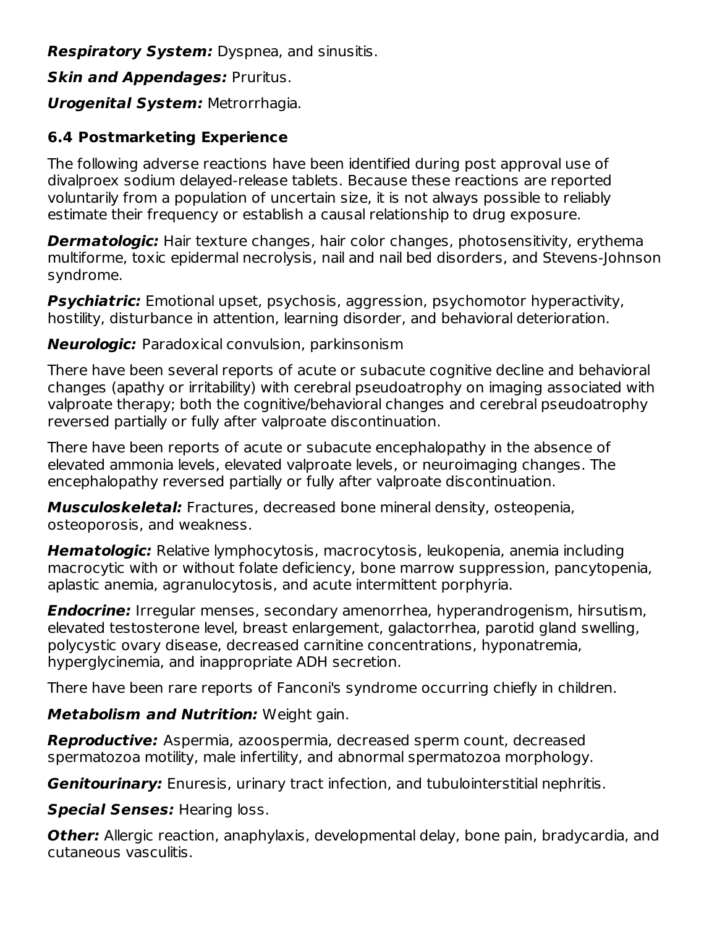**Respiratory System:** Dyspnea, and sinusitis.

**Skin and Appendages:** Pruritus.

**Urogenital System:** Metrorrhagia.

### **6.4 Postmarketing Experience**

The following adverse reactions have been identified during post approval use of divalproex sodium delayed-release tablets. Because these reactions are reported voluntarily from a population of uncertain size, it is not always possible to reliably estimate their frequency or establish a causal relationship to drug exposure.

**Dermatologic:** Hair texture changes, hair color changes, photosensitivity, erythema multiforme, toxic epidermal necrolysis, nail and nail bed disorders, and Stevens-Johnson syndrome.

**Psychiatric:** Emotional upset, psychosis, aggression, psychomotor hyperactivity, hostility, disturbance in attention, learning disorder, and behavioral deterioration.

**Neurologic:** Paradoxical convulsion, parkinsonism

There have been several reports of acute or subacute cognitive decline and behavioral changes (apathy or irritability) with cerebral pseudoatrophy on imaging associated with valproate therapy; both the cognitive/behavioral changes and cerebral pseudoatrophy reversed partially or fully after valproate discontinuation.

There have been reports of acute or subacute encephalopathy in the absence of elevated ammonia levels, elevated valproate levels, or neuroimaging changes. The encephalopathy reversed partially or fully after valproate discontinuation.

**Musculoskeletal:** Fractures, decreased bone mineral density, osteopenia, osteoporosis, and weakness.

**Hematologic:** Relative lymphocytosis, macrocytosis, leukopenia, anemia including macrocytic with or without folate deficiency, bone marrow suppression, pancytopenia, aplastic anemia, agranulocytosis, and acute intermittent porphyria.

**Endocrine:** Irregular menses, secondary amenorrhea, hyperandrogenism, hirsutism, elevated testosterone level, breast enlargement, galactorrhea, parotid gland swelling, polycystic ovary disease, decreased carnitine concentrations, hyponatremia, hyperglycinemia, and inappropriate ADH secretion.

There have been rare reports of Fanconi's syndrome occurring chiefly in children.

**Metabolism and Nutrition:** Weight gain.

**Reproductive:** Aspermia, azoospermia, decreased sperm count, decreased spermatozoa motility, male infertility, and abnormal spermatozoa morphology.

**Genitourinary:** Enuresis, urinary tract infection, and tubulointerstitial nephritis.

**Special Senses:** Hearing loss.

**Other:** Allergic reaction, anaphylaxis, developmental delay, bone pain, bradycardia, and cutaneous vasculitis.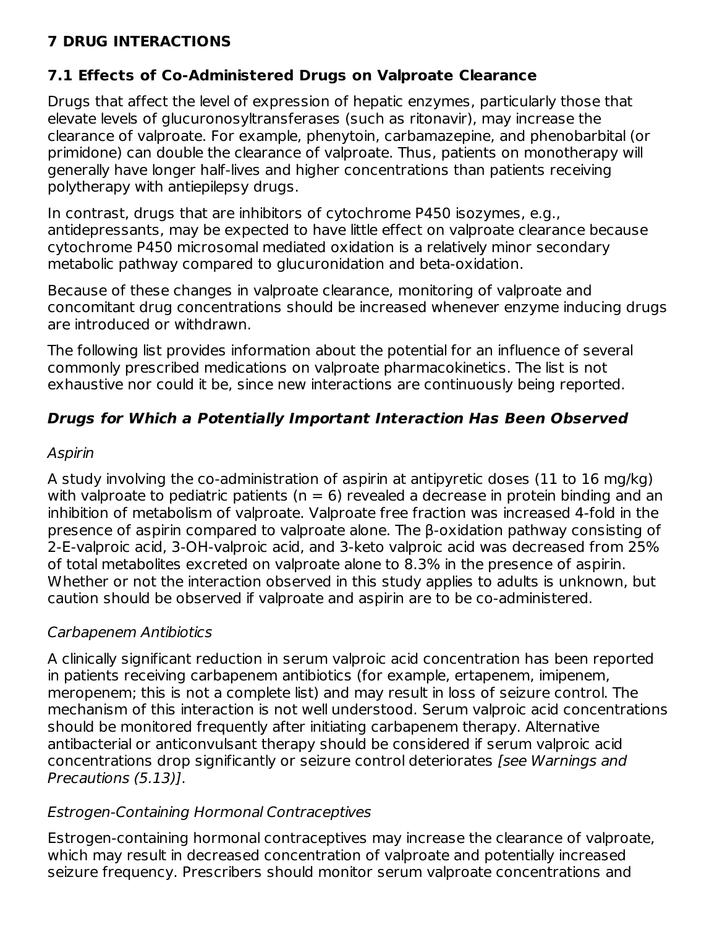# **7 DRUG INTERACTIONS**

### **7.1 Effects of Co-Administered Drugs on Valproate Clearance**

Drugs that affect the level of expression of hepatic enzymes, particularly those that elevate levels of glucuronosyltransferases (such as ritonavir), may increase the clearance of valproate. For example, phenytoin, carbamazepine, and phenobarbital (or primidone) can double the clearance of valproate. Thus, patients on monotherapy will generally have longer half-lives and higher concentrations than patients receiving polytherapy with antiepilepsy drugs.

In contrast, drugs that are inhibitors of cytochrome P450 isozymes, e.g., antidepressants, may be expected to have little effect on valproate clearance because cytochrome P450 microsomal mediated oxidation is a relatively minor secondary metabolic pathway compared to glucuronidation and beta-oxidation.

Because of these changes in valproate clearance, monitoring of valproate and concomitant drug concentrations should be increased whenever enzyme inducing drugs are introduced or withdrawn.

The following list provides information about the potential for an influence of several commonly prescribed medications on valproate pharmacokinetics. The list is not exhaustive nor could it be, since new interactions are continuously being reported.

# **Drugs for Which a Potentially Important Interaction Has Been Observed**

### Aspirin

A study involving the co-administration of aspirin at antipyretic doses (11 to 16 mg/kg) with valproate to pediatric patients ( $n = 6$ ) revealed a decrease in protein binding and an inhibition of metabolism of valproate. Valproate free fraction was increased 4-fold in the presence of aspirin compared to valproate alone. The β-oxidation pathway consisting of 2-E-valproic acid, 3-OH-valproic acid, and 3-keto valproic acid was decreased from 25% of total metabolites excreted on valproate alone to 8.3% in the presence of aspirin. Whether or not the interaction observed in this study applies to adults is unknown, but caution should be observed if valproate and aspirin are to be co-administered.

# Carbapenem Antibiotics

A clinically significant reduction in serum valproic acid concentration has been reported in patients receiving carbapenem antibiotics (for example, ertapenem, imipenem, meropenem; this is not a complete list) and may result in loss of seizure control. The mechanism of this interaction is not well understood. Serum valproic acid concentrations should be monitored frequently after initiating carbapenem therapy. Alternative antibacterial or anticonvulsant therapy should be considered if serum valproic acid concentrations drop significantly or seizure control deteriorates [see Warnings and Precautions (5.13)].

### Estrogen-Containing Hormonal Contraceptives

Estrogen-containing hormonal contraceptives may increase the clearance of valproate, which may result in decreased concentration of valproate and potentially increased seizure frequency. Prescribers should monitor serum valproate concentrations and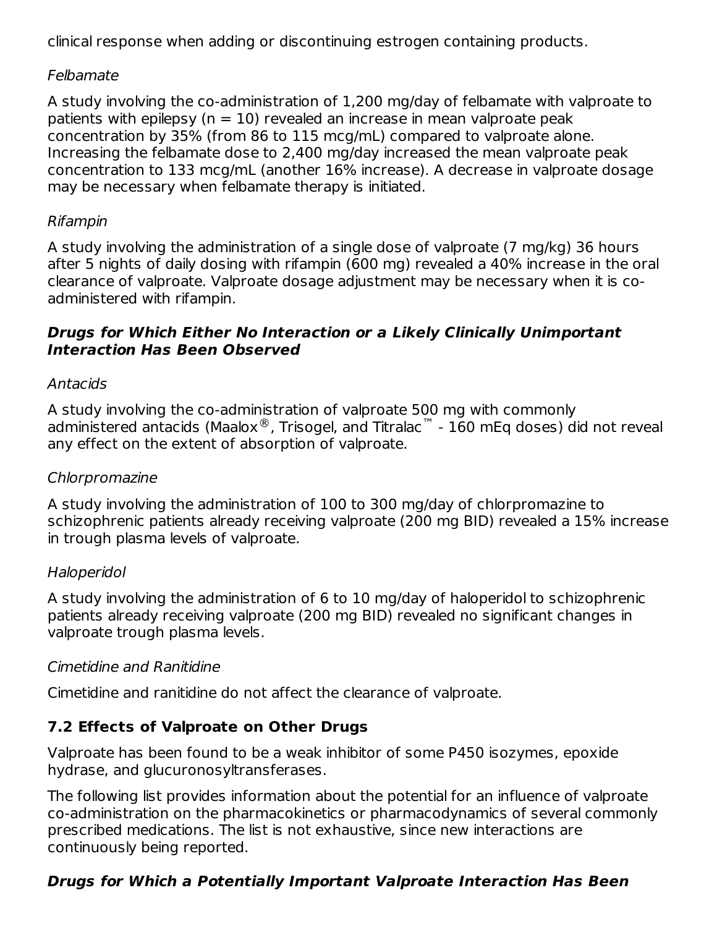clinical response when adding or discontinuing estrogen containing products.

### Felbamate

A study involving the co-administration of 1,200 mg/day of felbamate with valproate to patients with epilepsy ( $n = 10$ ) revealed an increase in mean valproate peak concentration by 35% (from 86 to 115 mcg/mL) compared to valproate alone. Increasing the felbamate dose to 2,400 mg/day increased the mean valproate peak concentration to 133 mcg/mL (another 16% increase). A decrease in valproate dosage may be necessary when felbamate therapy is initiated.

#### Rifampin

A study involving the administration of a single dose of valproate (7 mg/kg) 36 hours after 5 nights of daily dosing with rifampin (600 mg) revealed a 40% increase in the oral clearance of valproate. Valproate dosage adjustment may be necessary when it is coadministered with rifampin.

#### **Drugs for Which Either No Interaction or a Likely Clinically Unimportant Interaction Has Been Observed**

### Antacids

A study involving the co-administration of valproate 500 mg with commonly administered antacids (Maalox®, Trisogel, and Titralac™ - 160 mEq doses) did not reveal any effect on the extent of absorption of valproate.

#### Chlorpromazine

A study involving the administration of 100 to 300 mg/day of chlorpromazine to schizophrenic patients already receiving valproate (200 mg BID) revealed a 15% increase in trough plasma levels of valproate.

#### Haloperidol

A study involving the administration of 6 to 10 mg/day of haloperidol to schizophrenic patients already receiving valproate (200 mg BID) revealed no significant changes in valproate trough plasma levels.

### Cimetidine and Ranitidine

Cimetidine and ranitidine do not affect the clearance of valproate.

### **7.2 Effects of Valproate on Other Drugs**

Valproate has been found to be a weak inhibitor of some P450 isozymes, epoxide hydrase, and glucuronosyltransferases.

The following list provides information about the potential for an influence of valproate co-administration on the pharmacokinetics or pharmacodynamics of several commonly prescribed medications. The list is not exhaustive, since new interactions are continuously being reported.

# **Drugs for Which a Potentially Important Valproate Interaction Has Been**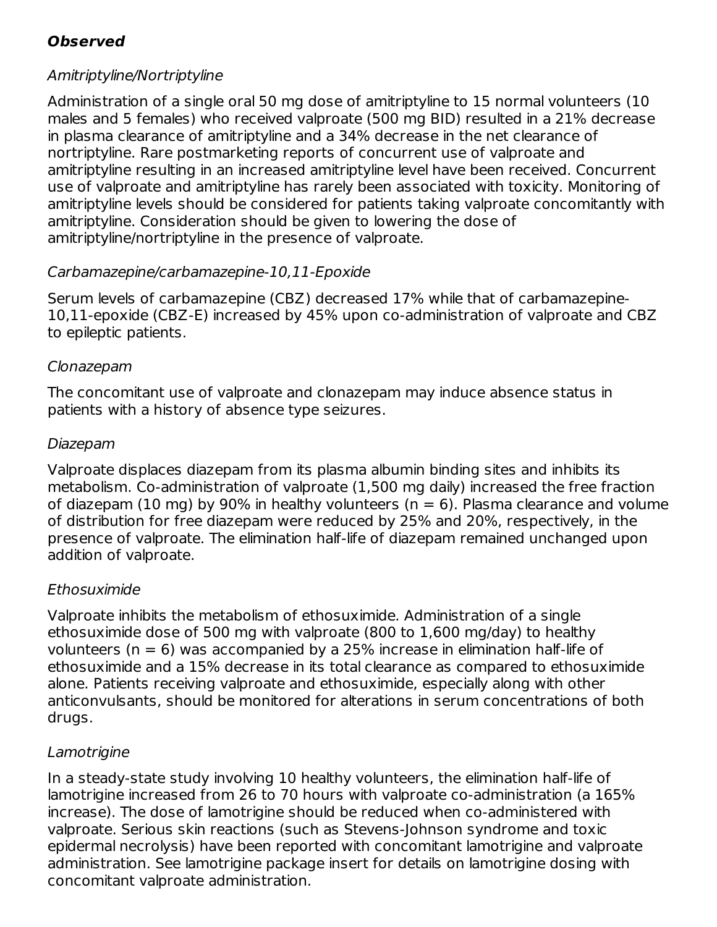# **Observed**

### Amitriptyline/Nortriptyline

Administration of a single oral 50 mg dose of amitriptyline to 15 normal volunteers (10 males and 5 females) who received valproate (500 mg BID) resulted in a 21% decrease in plasma clearance of amitriptyline and a 34% decrease in the net clearance of nortriptyline. Rare postmarketing reports of concurrent use of valproate and amitriptyline resulting in an increased amitriptyline level have been received. Concurrent use of valproate and amitriptyline has rarely been associated with toxicity. Monitoring of amitriptyline levels should be considered for patients taking valproate concomitantly with amitriptyline. Consideration should be given to lowering the dose of amitriptyline/nortriptyline in the presence of valproate.

### Carbamazepine/carbamazepine-10,11-Epoxide

Serum levels of carbamazepine (CBZ) decreased 17% while that of carbamazepine-10,11-epoxide (CBZ-E) increased by 45% upon co-administration of valproate and CBZ to epileptic patients.

### Clonazepam

The concomitant use of valproate and clonazepam may induce absence status in patients with a history of absence type seizures.

### Diazepam

Valproate displaces diazepam from its plasma albumin binding sites and inhibits its metabolism. Co-administration of valproate (1,500 mg daily) increased the free fraction of diazepam (10 mg) by 90% in healthy volunteers ( $n = 6$ ). Plasma clearance and volume of distribution for free diazepam were reduced by 25% and 20%, respectively, in the presence of valproate. The elimination half-life of diazepam remained unchanged upon addition of valproate.

### Ethosuximide

Valproate inhibits the metabolism of ethosuximide. Administration of a single ethosuximide dose of 500 mg with valproate (800 to 1,600 mg/day) to healthy volunteers ( $n = 6$ ) was accompanied by a 25% increase in elimination half-life of ethosuximide and a 15% decrease in its total clearance as compared to ethosuximide alone. Patients receiving valproate and ethosuximide, especially along with other anticonvulsants, should be monitored for alterations in serum concentrations of both drugs.

# **Lamotrigine**

In a steady-state study involving 10 healthy volunteers, the elimination half-life of lamotrigine increased from 26 to 70 hours with valproate co-administration (a 165% increase). The dose of lamotrigine should be reduced when co-administered with valproate. Serious skin reactions (such as Stevens-Johnson syndrome and toxic epidermal necrolysis) have been reported with concomitant lamotrigine and valproate administration. See lamotrigine package insert for details on lamotrigine dosing with concomitant valproate administration.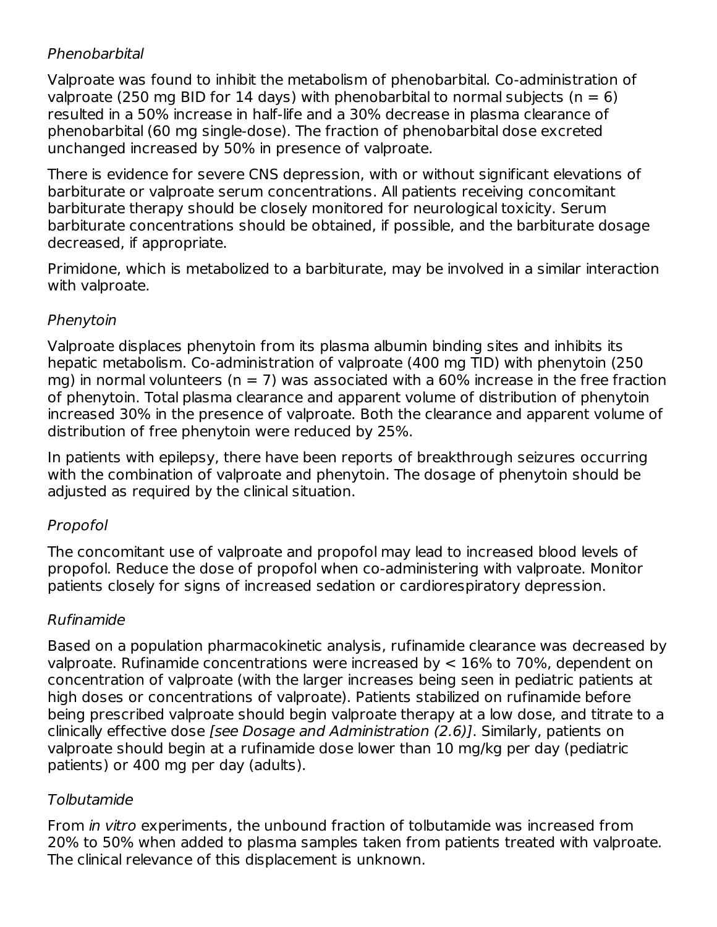### Phenobarbital

Valproate was found to inhibit the metabolism of phenobarbital. Co-administration of valproate (250 mg BID for 14 days) with phenobarbital to normal subjects ( $n = 6$ ) resulted in a 50% increase in half-life and a 30% decrease in plasma clearance of phenobarbital (60 mg single-dose). The fraction of phenobarbital dose excreted unchanged increased by 50% in presence of valproate.

There is evidence for severe CNS depression, with or without significant elevations of barbiturate or valproate serum concentrations. All patients receiving concomitant barbiturate therapy should be closely monitored for neurological toxicity. Serum barbiturate concentrations should be obtained, if possible, and the barbiturate dosage decreased, if appropriate.

Primidone, which is metabolized to a barbiturate, may be involved in a similar interaction with valproate.

#### Phenytoin

Valproate displaces phenytoin from its plasma albumin binding sites and inhibits its hepatic metabolism. Co-administration of valproate (400 mg TID) with phenytoin (250 mg) in normal volunteers ( $n = 7$ ) was associated with a 60% increase in the free fraction of phenytoin. Total plasma clearance and apparent volume of distribution of phenytoin increased 30% in the presence of valproate. Both the clearance and apparent volume of distribution of free phenytoin were reduced by 25%.

In patients with epilepsy, there have been reports of breakthrough seizures occurring with the combination of valproate and phenytoin. The dosage of phenytoin should be adjusted as required by the clinical situation.

### Propofol

The concomitant use of valproate and propofol may lead to increased blood levels of propofol. Reduce the dose of propofol when co-administering with valproate. Monitor patients closely for signs of increased sedation or cardiorespiratory depression.

### Rufinamide

Based on a population pharmacokinetic analysis, rufinamide clearance was decreased by valproate. Rufinamide concentrations were increased by < 16% to 70%, dependent on concentration of valproate (with the larger increases being seen in pediatric patients at high doses or concentrations of valproate). Patients stabilized on rufinamide before being prescribed valproate should begin valproate therapy at a low dose, and titrate to a clinically effective dose [see Dosage and Administration (2.6)]. Similarly, patients on valproate should begin at a rufinamide dose lower than 10 mg/kg per day (pediatric patients) or 400 mg per day (adults).

### Tolbutamide

From in vitro experiments, the unbound fraction of tolbutamide was increased from 20% to 50% when added to plasma samples taken from patients treated with valproate. The clinical relevance of this displacement is unknown.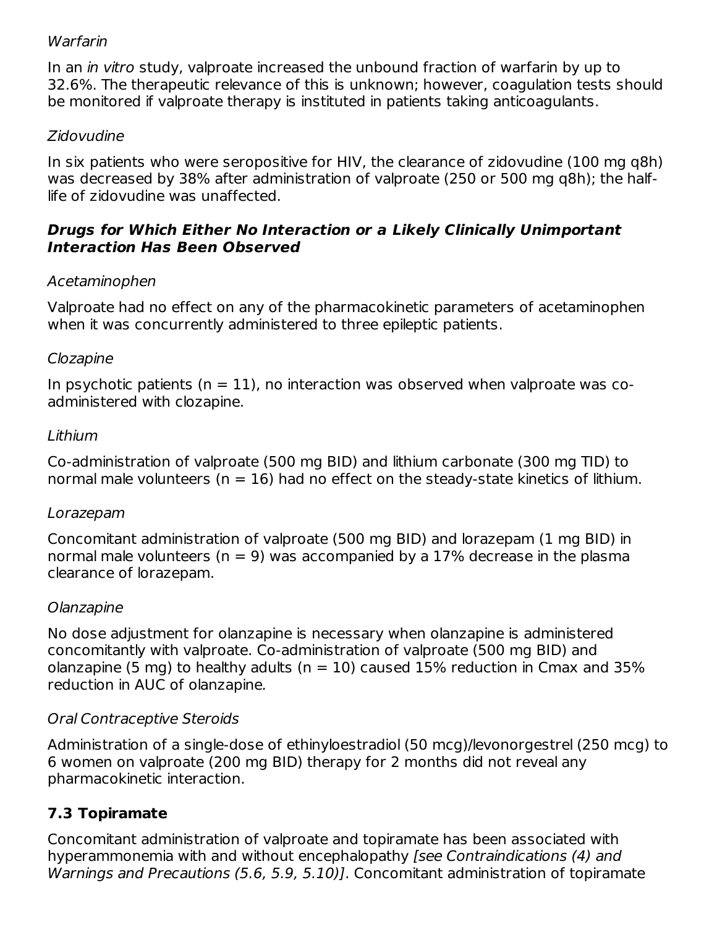#### **Warfarin**

In an *in vitro* study, valproate increased the unbound fraction of warfarin by up to 32.6%. The therapeutic relevance of this is unknown; however, coagulation tests should be monitored if valproate therapy is instituted in patients taking anticoagulants.

### Zidovudine

In six patients who were seropositive for HIV, the clearance of zidovudine (100 mg q8h) was decreased by 38% after administration of valproate (250 or 500 mg q8h); the halflife of zidovudine was unaffected.

#### **Drugs for Which Either No Interaction or a Likely Clinically Unimportant Interaction Has Been Observed**

### Acetaminophen

Valproate had no effect on any of the pharmacokinetic parameters of acetaminophen when it was concurrently administered to three epileptic patients.

#### Clozapine

In psychotic patients  $(n = 11)$ , no interaction was observed when valproate was coadministered with clozapine.

#### Lithium

Co-administration of valproate (500 mg BID) and lithium carbonate (300 mg TID) to normal male volunteers ( $n = 16$ ) had no effect on the steady-state kinetics of lithium.

#### Lorazepam

Concomitant administration of valproate (500 mg BID) and lorazepam (1 mg BID) in normal male volunteers ( $n = 9$ ) was accompanied by a 17% decrease in the plasma clearance of lorazepam.

### Olanzapine

No dose adjustment for olanzapine is necessary when olanzapine is administered concomitantly with valproate. Co-administration of valproate (500 mg BID) and olanzapine (5 mg) to healthy adults ( $n = 10$ ) caused 15% reduction in Cmax and 35% reduction in AUC of olanzapine.

### Oral Contraceptive Steroids

Administration of a single-dose of ethinyloestradiol (50 mcg)/levonorgestrel (250 mcg) to 6 women on valproate (200 mg BID) therapy for 2 months did not reveal any pharmacokinetic interaction.

# **7.3 Topiramate**

Concomitant administration of valproate and topiramate has been associated with hyperammonemia with and without encephalopathy [see Contraindications (4) and Warnings and Precautions (5.6, 5.9, 5.10)]. Concomitant administration of topiramate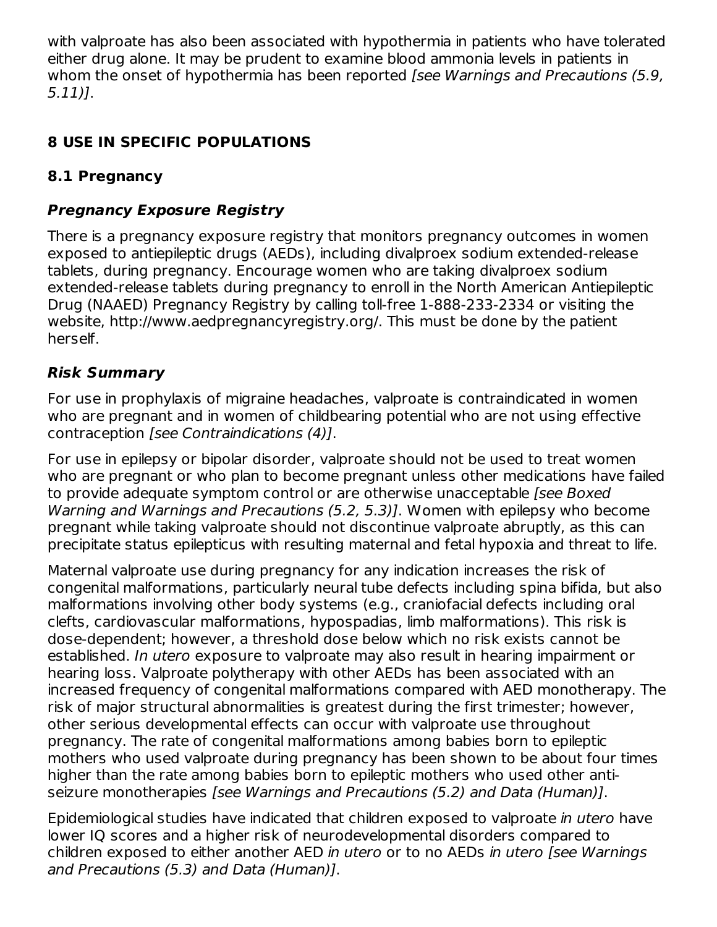with valproate has also been associated with hypothermia in patients who have tolerated either drug alone. It may be prudent to examine blood ammonia levels in patients in whom the onset of hypothermia has been reported *[see Warnings and Precautions (5.9,* 5.11)].

# **8 USE IN SPECIFIC POPULATIONS**

# **8.1 Pregnancy**

# **Pregnancy Exposure Registry**

There is a pregnancy exposure registry that monitors pregnancy outcomes in women exposed to antiepileptic drugs (AEDs), including divalproex sodium extended-release tablets, during pregnancy. Encourage women who are taking divalproex sodium extended-release tablets during pregnancy to enroll in the North American Antiepileptic Drug (NAAED) Pregnancy Registry by calling toll-free 1-888-233-2334 or visiting the website, http://www.aedpregnancyregistry.org/. This must be done by the patient herself.

# **Risk Summary**

For use in prophylaxis of migraine headaches, valproate is contraindicated in women who are pregnant and in women of childbearing potential who are not using effective contraception [see Contraindications (4)].

For use in epilepsy or bipolar disorder, valproate should not be used to treat women who are pregnant or who plan to become pregnant unless other medications have failed to provide adequate symptom control or are otherwise unacceptable [see Boxed Warning and Warnings and Precautions (5.2, 5.3)]. Women with epilepsy who become pregnant while taking valproate should not discontinue valproate abruptly, as this can precipitate status epilepticus with resulting maternal and fetal hypoxia and threat to life.

Maternal valproate use during pregnancy for any indication increases the risk of congenital malformations, particularly neural tube defects including spina bifida, but also malformations involving other body systems (e.g., craniofacial defects including oral clefts, cardiovascular malformations, hypospadias, limb malformations). This risk is dose-dependent; however, a threshold dose below which no risk exists cannot be established. In utero exposure to valproate may also result in hearing impairment or hearing loss. Valproate polytherapy with other AEDs has been associated with an increased frequency of congenital malformations compared with AED monotherapy. The risk of major structural abnormalities is greatest during the first trimester; however, other serious developmental effects can occur with valproate use throughout pregnancy. The rate of congenital malformations among babies born to epileptic mothers who used valproate during pregnancy has been shown to be about four times higher than the rate among babies born to epileptic mothers who used other antiseizure monotherapies [see Warnings and Precautions (5.2) and Data (Human)].

Epidemiological studies have indicated that children exposed to valproate in utero have lower IQ scores and a higher risk of neurodevelopmental disorders compared to children exposed to either another AED in utero or to no AEDs in utero [see Warnings and Precautions (5.3) and Data (Human)].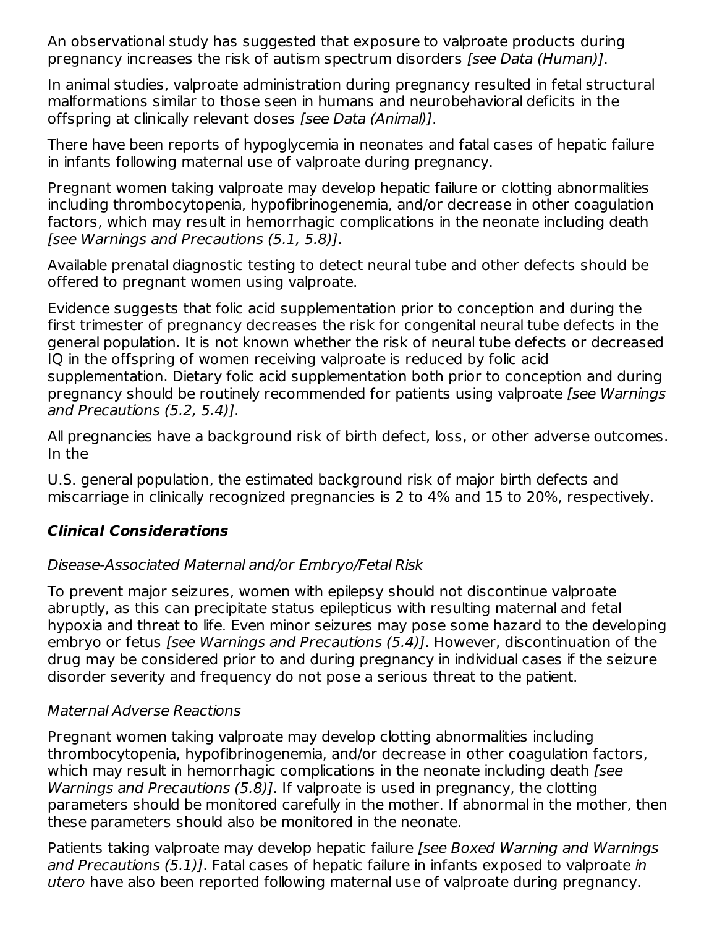An observational study has suggested that exposure to valproate products during pregnancy increases the risk of autism spectrum disorders [see Data (Human)].

In animal studies, valproate administration during pregnancy resulted in fetal structural malformations similar to those seen in humans and neurobehavioral deficits in the offspring at clinically relevant doses [see Data (Animal)].

There have been reports of hypoglycemia in neonates and fatal cases of hepatic failure in infants following maternal use of valproate during pregnancy.

Pregnant women taking valproate may develop hepatic failure or clotting abnormalities including thrombocytopenia, hypofibrinogenemia, and/or decrease in other coagulation factors, which may result in hemorrhagic complications in the neonate including death [see Warnings and Precautions (5.1, 5.8)].

Available prenatal diagnostic testing to detect neural tube and other defects should be offered to pregnant women using valproate.

Evidence suggests that folic acid supplementation prior to conception and during the first trimester of pregnancy decreases the risk for congenital neural tube defects in the general population. It is not known whether the risk of neural tube defects or decreased IQ in the offspring of women receiving valproate is reduced by folic acid supplementation. Dietary folic acid supplementation both prior to conception and during pregnancy should be routinely recommended for patients using valproate [see Warnings and Precautions (5.2, 5.4)].

All pregnancies have a background risk of birth defect, loss, or other adverse outcomes. In the

U.S. general population, the estimated background risk of major birth defects and miscarriage in clinically recognized pregnancies is 2 to 4% and 15 to 20%, respectively.

### **Clinical Considerations**

### Disease-Associated Maternal and/or Embryo/Fetal Risk

To prevent major seizures, women with epilepsy should not discontinue valproate abruptly, as this can precipitate status epilepticus with resulting maternal and fetal hypoxia and threat to life. Even minor seizures may pose some hazard to the developing embryo or fetus [see Warnings and Precautions (5.4)]. However, discontinuation of the drug may be considered prior to and during pregnancy in individual cases if the seizure disorder severity and frequency do not pose a serious threat to the patient.

### Maternal Adverse Reactions

Pregnant women taking valproate may develop clotting abnormalities including thrombocytopenia, hypofibrinogenemia, and/or decrease in other coagulation factors, which may result in hemorrhagic complications in the neonate including death *[see*] Warnings and Precautions (5.8)]. If valproate is used in pregnancy, the clotting parameters should be monitored carefully in the mother. If abnormal in the mother, then these parameters should also be monitored in the neonate.

Patients taking valproate may develop hepatic failure (see Boxed Warning and Warnings and Precautions (5.1)]. Fatal cases of hepatic failure in infants exposed to valproate in utero have also been reported following maternal use of valproate during pregnancy.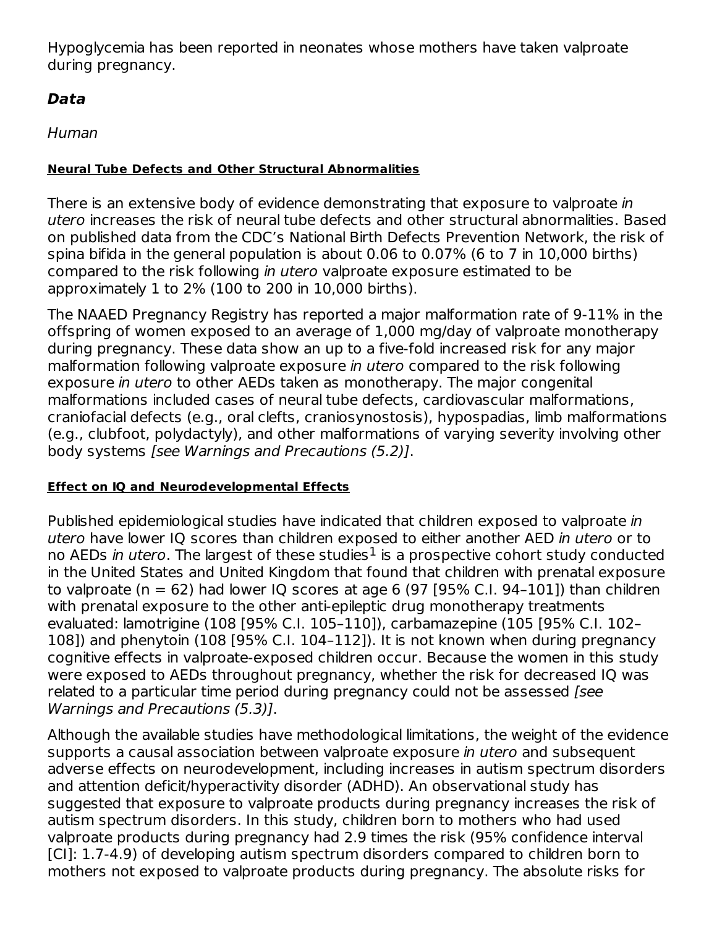Hypoglycemia has been reported in neonates whose mothers have taken valproate during pregnancy.

### **Data**

Human

#### **Neural Tube Defects and Other Structural Abnormalities**

There is an extensive body of evidence demonstrating that exposure to valproate in utero increases the risk of neural tube defects and other structural abnormalities. Based on published data from the CDC's National Birth Defects Prevention Network, the risk of spina bifida in the general population is about 0.06 to 0.07% (6 to 7 in 10,000 births) compared to the risk following in utero valproate exposure estimated to be approximately 1 to 2% (100 to 200 in 10,000 births).

The NAAED Pregnancy Registry has reported a major malformation rate of 9-11% in the offspring of women exposed to an average of 1,000 mg/day of valproate monotherapy during pregnancy. These data show an up to a five-fold increased risk for any major malformation following valproate exposure in utero compared to the risk following exposure in utero to other AEDs taken as monotherapy. The major congenital malformations included cases of neural tube defects, cardiovascular malformations, craniofacial defects (e.g., oral clefts, craniosynostosis), hypospadias, limb malformations (e.g., clubfoot, polydactyly), and other malformations of varying severity involving other body systems [see Warnings and Precautions (5.2)].

#### **Effect on IQ and Neurodevelopmental Effects**

Published epidemiological studies have indicated that children exposed to valproate in utero have lower IQ scores than children exposed to either another AED in utero or to no AEDs *in utero*. The largest of these studies $^1$  is a prospective cohort study conducted in the United States and United Kingdom that found that children with prenatal exposure to valproate (n = 62) had lower IQ scores at age 6 (97 [95% C.I. 94-101]) than children with prenatal exposure to the other anti-epileptic drug monotherapy treatments evaluated: lamotrigine (108 [95% C.I. 105–110]), carbamazepine (105 [95% C.I. 102– 108]) and phenytoin (108 [95% C.I. 104–112]). It is not known when during pregnancy cognitive effects in valproate-exposed children occur. Because the women in this study were exposed to AEDs throughout pregnancy, whether the risk for decreased IQ was related to a particular time period during pregnancy could not be assessed [see Warnings and Precautions (5.3)].

Although the available studies have methodological limitations, the weight of the evidence supports a causal association between valproate exposure *in utero* and subsequent adverse effects on neurodevelopment, including increases in autism spectrum disorders and attention deficit/hyperactivity disorder (ADHD). An observational study has suggested that exposure to valproate products during pregnancy increases the risk of autism spectrum disorders. In this study, children born to mothers who had used valproate products during pregnancy had 2.9 times the risk (95% confidence interval [CI]: 1.7-4.9) of developing autism spectrum disorders compared to children born to mothers not exposed to valproate products during pregnancy. The absolute risks for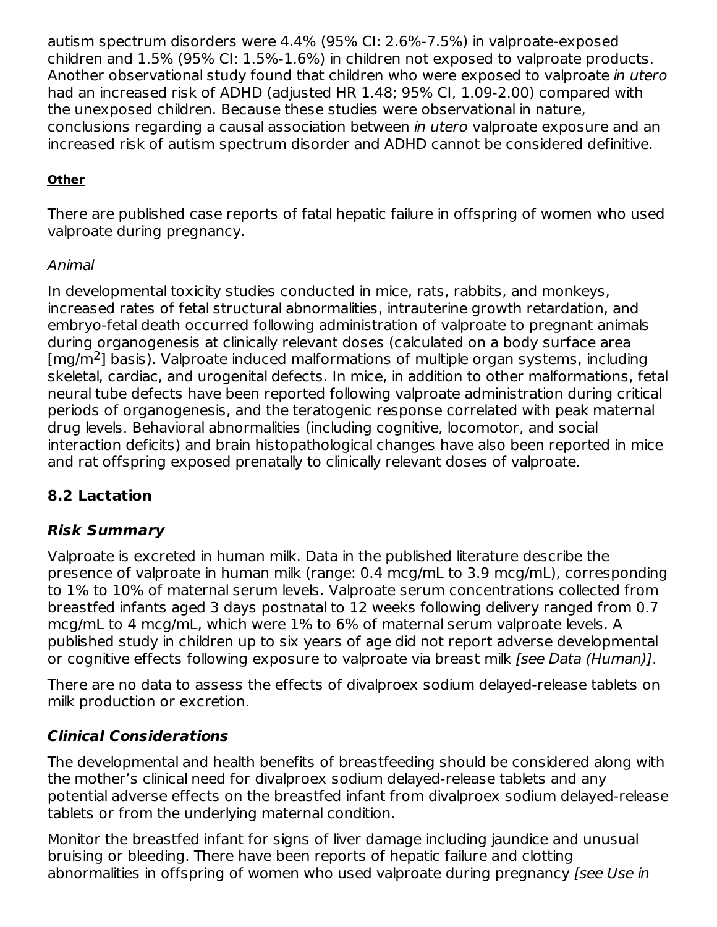autism spectrum disorders were 4.4% (95% CI: 2.6%-7.5%) in valproate-exposed children and 1.5% (95% CI: 1.5%-1.6%) in children not exposed to valproate products. Another observational study found that children who were exposed to valproate in utero had an increased risk of ADHD (adjusted HR 1.48; 95% CI, 1.09-2.00) compared with the unexposed children. Because these studies were observational in nature, conclusions regarding a causal association between in utero valproate exposure and an increased risk of autism spectrum disorder and ADHD cannot be considered definitive.

### **Other**

There are published case reports of fatal hepatic failure in offspring of women who used valproate during pregnancy.

### Animal

In developmental toxicity studies conducted in mice, rats, rabbits, and monkeys, increased rates of fetal structural abnormalities, intrauterine growth retardation, and embryo-fetal death occurred following administration of valproate to pregnant animals during organogenesis at clinically relevant doses (calculated on a body surface area [mg/m<sup>2</sup>] basis). Valproate induced malformations of multiple organ systems, including skeletal, cardiac, and urogenital defects. In mice, in addition to other malformations, fetal neural tube defects have been reported following valproate administration during critical periods of organogenesis, and the teratogenic response correlated with peak maternal drug levels. Behavioral abnormalities (including cognitive, locomotor, and social interaction deficits) and brain histopathological changes have also been reported in mice and rat offspring exposed prenatally to clinically relevant doses of valproate.

### **8.2 Lactation**

### **Risk Summary**

Valproate is excreted in human milk. Data in the published literature describe the presence of valproate in human milk (range: 0.4 mcg/mL to 3.9 mcg/mL), corresponding to 1% to 10% of maternal serum levels. Valproate serum concentrations collected from breastfed infants aged 3 days postnatal to 12 weeks following delivery ranged from 0.7 mcg/mL to 4 mcg/mL, which were 1% to 6% of maternal serum valproate levels. A published study in children up to six years of age did not report adverse developmental or cognitive effects following exposure to valproate via breast milk [see Data (Human)].

There are no data to assess the effects of divalproex sodium delayed-release tablets on milk production or excretion.

### **Clinical Considerations**

The developmental and health benefits of breastfeeding should be considered along with the mother's clinical need for divalproex sodium delayed-release tablets and any potential adverse effects on the breastfed infant from divalproex sodium delayed-release tablets or from the underlying maternal condition.

Monitor the breastfed infant for signs of liver damage including jaundice and unusual bruising or bleeding. There have been reports of hepatic failure and clotting abnormalities in offspring of women who used valproate during pregnancy [see Use in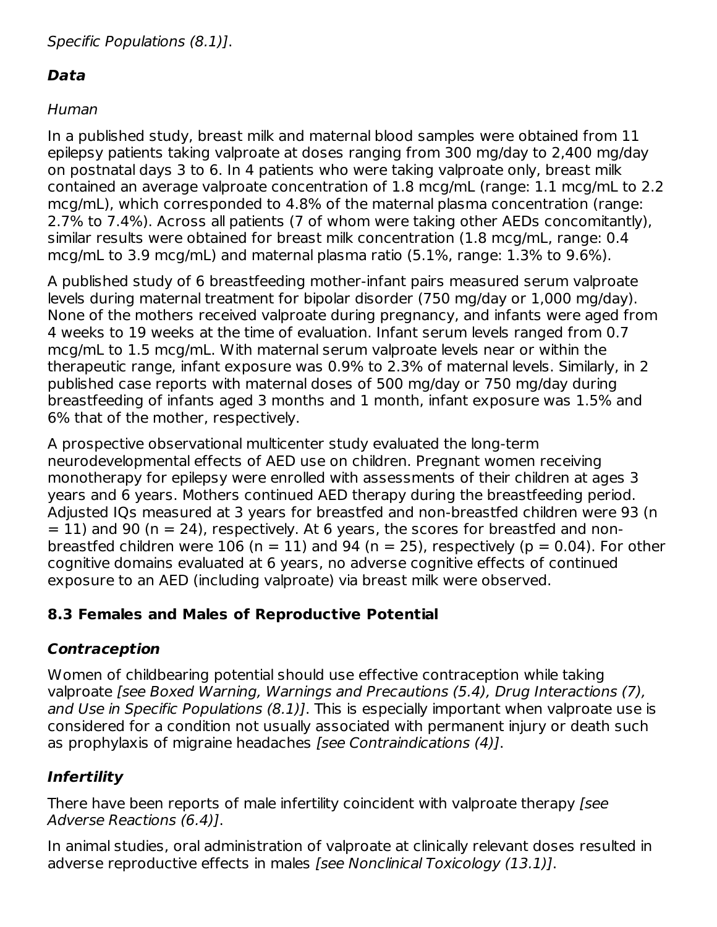# **Data**

# Human

In a published study, breast milk and maternal blood samples were obtained from 11 epilepsy patients taking valproate at doses ranging from 300 mg/day to 2,400 mg/day on postnatal days 3 to 6. In 4 patients who were taking valproate only, breast milk contained an average valproate concentration of 1.8 mcg/mL (range: 1.1 mcg/mL to 2.2 mcg/mL), which corresponded to 4.8% of the maternal plasma concentration (range: 2.7% to 7.4%). Across all patients (7 of whom were taking other AEDs concomitantly), similar results were obtained for breast milk concentration (1.8 mcg/mL, range: 0.4 mcg/mL to 3.9 mcg/mL) and maternal plasma ratio (5.1%, range: 1.3% to 9.6%).

A published study of 6 breastfeeding mother-infant pairs measured serum valproate levels during maternal treatment for bipolar disorder (750 mg/day or 1,000 mg/day). None of the mothers received valproate during pregnancy, and infants were aged from 4 weeks to 19 weeks at the time of evaluation. Infant serum levels ranged from 0.7 mcg/mL to 1.5 mcg/mL. With maternal serum valproate levels near or within the therapeutic range, infant exposure was 0.9% to 2.3% of maternal levels. Similarly, in 2 published case reports with maternal doses of 500 mg/day or 750 mg/day during breastfeeding of infants aged 3 months and 1 month, infant exposure was 1.5% and 6% that of the mother, respectively.

A prospective observational multicenter study evaluated the long-term neurodevelopmental effects of AED use on children. Pregnant women receiving monotherapy for epilepsy were enrolled with assessments of their children at ages 3 years and 6 years. Mothers continued AED therapy during the breastfeeding period. Adjusted IQs measured at 3 years for breastfed and non-breastfed children were 93 (n  $= 11$ ) and 90 (n  $= 24$ ), respectively. At 6 years, the scores for breastfed and nonbreastfed children were 106 (n = 11) and 94 (n = 25), respectively (p = 0.04). For other cognitive domains evaluated at 6 years, no adverse cognitive effects of continued exposure to an AED (including valproate) via breast milk were observed.

# **8.3 Females and Males of Reproductive Potential**

# **Contraception**

Women of childbearing potential should use effective contraception while taking valproate [see Boxed Warning, Warnings and Precautions (5.4), Drug Interactions (7), and Use in Specific Populations (8.1)]. This is especially important when valproate use is considered for a condition not usually associated with permanent injury or death such as prophylaxis of migraine headaches [see Contraindications (4)].

# **Infertility**

There have been reports of male infertility coincident with valproate therapy [see Adverse Reactions (6.4)].

In animal studies, oral administration of valproate at clinically relevant doses resulted in adverse reproductive effects in males [see Nonclinical Toxicology (13.1)].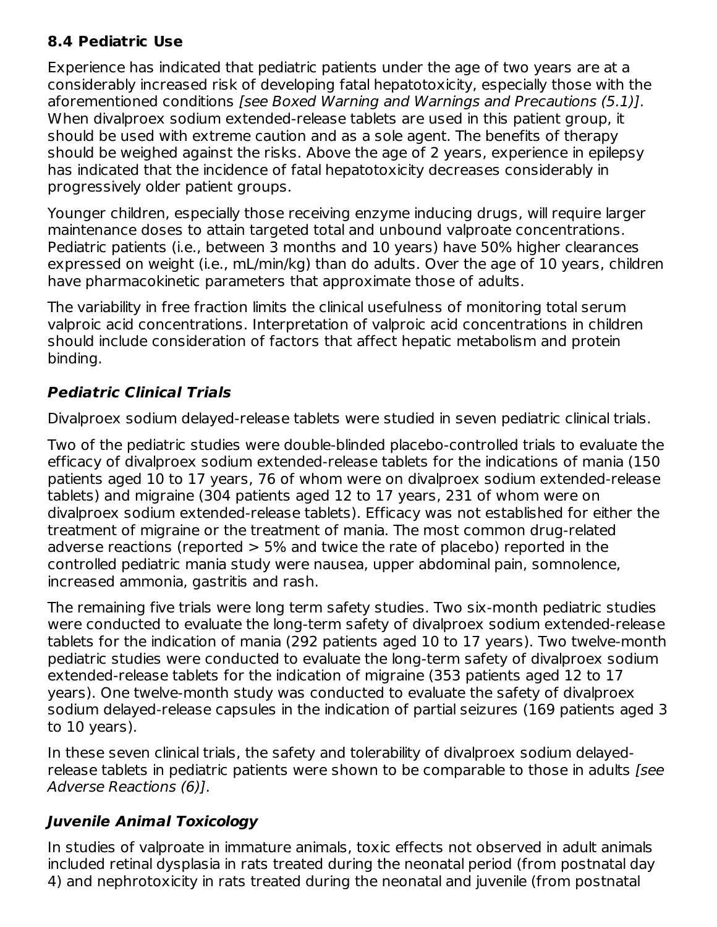### **8.4 Pediatric Use**

Experience has indicated that pediatric patients under the age of two years are at a considerably increased risk of developing fatal hepatotoxicity, especially those with the aforementioned conditions [see Boxed Warning and Warnings and Precautions (5.1)]. When divalproex sodium extended-release tablets are used in this patient group, it should be used with extreme caution and as a sole agent. The benefits of therapy should be weighed against the risks. Above the age of 2 years, experience in epilepsy has indicated that the incidence of fatal hepatotoxicity decreases considerably in progressively older patient groups.

Younger children, especially those receiving enzyme inducing drugs, will require larger maintenance doses to attain targeted total and unbound valproate concentrations. Pediatric patients (i.e., between 3 months and 10 years) have 50% higher clearances expressed on weight (i.e., mL/min/kg) than do adults. Over the age of 10 years, children have pharmacokinetic parameters that approximate those of adults.

The variability in free fraction limits the clinical usefulness of monitoring total serum valproic acid concentrations. Interpretation of valproic acid concentrations in children should include consideration of factors that affect hepatic metabolism and protein binding.

# **Pediatric Clinical Trials**

Divalproex sodium delayed-release tablets were studied in seven pediatric clinical trials.

Two of the pediatric studies were double-blinded placebo-controlled trials to evaluate the efficacy of divalproex sodium extended-release tablets for the indications of mania (150 patients aged 10 to 17 years, 76 of whom were on divalproex sodium extended-release tablets) and migraine (304 patients aged 12 to 17 years, 231 of whom were on divalproex sodium extended-release tablets). Efficacy was not established for either the treatment of migraine or the treatment of mania. The most common drug-related adverse reactions (reported > 5% and twice the rate of placebo) reported in the controlled pediatric mania study were nausea, upper abdominal pain, somnolence, increased ammonia, gastritis and rash.

The remaining five trials were long term safety studies. Two six-month pediatric studies were conducted to evaluate the long-term safety of divalproex sodium extended-release tablets for the indication of mania (292 patients aged 10 to 17 years). Two twelve-month pediatric studies were conducted to evaluate the long-term safety of divalproex sodium extended-release tablets for the indication of migraine (353 patients aged 12 to 17 years). One twelve-month study was conducted to evaluate the safety of divalproex sodium delayed-release capsules in the indication of partial seizures (169 patients aged 3 to 10 years).

In these seven clinical trials, the safety and tolerability of divalproex sodium delayedrelease tablets in pediatric patients were shown to be comparable to those in adults [see Adverse Reactions (6)].

# **Juvenile Animal Toxicology**

In studies of valproate in immature animals, toxic effects not observed in adult animals included retinal dysplasia in rats treated during the neonatal period (from postnatal day 4) and nephrotoxicity in rats treated during the neonatal and juvenile (from postnatal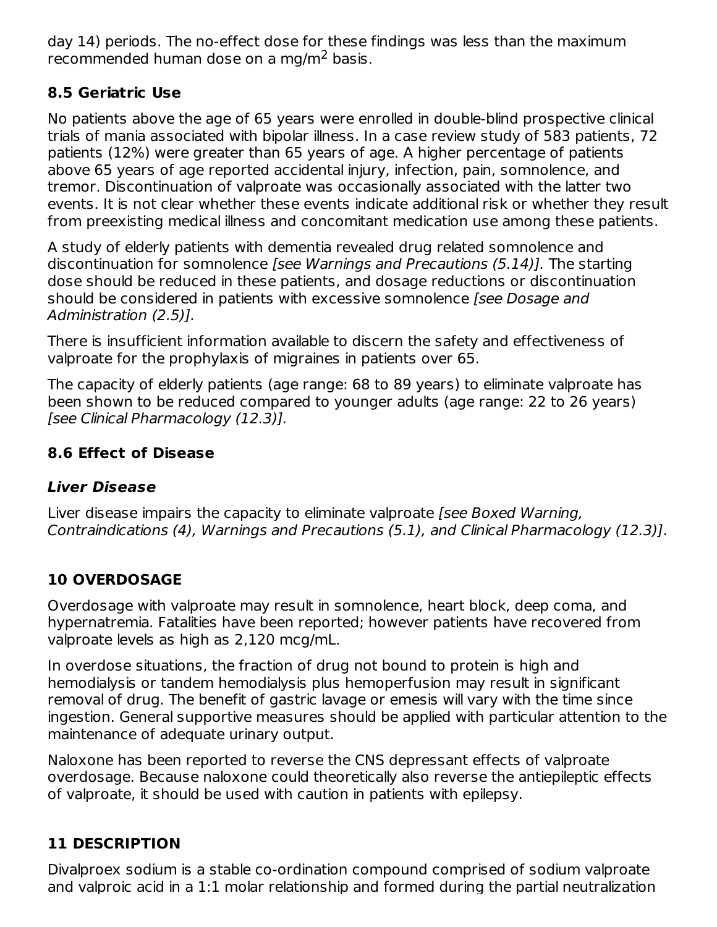day 14) periods. The no-effect dose for these findings was less than the maximum recommended human dose on a mg/m<sup>2</sup> basis.

### **8.5 Geriatric Use**

No patients above the age of 65 years were enrolled in double-blind prospective clinical trials of mania associated with bipolar illness. In a case review study of 583 patients, 72 patients (12%) were greater than 65 years of age. A higher percentage of patients above 65 years of age reported accidental injury, infection, pain, somnolence, and tremor. Discontinuation of valproate was occasionally associated with the latter two events. It is not clear whether these events indicate additional risk or whether they result from preexisting medical illness and concomitant medication use among these patients.

A study of elderly patients with dementia revealed drug related somnolence and discontinuation for somnolence [see Warnings and Precautions (5.14)]. The starting dose should be reduced in these patients, and dosage reductions or discontinuation should be considered in patients with excessive somnolence [see Dosage and Administration (2.5)].

There is insufficient information available to discern the safety and effectiveness of valproate for the prophylaxis of migraines in patients over 65.

The capacity of elderly patients (age range: 68 to 89 years) to eliminate valproate has been shown to be reduced compared to younger adults (age range: 22 to 26 years) [see Clinical Pharmacology (12.3)].

# **8.6 Effect of Disease**

# **Liver Disease**

Liver disease impairs the capacity to eliminate valproate *[see Boxed Warning,* Contraindications (4), Warnings and Precautions (5.1), and Clinical Pharmacology (12.3)].

# **10 OVERDOSAGE**

Overdosage with valproate may result in somnolence, heart block, deep coma, and hypernatremia. Fatalities have been reported; however patients have recovered from valproate levels as high as 2,120 mcg/mL.

In overdose situations, the fraction of drug not bound to protein is high and hemodialysis or tandem hemodialysis plus hemoperfusion may result in significant removal of drug. The benefit of gastric lavage or emesis will vary with the time since ingestion. General supportive measures should be applied with particular attention to the maintenance of adequate urinary output.

Naloxone has been reported to reverse the CNS depressant effects of valproate overdosage. Because naloxone could theoretically also reverse the antiepileptic effects of valproate, it should be used with caution in patients with epilepsy.

# **11 DESCRIPTION**

Divalproex sodium is a stable co-ordination compound comprised of sodium valproate and valproic acid in a 1:1 molar relationship and formed during the partial neutralization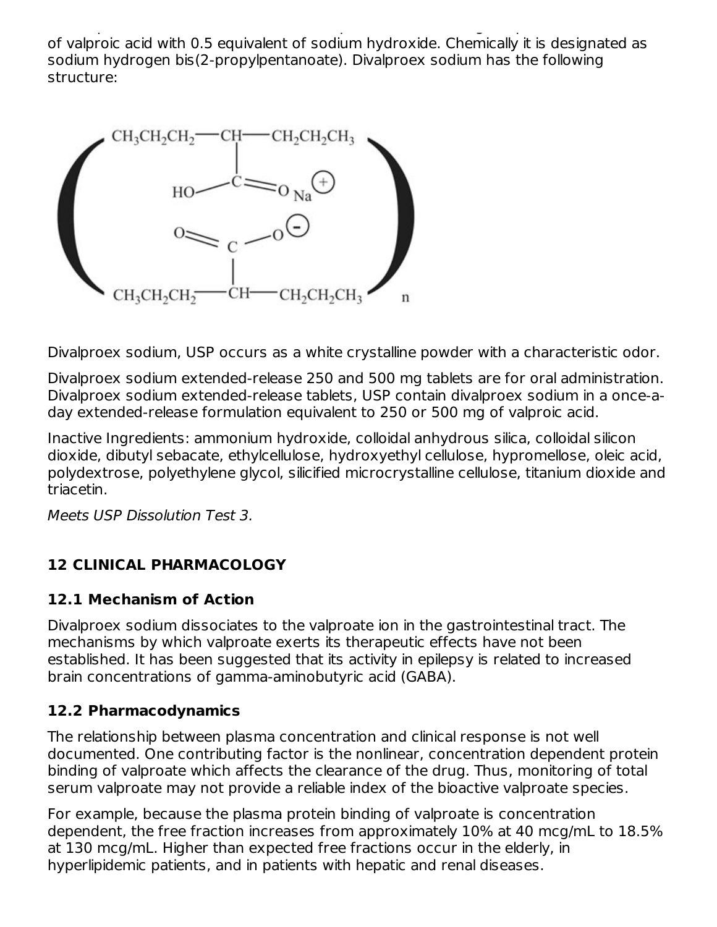and valproic acid in a 1:1 molar relationship and formed during the partial neutralization of valproic acid with 0.5 equivalent of sodium hydroxide. Chemically it is designated as sodium hydrogen bis(2-propylpentanoate). Divalproex sodium has the following structure:



Divalproex sodium, USP occurs as a white crystalline powder with a characteristic odor.

Divalproex sodium extended-release 250 and 500 mg tablets are for oral administration. Divalproex sodium extended-release tablets, USP contain divalproex sodium in a once-aday extended-release formulation equivalent to 250 or 500 mg of valproic acid.

Inactive Ingredients: ammonium hydroxide, colloidal anhydrous silica, colloidal silicon dioxide, dibutyl sebacate, ethylcellulose, hydroxyethyl cellulose, hypromellose, oleic acid, polydextrose, polyethylene glycol, silicified microcrystalline cellulose, titanium dioxide and triacetin.

Meets USP Dissolution Test 3.

# **12 CLINICAL PHARMACOLOGY**

### **12.1 Mechanism of Action**

Divalproex sodium dissociates to the valproate ion in the gastrointestinal tract. The mechanisms by which valproate exerts its therapeutic effects have not been established. It has been suggested that its activity in epilepsy is related to increased brain concentrations of gamma-aminobutyric acid (GABA).

### **12.2 Pharmacodynamics**

The relationship between plasma concentration and clinical response is not well documented. One contributing factor is the nonlinear, concentration dependent protein binding of valproate which affects the clearance of the drug. Thus, monitoring of total serum valproate may not provide a reliable index of the bioactive valproate species.

For example, because the plasma protein binding of valproate is concentration dependent, the free fraction increases from approximately 10% at 40 mcg/mL to 18.5% at 130 mcg/mL. Higher than expected free fractions occur in the elderly, in hyperlipidemic patients, and in patients with hepatic and renal diseases.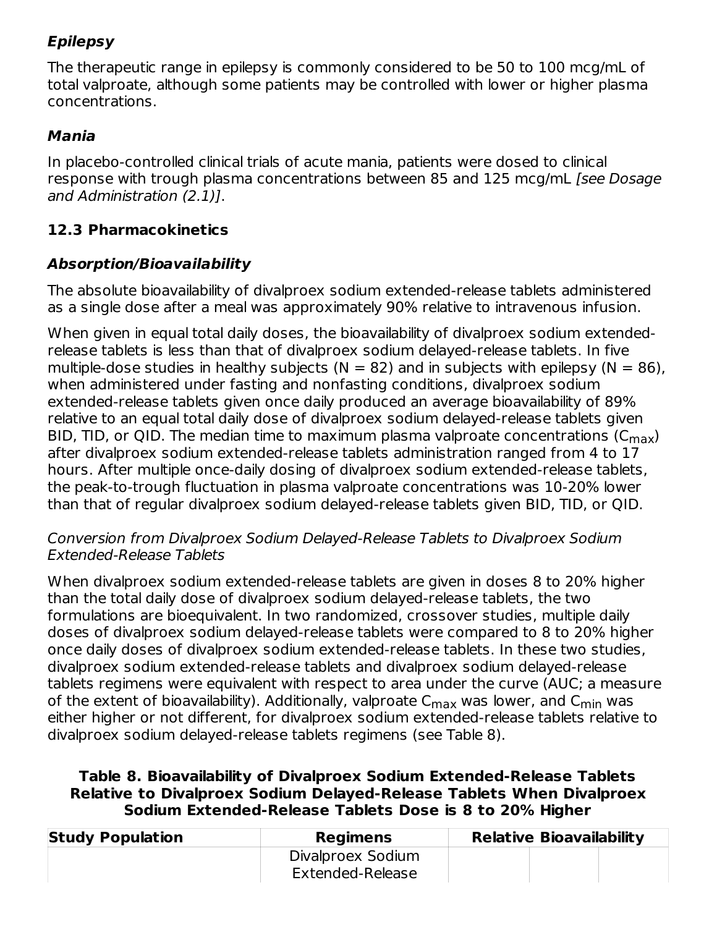# **Epilepsy**

The therapeutic range in epilepsy is commonly considered to be 50 to 100 mcg/mL of total valproate, although some patients may be controlled with lower or higher plasma concentrations.

# **Mania**

In placebo-controlled clinical trials of acute mania, patients were dosed to clinical response with trough plasma concentrations between 85 and 125 mcg/mL [see Dosage and Administration (2.1)].

# **12.3 Pharmacokinetics**

# **Absorption/Bioavailability**

The absolute bioavailability of divalproex sodium extended-release tablets administered as a single dose after a meal was approximately 90% relative to intravenous infusion.

When given in equal total daily doses, the bioavailability of divalproex sodium extendedrelease tablets is less than that of divalproex sodium delayed-release tablets. In five multiple-dose studies in healthy subjects ( $N = 82$ ) and in subjects with epilepsy ( $N = 86$ ), when administered under fasting and nonfasting conditions, divalproex sodium extended-release tablets given once daily produced an average bioavailability of 89% relative to an equal total daily dose of divalproex sodium delayed-release tablets given BID, TID, or QID. The median time to maximum plasma valproate concentrations ( $C_{\rm max}$ ) after divalproex sodium extended-release tablets administration ranged from 4 to 17 hours. After multiple once-daily dosing of divalproex sodium extended-release tablets, the peak-to-trough fluctuation in plasma valproate concentrations was 10-20% lower than that of regular divalproex sodium delayed-release tablets given BID, TID, or QID.

#### Conversion from Divalproex Sodium Delayed-Release Tablets to Divalproex Sodium Extended-Release Tablets

When divalproex sodium extended-release tablets are given in doses 8 to 20% higher than the total daily dose of divalproex sodium delayed-release tablets, the two formulations are bioequivalent. In two randomized, crossover studies, multiple daily doses of divalproex sodium delayed-release tablets were compared to 8 to 20% higher once daily doses of divalproex sodium extended-release tablets. In these two studies, divalproex sodium extended-release tablets and divalproex sodium delayed-release tablets regimens were equivalent with respect to area under the curve (AUC; a measure of the extent of bioavailability). Additionally, valproate  ${\sf C}_{\sf max}$  was lower, and  ${\sf C}_{\sf min}$  was either higher or not different, for divalproex sodium extended-release tablets relative to divalproex sodium delayed-release tablets regimens (see Table 8).

### **Table 8. Bioavailability of Divalproex Sodium Extended-Release Tablets Relative to Divalproex Sodium Delayed-Release Tablets When Divalproex Sodium Extended-Release Tablets Dose is 8 to 20% Higher**

| <b>Study Population</b> | Regimens          | <b>Relative Bioavailability</b> |  |
|-------------------------|-------------------|---------------------------------|--|
|                         | Divalproex Sodium |                                 |  |
|                         | Extended-Release  |                                 |  |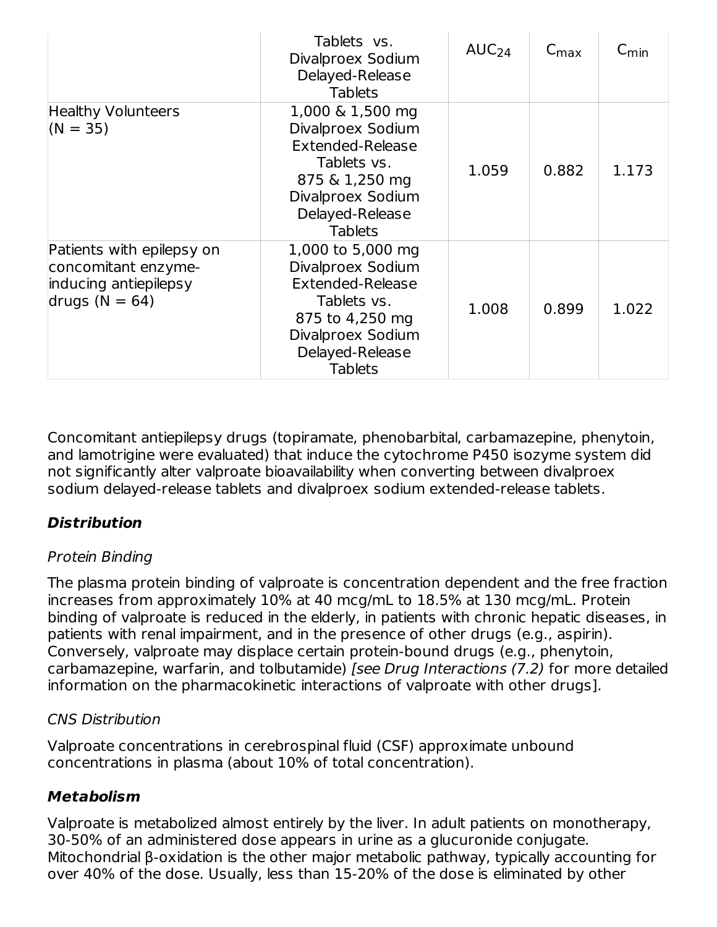|                                                                                               | Tablets vs.<br>Divalproex Sodium<br>Delayed-Release<br><b>Tablets</b>                                                                                         | AUC <sub>24</sub> | $C_{\text{max}}$ | $C_{\text{min}}$ |
|-----------------------------------------------------------------------------------------------|---------------------------------------------------------------------------------------------------------------------------------------------------------------|-------------------|------------------|------------------|
| <b>Healthy Volunteers</b><br>$(N = 35)$                                                       | 1,000 & 1,500 mg<br>Divalproex Sodium<br><b>Extended-Release</b><br>Tablets vs.<br>875 & 1,250 mg<br>Divalproex Sodium<br>Delayed-Release<br><b>Tablets</b>   | 1.059             | 0.882            | 1.173            |
| Patients with epilepsy on<br>concomitant enzyme-<br>inducing antiepilepsy<br>drugs $(N = 64)$ | 1,000 to 5,000 mg<br>Divalproex Sodium<br><b>Extended-Release</b><br>Tablets vs.<br>875 to 4,250 mg<br>Divalproex Sodium<br>Delayed-Release<br><b>Tablets</b> | 1.008             | 0.899            | 1.022            |

Concomitant antiepilepsy drugs (topiramate, phenobarbital, carbamazepine, phenytoin, and lamotrigine were evaluated) that induce the cytochrome P450 isozyme system did not significantly alter valproate bioavailability when converting between divalproex sodium delayed-release tablets and divalproex sodium extended-release tablets.

# **Distribution**

### Protein Binding

The plasma protein binding of valproate is concentration dependent and the free fraction increases from approximately 10% at 40 mcg/mL to 18.5% at 130 mcg/mL. Protein binding of valproate is reduced in the elderly, in patients with chronic hepatic diseases, in patients with renal impairment, and in the presence of other drugs (e.g., aspirin). Conversely, valproate may displace certain protein-bound drugs (e.g., phenytoin, carbamazepine, warfarin, and tolbutamide) [see Drug Interactions (7.2) for more detailed information on the pharmacokinetic interactions of valproate with other drugs].

### CNS Distribution

Valproate concentrations in cerebrospinal fluid (CSF) approximate unbound concentrations in plasma (about 10% of total concentration).

### **Metabolism**

Valproate is metabolized almost entirely by the liver. In adult patients on monotherapy, 30-50% of an administered dose appears in urine as a glucuronide conjugate. Mitochondrial β-oxidation is the other major metabolic pathway, typically accounting for over 40% of the dose. Usually, less than 15-20% of the dose is eliminated by other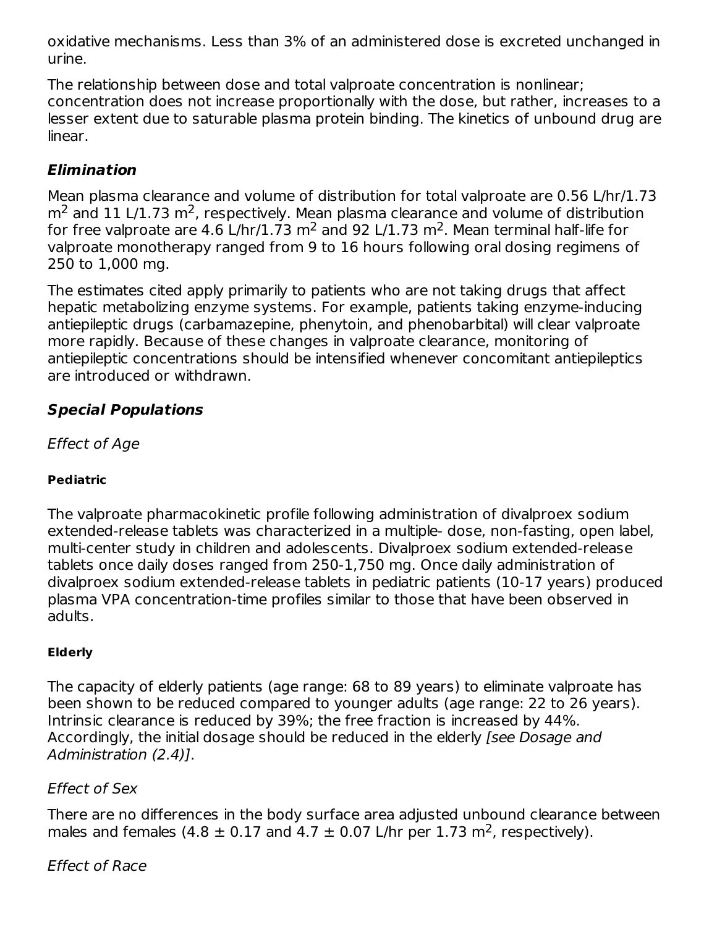oxidative mechanisms. Less than 3% of an administered dose is excreted unchanged in urine.

The relationship between dose and total valproate concentration is nonlinear; concentration does not increase proportionally with the dose, but rather, increases to a lesser extent due to saturable plasma protein binding. The kinetics of unbound drug are linear.

# **Elimination**

Mean plasma clearance and volume of distribution for total valproate are 0.56 L/hr/1.73  $m<sup>2</sup>$  and 11 L/1.73 m<sup>2</sup>, respectively. Mean plasma clearance and volume of distribution for free valproate are 4.6 L/hr/1.73 m<sup>2</sup> and 92 L/1.73 m<sup>2</sup>. Mean terminal half-life for valproate monotherapy ranged from 9 to 16 hours following oral dosing regimens of 250 to 1,000 mg.

The estimates cited apply primarily to patients who are not taking drugs that affect hepatic metabolizing enzyme systems. For example, patients taking enzyme-inducing antiepileptic drugs (carbamazepine, phenytoin, and phenobarbital) will clear valproate more rapidly. Because of these changes in valproate clearance, monitoring of antiepileptic concentrations should be intensified whenever concomitant antiepileptics are introduced or withdrawn.

# **Special Populations**

Effect of Age

#### **Pediatric**

The valproate pharmacokinetic profile following administration of divalproex sodium extended-release tablets was characterized in a multiple- dose, non-fasting, open label, multi-center study in children and adolescents. Divalproex sodium extended-release tablets once daily doses ranged from 250-1,750 mg. Once daily administration of divalproex sodium extended-release tablets in pediatric patients (10-17 years) produced plasma VPA concentration-time profiles similar to those that have been observed in adults.

#### **Elderly**

The capacity of elderly patients (age range: 68 to 89 years) to eliminate valproate has been shown to be reduced compared to younger adults (age range: 22 to 26 years). Intrinsic clearance is reduced by 39%; the free fraction is increased by 44%. Accordingly, the initial dosage should be reduced in the elderly *[see Dosage and* Administration (2.4)].

#### Effect of Sex

There are no differences in the body surface area adjusted unbound clearance between males and females  $(4.8 \pm 0.17$  and  $4.7 \pm 0.07$  L/hr per 1.73 m<sup>2</sup>, respectively).

#### Effect of Race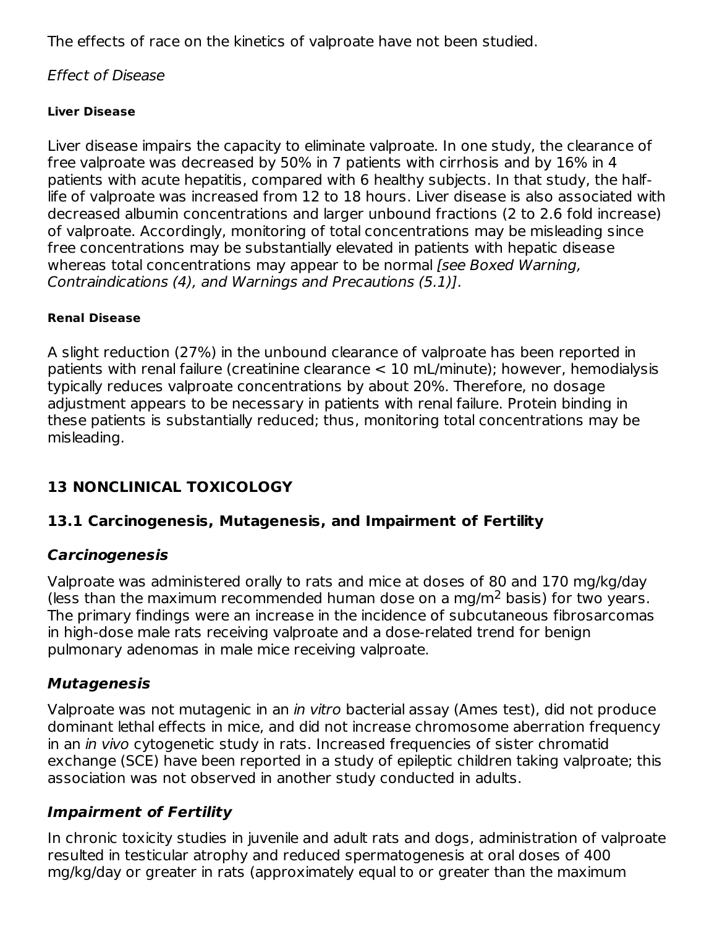The effects of race on the kinetics of valproate have not been studied.

#### Effect of Disease

#### **Liver Disease**

Liver disease impairs the capacity to eliminate valproate. In one study, the clearance of free valproate was decreased by 50% in 7 patients with cirrhosis and by 16% in 4 patients with acute hepatitis, compared with 6 healthy subjects. In that study, the halflife of valproate was increased from 12 to 18 hours. Liver disease is also associated with decreased albumin concentrations and larger unbound fractions (2 to 2.6 fold increase) of valproate. Accordingly, monitoring of total concentrations may be misleading since free concentrations may be substantially elevated in patients with hepatic disease whereas total concentrations may appear to be normal *[see Boxed Warning,* Contraindications (4), and Warnings and Precautions (5.1)].

#### **Renal Disease**

A slight reduction (27%) in the unbound clearance of valproate has been reported in patients with renal failure (creatinine clearance < 10 mL/minute); however, hemodialysis typically reduces valproate concentrations by about 20%. Therefore, no dosage adjustment appears to be necessary in patients with renal failure. Protein binding in these patients is substantially reduced; thus, monitoring total concentrations may be misleading.

# **13 NONCLINICAL TOXICOLOGY**

### **13.1 Carcinogenesis, Mutagenesis, and Impairment of Fertility**

#### **Carcinogenesis**

Valproate was administered orally to rats and mice at doses of 80 and 170 mg/kg/day (less than the maximum recommended human dose on a mg/m<sup>2</sup> basis) for two years. The primary findings were an increase in the incidence of subcutaneous fibrosarcomas in high-dose male rats receiving valproate and a dose-related trend for benign pulmonary adenomas in male mice receiving valproate.

### **Mutagenesis**

Valproate was not mutagenic in an in vitro bacterial assay (Ames test), did not produce dominant lethal effects in mice, and did not increase chromosome aberration frequency in an *in vivo* cytogenetic study in rats. Increased frequencies of sister chromatid exchange (SCE) have been reported in a study of epileptic children taking valproate; this association was not observed in another study conducted in adults.

### **Impairment of Fertility**

In chronic toxicity studies in juvenile and adult rats and dogs, administration of valproate resulted in testicular atrophy and reduced spermatogenesis at oral doses of 400 mg/kg/day or greater in rats (approximately equal to or greater than the maximum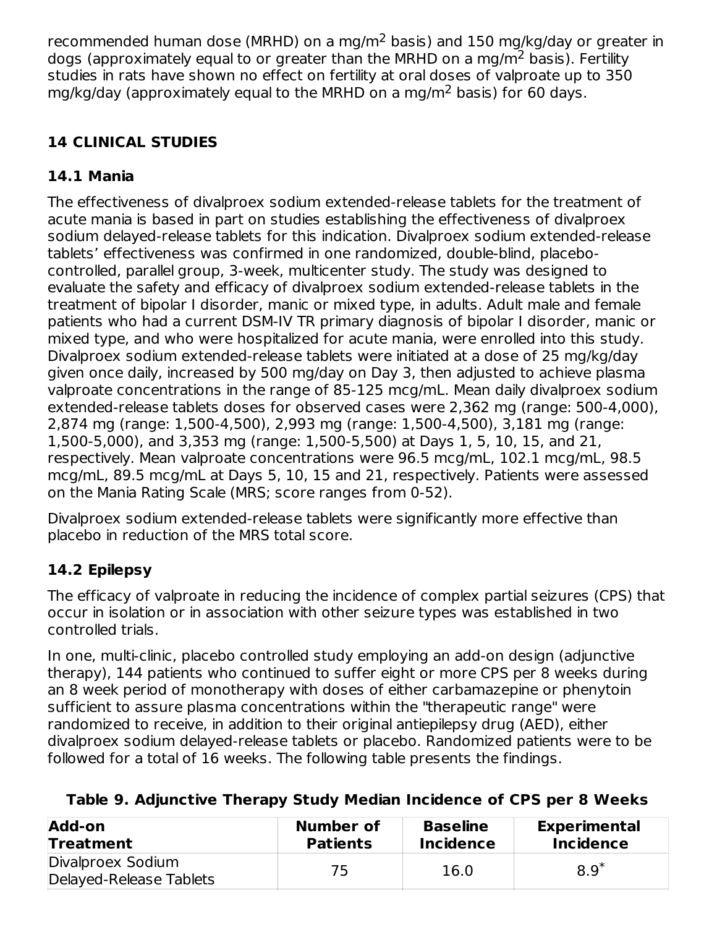recommended human dose (MRHD) on a mg/m<sup>2</sup> basis) and 150 mg/kg/day or greater in dogs (approximately equal to or greater than the MRHD on a mg/m<sup>2</sup> basis). Fertility studies in rats have shown no effect on fertility at oral doses of valproate up to 350 mg/kg/day (approximately equal to the MRHD on a mg/m<sup>2</sup> basis) for 60 days.

# **14 CLINICAL STUDIES**

# **14.1 Mania**

The effectiveness of divalproex sodium extended-release tablets for the treatment of acute mania is based in part on studies establishing the effectiveness of divalproex sodium delayed-release tablets for this indication. Divalproex sodium extended-release tablets' effectiveness was confirmed in one randomized, double-blind, placebocontrolled, parallel group, 3-week, multicenter study. The study was designed to evaluate the safety and efficacy of divalproex sodium extended-release tablets in the treatment of bipolar I disorder, manic or mixed type, in adults. Adult male and female patients who had a current DSM-IV TR primary diagnosis of bipolar I disorder, manic or mixed type, and who were hospitalized for acute mania, were enrolled into this study. Divalproex sodium extended-release tablets were initiated at a dose of 25 mg/kg/day given once daily, increased by 500 mg/day on Day 3, then adjusted to achieve plasma valproate concentrations in the range of 85-125 mcg/mL. Mean daily divalproex sodium extended-release tablets doses for observed cases were 2,362 mg (range: 500-4,000), 2,874 mg (range: 1,500-4,500), 2,993 mg (range: 1,500-4,500), 3,181 mg (range: 1,500-5,000), and 3,353 mg (range: 1,500-5,500) at Days 1, 5, 10, 15, and 21, respectively. Mean valproate concentrations were 96.5 mcg/mL, 102.1 mcg/mL, 98.5 mcg/mL, 89.5 mcg/mL at Days 5, 10, 15 and 21, respectively. Patients were assessed on the Mania Rating Scale (MRS; score ranges from 0-52).

Divalproex sodium extended-release tablets were significantly more effective than placebo in reduction of the MRS total score.

# **14.2 Epilepsy**

The efficacy of valproate in reducing the incidence of complex partial seizures (CPS) that occur in isolation or in association with other seizure types was established in two controlled trials.

In one, multi-clinic, placebo controlled study employing an add-on design (adjunctive therapy), 144 patients who continued to suffer eight or more CPS per 8 weeks during an 8 week period of monotherapy with doses of either carbamazepine or phenytoin sufficient to assure plasma concentrations within the "therapeutic range" were randomized to receive, in addition to their original antiepilepsy drug (AED), either divalproex sodium delayed-release tablets or placebo. Randomized patients were to be followed for a total of 16 weeks. The following table presents the findings.

| Add-on                                       | Number of       | <b>Baseline</b>  | <b>Experimental</b> |
|----------------------------------------------|-----------------|------------------|---------------------|
| <b>Treatment</b>                             | <b>Patients</b> | <b>Incidence</b> | <b>Incidence</b>    |
| Divalproex Sodium<br>Delayed-Release Tablets | 75              | 16.0             | $8.9*$              |

# **Table 9. Adjunctive Therapy Study Median Incidence of CPS per 8 Weeks**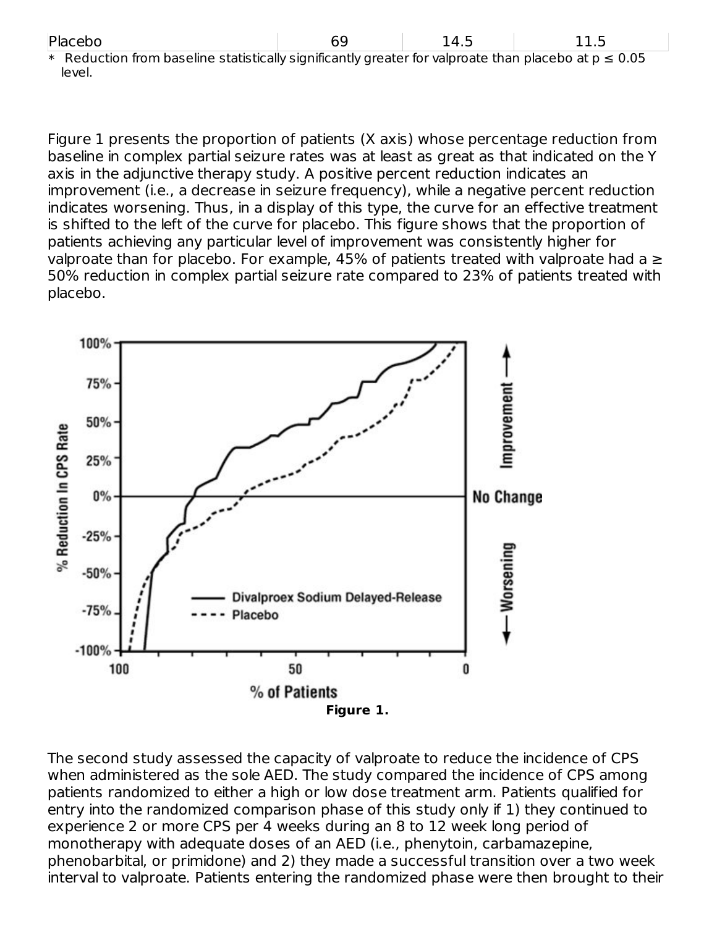| Placebo |
|---------|
|---------|

| Plad<br><b>COO</b> | -<br>ັ | $\overline{\phantom{a}}$<br>∸⊤⊷ | ---- |
|--------------------|--------|---------------------------------|------|
|                    |        |                                 |      |

\* Reduction from baseline statistically significantly greater for valproate than placebo at  $p \le 0.05$ level.

Figure 1 presents the proportion of patients (X axis) whose percentage reduction from baseline in complex partial seizure rates was at least as great as that indicated on the Y axis in the adjunctive therapy study. A positive percent reduction indicates an improvement (i.e., a decrease in seizure frequency), while a negative percent reduction indicates worsening. Thus, in a display of this type, the curve for an effective treatment is shifted to the left of the curve for placebo. This figure shows that the proportion of patients achieving any particular level of improvement was consistently higher for valproate than for placebo. For example, 45% of patients treated with valproate had a  $\geq$ 50% reduction in complex partial seizure rate compared to 23% of patients treated with placebo.



The second study assessed the capacity of valproate to reduce the incidence of CPS when administered as the sole AED. The study compared the incidence of CPS among patients randomized to either a high or low dose treatment arm. Patients qualified for entry into the randomized comparison phase of this study only if 1) they continued to experience 2 or more CPS per 4 weeks during an 8 to 12 week long period of monotherapy with adequate doses of an AED (i.e., phenytoin, carbamazepine, phenobarbital, or primidone) and 2) they made a successful transition over a two week interval to valproate. Patients entering the randomized phase were then brought to their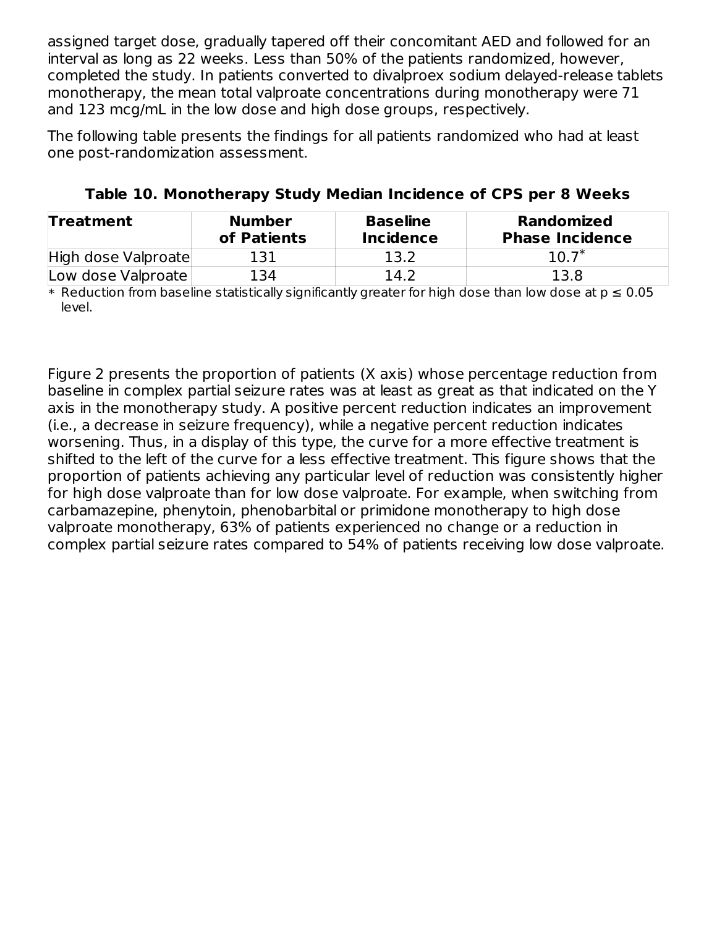assigned target dose, gradually tapered off their concomitant AED and followed for an interval as long as 22 weeks. Less than 50% of the patients randomized, however, completed the study. In patients converted to divalproex sodium delayed-release tablets monotherapy, the mean total valproate concentrations during monotherapy were 71 and 123 mcg/mL in the low dose and high dose groups, respectively.

The following table presents the findings for all patients randomized who had at least one post-randomization assessment.

| <b>Treatment</b>    | <b>Number</b><br>of Patients | <b>Baseline</b><br><b>Incidence</b> | <b>Randomized</b><br><b>Phase Incidence</b> |
|---------------------|------------------------------|-------------------------------------|---------------------------------------------|
| High dose Valproate | 131                          | 13.2                                | $10.7^*$                                    |
| Low dose Valproate  | 134                          | 14.2                                | 13.8                                        |

**Table 10. Monotherapy Study Median Incidence of CPS per 8 Weeks**

 $*$  Reduction from baseline statistically significantly greater for high dose than low dose at p  $\leq$  0.05  $^{\circ}$ level.

Figure 2 presents the proportion of patients (X axis) whose percentage reduction from baseline in complex partial seizure rates was at least as great as that indicated on the Y axis in the monotherapy study. A positive percent reduction indicates an improvement (i.e., a decrease in seizure frequency), while a negative percent reduction indicates worsening. Thus, in a display of this type, the curve for a more effective treatment is shifted to the left of the curve for a less effective treatment. This figure shows that the proportion of patients achieving any particular level of reduction was consistently higher for high dose valproate than for low dose valproate. For example, when switching from carbamazepine, phenytoin, phenobarbital or primidone monotherapy to high dose valproate monotherapy, 63% of patients experienced no change or a reduction in complex partial seizure rates compared to 54% of patients receiving low dose valproate.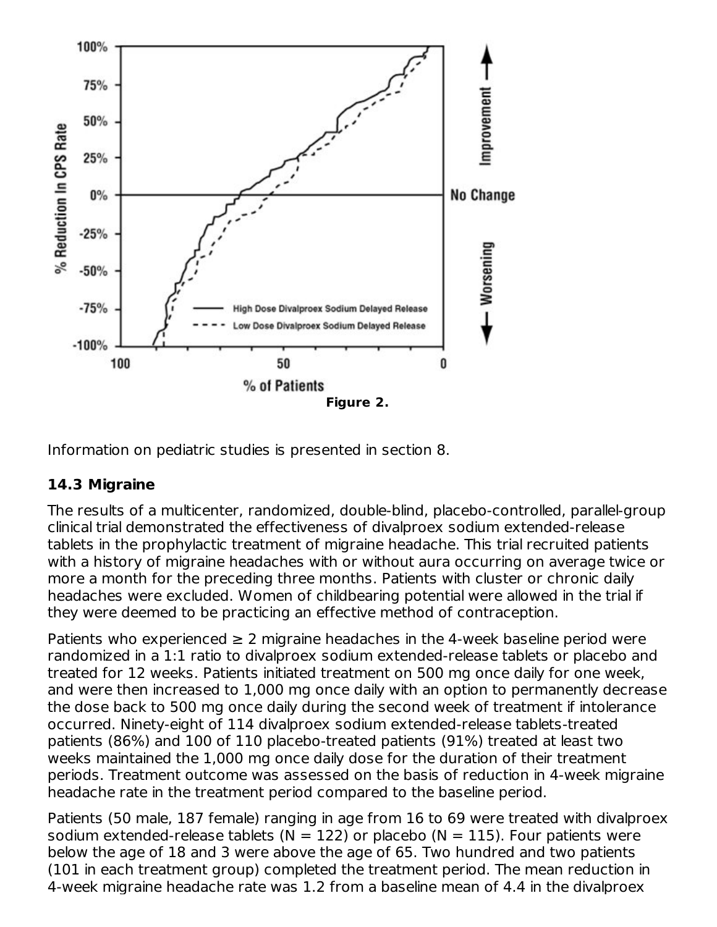

Information on pediatric studies is presented in section 8.

### **14.3 Migraine**

The results of a multicenter, randomized, double-blind, placebo-controlled, parallel-group clinical trial demonstrated the effectiveness of divalproex sodium extended-release tablets in the prophylactic treatment of migraine headache. This trial recruited patients with a history of migraine headaches with or without aura occurring on average twice or more a month for the preceding three months. Patients with cluster or chronic daily headaches were excluded. Women of childbearing potential were allowed in the trial if they were deemed to be practicing an effective method of contraception.

Patients who experienced  $\geq 2$  migraine headaches in the 4-week baseline period were randomized in a 1:1 ratio to divalproex sodium extended-release tablets or placebo and treated for 12 weeks. Patients initiated treatment on 500 mg once daily for one week, and were then increased to 1,000 mg once daily with an option to permanently decrease the dose back to 500 mg once daily during the second week of treatment if intolerance occurred. Ninety-eight of 114 divalproex sodium extended-release tablets-treated patients (86%) and 100 of 110 placebo-treated patients (91%) treated at least two weeks maintained the 1,000 mg once daily dose for the duration of their treatment periods. Treatment outcome was assessed on the basis of reduction in 4-week migraine headache rate in the treatment period compared to the baseline period.

Patients (50 male, 187 female) ranging in age from 16 to 69 were treated with divalproex sodium extended-release tablets ( $N = 122$ ) or placebo ( $N = 115$ ). Four patients were below the age of 18 and 3 were above the age of 65. Two hundred and two patients (101 in each treatment group) completed the treatment period. The mean reduction in 4-week migraine headache rate was 1.2 from a baseline mean of 4.4 in the divalproex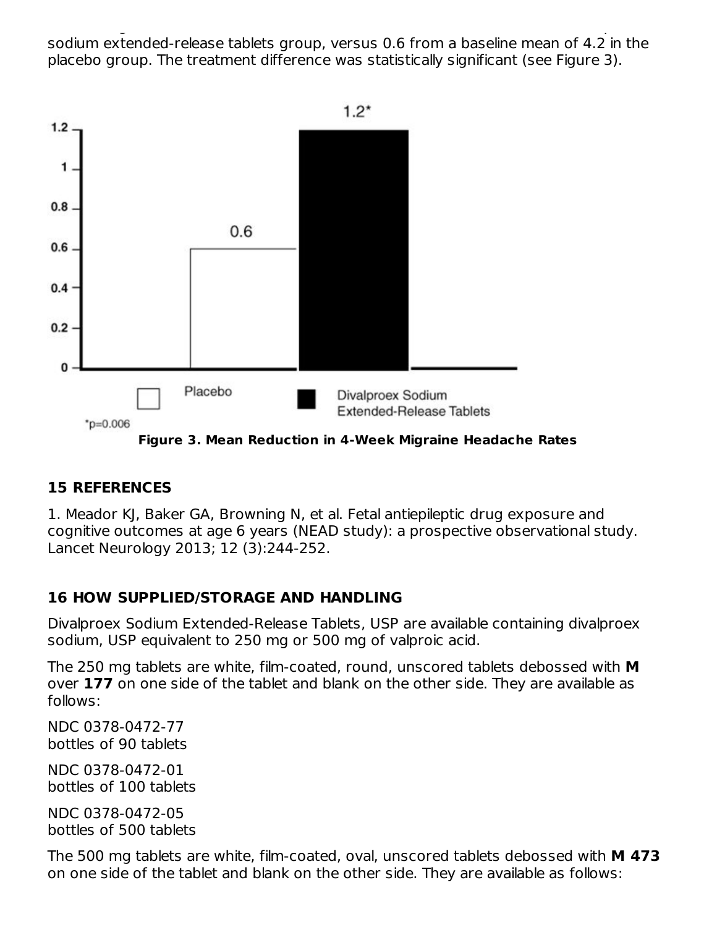4-week migraine headache rate was 1.2 from a baseline mean of 4.4 in the divalproex sodium extended-release tablets group, versus 0.6 from a baseline mean of 4.2 in the placebo group. The treatment difference was statistically significant (see Figure 3).



**Figure 3. Mean Reduction in 4-Week Migraine Headache Rates**

### **15 REFERENCES**

1. Meador KJ, Baker GA, Browning N, et al. Fetal antiepileptic drug exposure and cognitive outcomes at age 6 years (NEAD study): a prospective observational study. Lancet Neurology 2013; 12 (3):244-252.

### **16 HOW SUPPLIED/STORAGE AND HANDLING**

Divalproex Sodium Extended-Release Tablets, USP are available containing divalproex sodium, USP equivalent to 250 mg or 500 mg of valproic acid.

The 250 mg tablets are white, film-coated, round, unscored tablets debossed with **M** over **177** on one side of the tablet and blank on the other side. They are available as follows:

NDC 0378-0472-77 bottles of 90 tablets

NDC 0378-0472-01 bottles of 100 tablets

NDC 0378-0472-05 bottles of 500 tablets

The 500 mg tablets are white, film-coated, oval, unscored tablets debossed with **M 473** on one side of the tablet and blank on the other side. They are available as follows: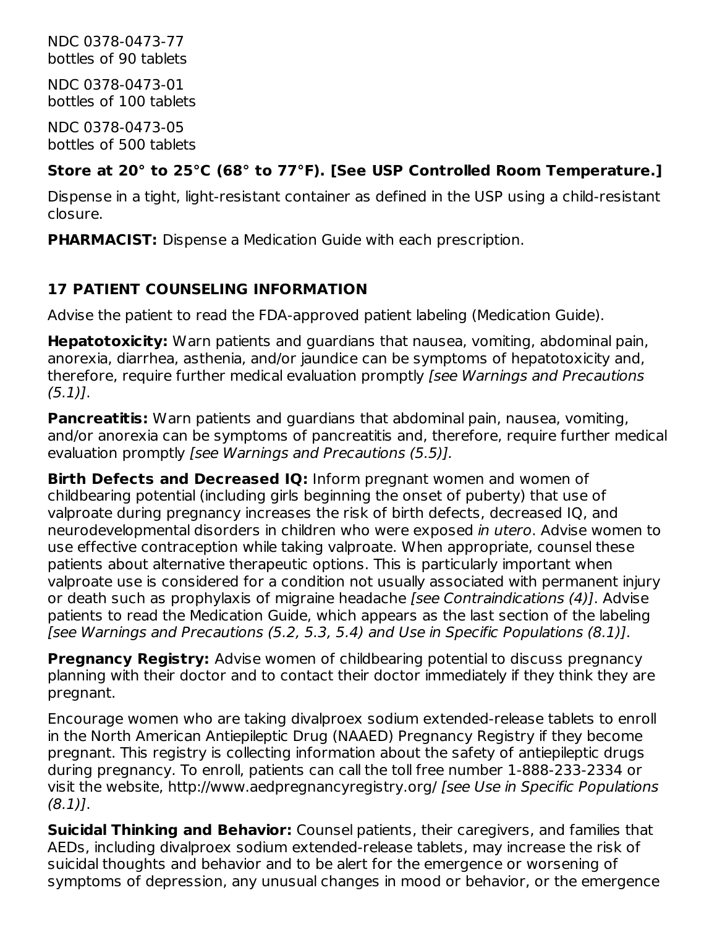NDC 0378-0473-77 bottles of 90 tablets

NDC 0378-0473-01 bottles of 100 tablets

NDC 0378-0473-05 bottles of 500 tablets

### **Store at 20° to 25°C (68° to 77°F). [See USP Controlled Room Temperature.]**

Dispense in a tight, light-resistant container as defined in the USP using a child-resistant closure.

**PHARMACIST:** Dispense a Medication Guide with each prescription.

# **17 PATIENT COUNSELING INFORMATION**

Advise the patient to read the FDA-approved patient labeling (Medication Guide).

**Hepatotoxicity:** Warn patients and guardians that nausea, vomiting, abdominal pain, anorexia, diarrhea, asthenia, and/or jaundice can be symptoms of hepatotoxicity and, therefore, require further medical evaluation promptly *[see Warnings and Precautions*  $(5.1)$ .

**Pancreatitis:** Warn patients and guardians that abdominal pain, nausea, vomiting, and/or anorexia can be symptoms of pancreatitis and, therefore, require further medical evaluation promptly [see Warnings and Precautions (5.5)].

**Birth Defects and Decreased IQ:** Inform pregnant women and women of childbearing potential (including girls beginning the onset of puberty) that use of valproate during pregnancy increases the risk of birth defects, decreased IQ, and neurodevelopmental disorders in children who were exposed in utero. Advise women to use effective contraception while taking valproate. When appropriate, counsel these patients about alternative therapeutic options. This is particularly important when valproate use is considered for a condition not usually associated with permanent injury or death such as prophylaxis of migraine headache [see Contraindications (4)]. Advise patients to read the Medication Guide, which appears as the last section of the labeling [see Warnings and Precautions (5.2, 5.3, 5.4) and Use in Specific Populations (8.1)].

**Pregnancy Registry:** Advise women of childbearing potential to discuss pregnancy planning with their doctor and to contact their doctor immediately if they think they are pregnant.

Encourage women who are taking divalproex sodium extended-release tablets to enroll in the North American Antiepileptic Drug (NAAED) Pregnancy Registry if they become pregnant. This registry is collecting information about the safety of antiepileptic drugs during pregnancy. To enroll, patients can call the toll free number 1-888-233-2334 or visit the website, http://www.aedpregnancyregistry.org/ [see Use in Specific Populations  $(8.1)$ .

**Suicidal Thinking and Behavior:** Counsel patients, their caregivers, and families that AEDs, including divalproex sodium extended-release tablets, may increase the risk of suicidal thoughts and behavior and to be alert for the emergence or worsening of symptoms of depression, any unusual changes in mood or behavior, or the emergence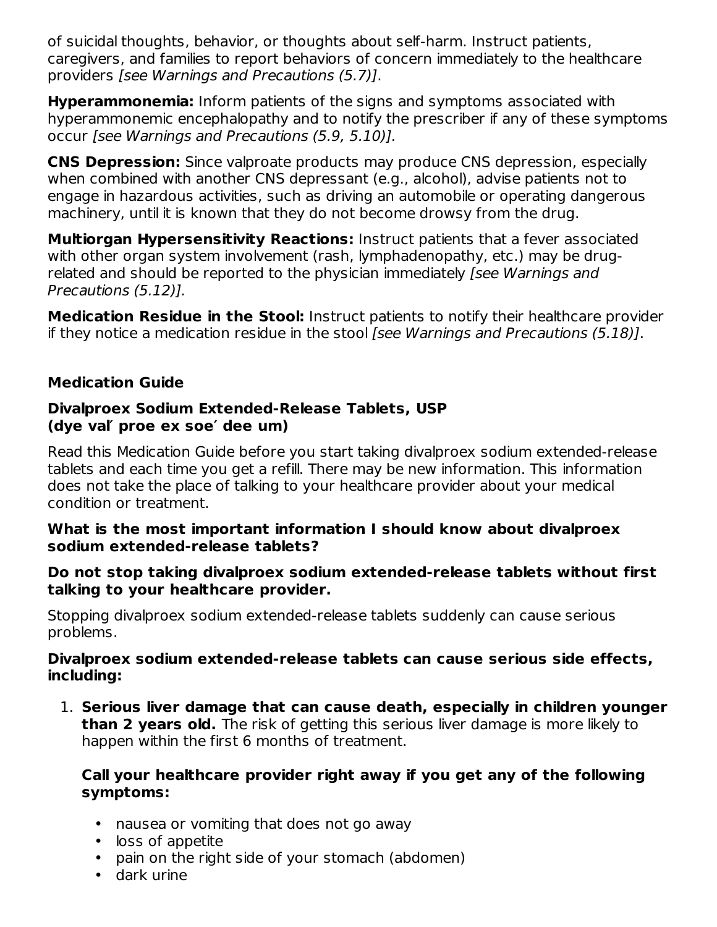of suicidal thoughts, behavior, or thoughts about self-harm. Instruct patients, caregivers, and families to report behaviors of concern immediately to the healthcare providers [see Warnings and Precautions (5.7)].

**Hyperammonemia:** Inform patients of the signs and symptoms associated with hyperammonemic encephalopathy and to notify the prescriber if any of these symptoms occur [see Warnings and Precautions (5.9, 5.10)].

**CNS Depression:** Since valproate products may produce CNS depression, especially when combined with another CNS depressant (e.g., alcohol), advise patients not to engage in hazardous activities, such as driving an automobile or operating dangerous machinery, until it is known that they do not become drowsy from the drug.

**Multiorgan Hypersensitivity Reactions:** Instruct patients that a fever associated with other organ system involvement (rash, lymphadenopathy, etc.) may be drugrelated and should be reported to the physician immediately *[see Warnings and* Precautions (5.12)].

**Medication Residue in the Stool:** Instruct patients to notify their healthcare provider if they notice a medication residue in the stool [see Warnings and Precautions (5.18)].

### **Medication Guide**

#### **Divalproex Sodium Extended-Release Tablets, USP (dye val′ proe ex soe′ dee um)**

Read this Medication Guide before you start taking divalproex sodium extended-release tablets and each time you get a refill. There may be new information. This information does not take the place of talking to your healthcare provider about your medical condition or treatment.

#### **What is the most important information I should know about divalproex sodium extended-release tablets?**

#### **Do not stop taking divalproex sodium extended-release tablets without first talking to your healthcare provider.**

Stopping divalproex sodium extended-release tablets suddenly can cause serious problems.

#### **Divalproex sodium extended-release tablets can cause serious side effects, including:**

1. **Serious liver damage that can cause death, especially in children younger than 2 years old.** The risk of getting this serious liver damage is more likely to happen within the first 6 months of treatment.

#### **Call your healthcare provider right away if you get any of the following symptoms:**

- nausea or vomiting that does not go away
- loss of appetite
- pain on the right side of your stomach (abdomen)
- dark urine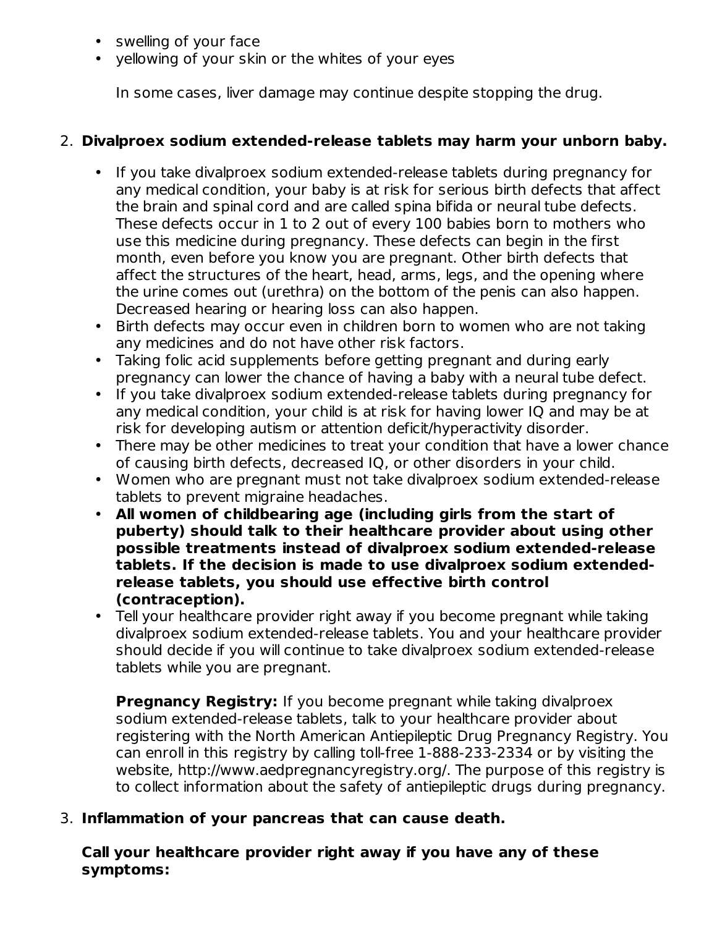- swelling of your face
- yellowing of your skin or the whites of your eyes

In some cases, liver damage may continue despite stopping the drug.

### 2. **Divalproex sodium extended-release tablets may harm your unborn baby.**

- If you take divalproex sodium extended-release tablets during pregnancy for any medical condition, your baby is at risk for serious birth defects that affect the brain and spinal cord and are called spina bifida or neural tube defects. These defects occur in 1 to 2 out of every 100 babies born to mothers who use this medicine during pregnancy. These defects can begin in the first month, even before you know you are pregnant. Other birth defects that affect the structures of the heart, head, arms, legs, and the opening where the urine comes out (urethra) on the bottom of the penis can also happen. Decreased hearing or hearing loss can also happen.
- Birth defects may occur even in children born to women who are not taking any medicines and do not have other risk factors.
- Taking folic acid supplements before getting pregnant and during early pregnancy can lower the chance of having a baby with a neural tube defect.
- If you take divalproex sodium extended-release tablets during pregnancy for any medical condition, your child is at risk for having lower IQ and may be at risk for developing autism or attention deficit/hyperactivity disorder.
- There may be other medicines to treat your condition that have a lower chance of causing birth defects, decreased IQ, or other disorders in your child.
- Women who are pregnant must not take divalproex sodium extended-release tablets to prevent migraine headaches.
- **All women of childbearing age (including girls from the start of puberty) should talk to their healthcare provider about using other possible treatments instead of divalproex sodium extended-release tablets. If the decision is made to use divalproex sodium extendedrelease tablets, you should use effective birth control (contraception).**
- Tell your healthcare provider right away if you become pregnant while taking divalproex sodium extended-release tablets. You and your healthcare provider should decide if you will continue to take divalproex sodium extended-release tablets while you are pregnant.

**Pregnancy Registry:** If you become pregnant while taking divalproex sodium extended-release tablets, talk to your healthcare provider about registering with the North American Antiepileptic Drug Pregnancy Registry. You can enroll in this registry by calling toll-free 1-888-233-2334 or by visiting the website, http://www.aedpregnancyregistry.org/. The purpose of this registry is to collect information about the safety of antiepileptic drugs during pregnancy.

### 3. **Inflammation of your pancreas that can cause death.**

**Call your healthcare provider right away if you have any of these symptoms:**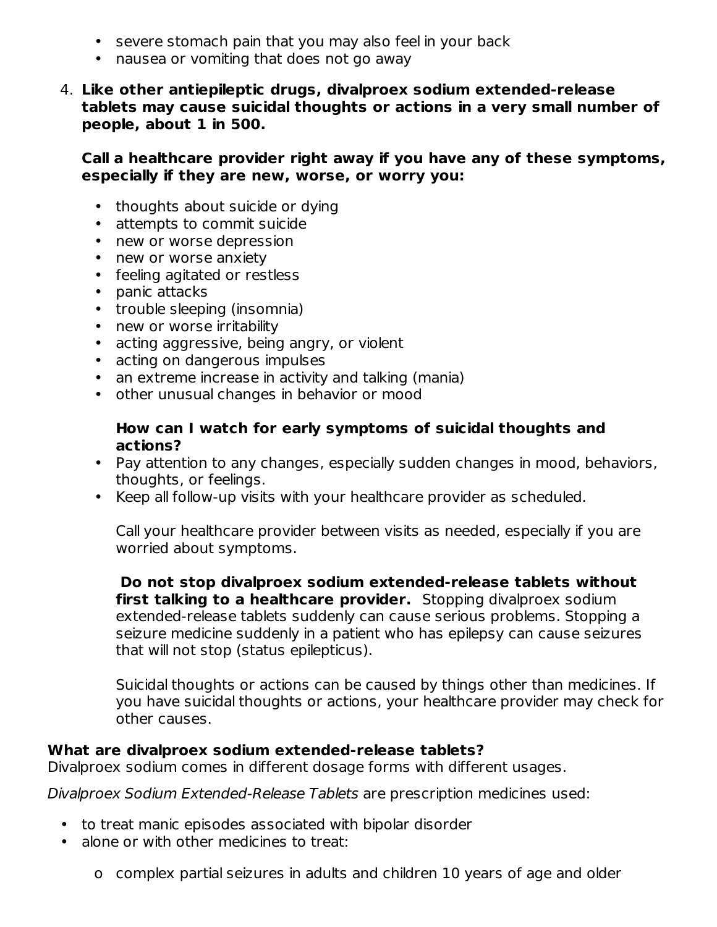- severe stomach pain that you may also feel in your back
- nausea or vomiting that does not go away
- 4. **Like other antiepileptic drugs, divalproex sodium extended-release tablets may cause suicidal thoughts or actions in a very small number of people, about 1 in 500.**

**Call a healthcare provider right away if you have any of these symptoms, especially if they are new, worse, or worry you:**

- thoughts about suicide or dying
- attempts to commit suicide
- new or worse depression
- new or worse anxiety
- feeling agitated or restless
- panic attacks
- trouble sleeping (insomnia)
- new or worse irritability
- acting aggressive, being angry, or violent
- acting on dangerous impulses
- an extreme increase in activity and talking (mania)
- other unusual changes in behavior or mood

#### **How can I watch for early symptoms of suicidal thoughts and actions?**

- Pay attention to any changes, especially sudden changes in mood, behaviors, thoughts, or feelings.
- Keep all follow-up visits with your healthcare provider as scheduled.

Call your healthcare provider between visits as needed, especially if you are worried about symptoms.

**Do not stop divalproex sodium extended-release tablets without first talking to a healthcare provider.** Stopping divalproex sodium extended-release tablets suddenly can cause serious problems. Stopping a seizure medicine suddenly in a patient who has epilepsy can cause seizures that will not stop (status epilepticus).

Suicidal thoughts or actions can be caused by things other than medicines. If you have suicidal thoughts or actions, your healthcare provider may check for other causes.

#### **What are divalproex sodium extended-release tablets?**

Divalproex sodium comes in different dosage forms with different usages.

Divalproex Sodium Extended-Release Tablets are prescription medicines used:

- to treat manic episodes associated with bipolar disorder
- alone or with other medicines to treat:
	- o complex partial seizures in adults and children 10 years of age and older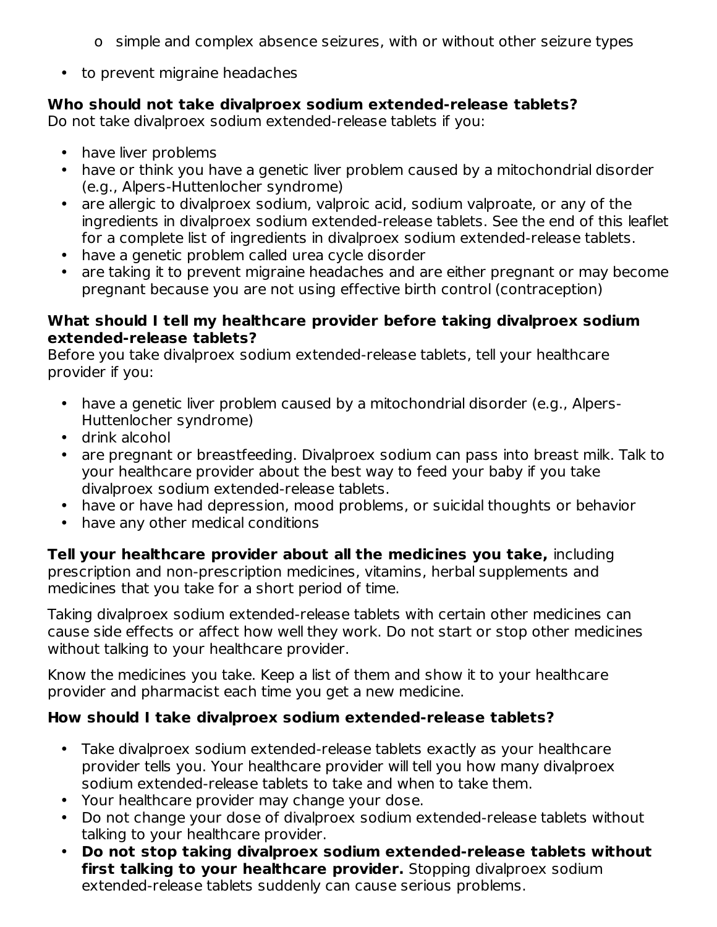- o simple and complex absence seizures, with or without other seizure types
- to prevent migraine headaches

### **Who should not take divalproex sodium extended-release tablets?**

Do not take divalproex sodium extended-release tablets if you:

- have liver problems
- have or think you have a genetic liver problem caused by a mitochondrial disorder (e.g., Alpers-Huttenlocher syndrome)
- are allergic to divalproex sodium, valproic acid, sodium valproate, or any of the ingredients in divalproex sodium extended-release tablets. See the end of this leaflet for a complete list of ingredients in divalproex sodium extended-release tablets.
- have a genetic problem called urea cycle disorder
- are taking it to prevent migraine headaches and are either pregnant or may become pregnant because you are not using effective birth control (contraception)

#### **What should I tell my healthcare provider before taking divalproex sodium extended-release tablets?**

Before you take divalproex sodium extended-release tablets, tell your healthcare provider if you:

- have a genetic liver problem caused by a mitochondrial disorder (e.g., Alpers-Huttenlocher syndrome)
- drink alcohol
- are pregnant or breastfeeding. Divalproex sodium can pass into breast milk. Talk to your healthcare provider about the best way to feed your baby if you take divalproex sodium extended-release tablets.
- have or have had depression, mood problems, or suicidal thoughts or behavior
- have any other medical conditions

**Tell your healthcare provider about all the medicines you take,** including prescription and non-prescription medicines, vitamins, herbal supplements and medicines that you take for a short period of time.

Taking divalproex sodium extended-release tablets with certain other medicines can cause side effects or affect how well they work. Do not start or stop other medicines without talking to your healthcare provider.

Know the medicines you take. Keep a list of them and show it to your healthcare provider and pharmacist each time you get a new medicine.

### **How should I take divalproex sodium extended-release tablets?**

- Take divalproex sodium extended-release tablets exactly as your healthcare provider tells you. Your healthcare provider will tell you how many divalproex sodium extended-release tablets to take and when to take them.
- Your healthcare provider may change your dose.
- Do not change your dose of divalproex sodium extended-release tablets without talking to your healthcare provider.
- **Do not stop taking divalproex sodium extended-release tablets without first talking to your healthcare provider.** Stopping divalproex sodium extended-release tablets suddenly can cause serious problems.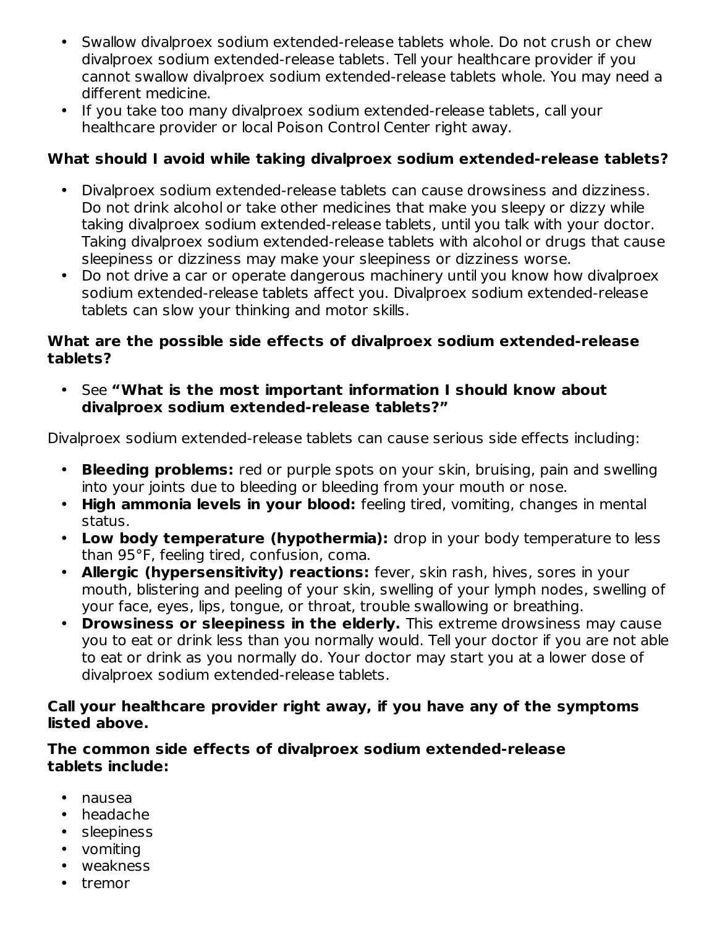- Swallow divalproex sodium extended-release tablets whole. Do not crush or chew divalproex sodium extended-release tablets. Tell your healthcare provider if you cannot swallow divalproex sodium extended-release tablets whole. You may need a different medicine.
- If you take too many divalproex sodium extended-release tablets, call your healthcare provider or local Poison Control Center right away.

### **What should I avoid while taking divalproex sodium extended-release tablets?**

- Divalproex sodium extended-release tablets can cause drowsiness and dizziness. Do not drink alcohol or take other medicines that make you sleepy or dizzy while taking divalproex sodium extended-release tablets, until you talk with your doctor. Taking divalproex sodium extended-release tablets with alcohol or drugs that cause sleepiness or dizziness may make your sleepiness or dizziness worse.
- Do not drive a car or operate dangerous machinery until you know how divalproex sodium extended-release tablets affect you. Divalproex sodium extended-release tablets can slow your thinking and motor skills.

#### **What are the possible side effects of divalproex sodium extended-release tablets?**

• See **"What is the most important information I should know about divalproex sodium extended-release tablets?"**

Divalproex sodium extended-release tablets can cause serious side effects including:

- **Bleeding problems:** red or purple spots on your skin, bruising, pain and swelling into your joints due to bleeding or bleeding from your mouth or nose.
- **High ammonia levels in your blood:** feeling tired, vomiting, changes in mental status.
- **Low body temperature (hypothermia):** drop in your body temperature to less than 95°F, feeling tired, confusion, coma.
- **Allergic (hypersensitivity) reactions:** fever, skin rash, hives, sores in your mouth, blistering and peeling of your skin, swelling of your lymph nodes, swelling of your face, eyes, lips, tongue, or throat, trouble swallowing or breathing.
- **Drowsiness or sleepiness in the elderly.** This extreme drowsiness may cause you to eat or drink less than you normally would. Tell your doctor if you are not able to eat or drink as you normally do. Your doctor may start you at a lower dose of divalproex sodium extended-release tablets.

#### **Call your healthcare provider right away, if you have any of the symptoms listed above.**

#### **The common side effects of divalproex sodium extended-release tablets include:**

- nausea
- headache
- sleepiness
- vomiting
- weakness
- tremor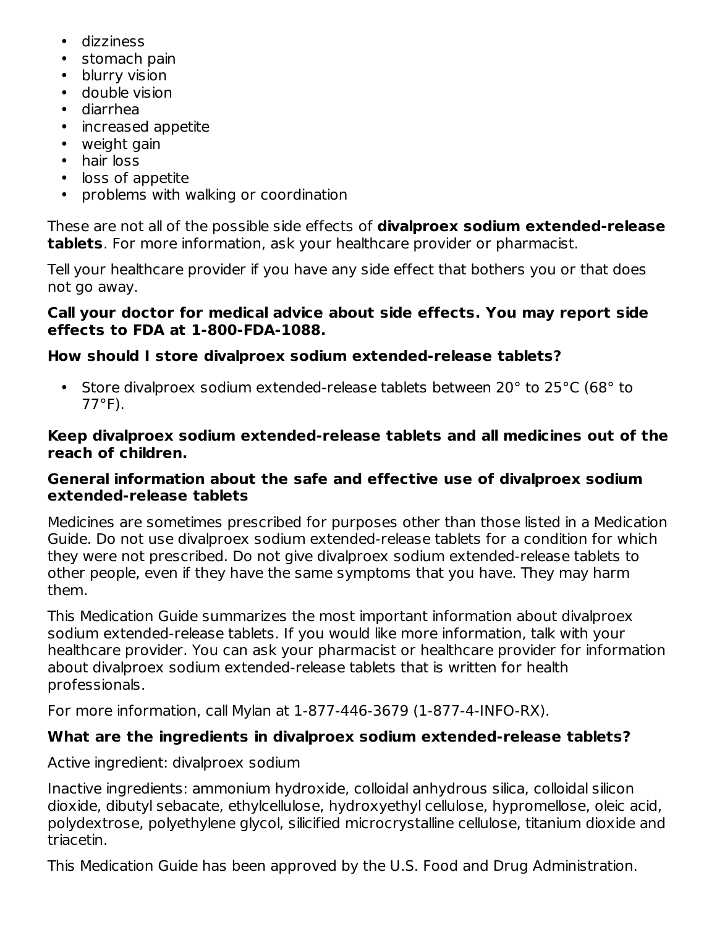- dizziness
- stomach pain
- blurry vision
- double vision
- diarrhea
- increased appetite
- weight gain
- hair loss
- loss of appetite
- problems with walking or coordination

These are not all of the possible side effects of **divalproex sodium extended-release tablets**. For more information, ask your healthcare provider or pharmacist.

Tell your healthcare provider if you have any side effect that bothers you or that does not go away.

### **Call your doctor for medical advice about side effects. You may report side effects to FDA at 1-800-FDA-1088.**

# **How should I store divalproex sodium extended-release tablets?**

• Store divalproex sodium extended-release tablets between 20° to 25°C (68° to 77°F).

### **Keep divalproex sodium extended-release tablets and all medicines out of the reach of children.**

### **General information about the safe and effective use of divalproex sodium extended-release tablets**

Medicines are sometimes prescribed for purposes other than those listed in a Medication Guide. Do not use divalproex sodium extended-release tablets for a condition for which they were not prescribed. Do not give divalproex sodium extended-release tablets to other people, even if they have the same symptoms that you have. They may harm them.

This Medication Guide summarizes the most important information about divalproex sodium extended-release tablets. If you would like more information, talk with your healthcare provider. You can ask your pharmacist or healthcare provider for information about divalproex sodium extended-release tablets that is written for health professionals.

For more information, call Mylan at 1-877-446-3679 (1-877-4-INFO-RX).

# **What are the ingredients in divalproex sodium extended-release tablets?**

Active ingredient: divalproex sodium

Inactive ingredients: ammonium hydroxide, colloidal anhydrous silica, colloidal silicon dioxide, dibutyl sebacate, ethylcellulose, hydroxyethyl cellulose, hypromellose, oleic acid, polydextrose, polyethylene glycol, silicified microcrystalline cellulose, titanium dioxide and triacetin.

This Medication Guide has been approved by the U.S. Food and Drug Administration.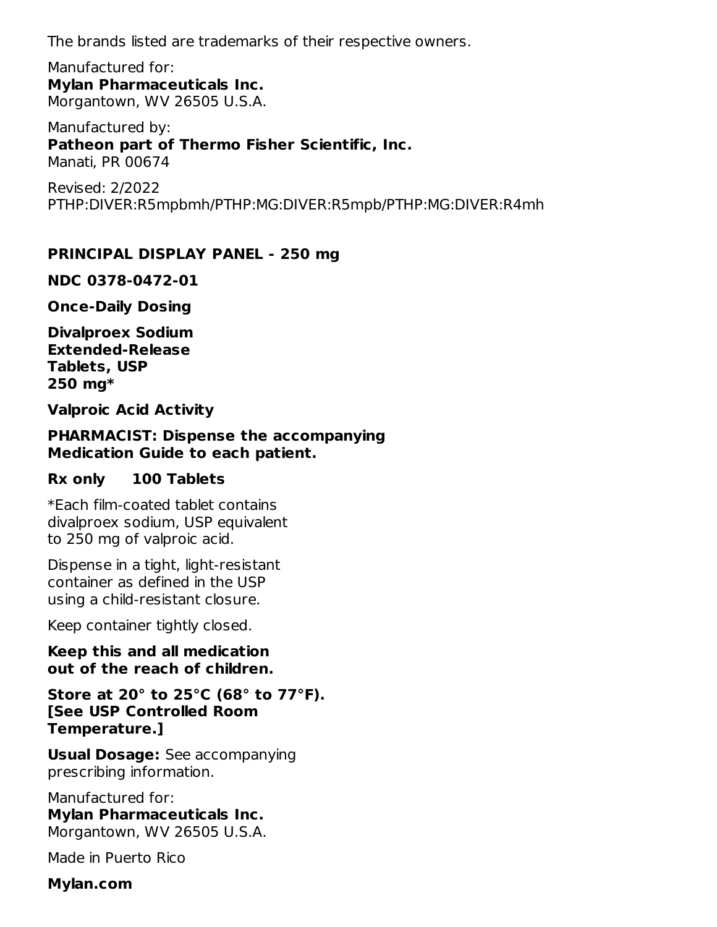The brands listed are trademarks of their respective owners.

Manufactured for: **Mylan Pharmaceuticals Inc.** Morgantown, WV 26505 U.S.A.

Manufactured by: **Patheon part of Thermo Fisher Scientific, Inc.** Manati, PR 00674

Revised: 2/2022 PTHP:DIVER:R5mpbmh/PTHP:MG:DIVER:R5mpb/PTHP:MG:DIVER:R4mh

### **PRINCIPAL DISPLAY PANEL - 250 mg**

**NDC 0378-0472-01**

**Once-Daily Dosing**

**Divalproex Sodium Extended-Release Tablets, USP 250 mg\***

**Valproic Acid Activity**

**PHARMACIST: Dispense the accompanying Medication Guide to each patient.**

#### **Rx only 100 Tablets**

\*Each film-coated tablet contains divalproex sodium, USP equivalent to 250 mg of valproic acid.

Dispense in a tight, light-resistant container as defined in the USP using a child-resistant closure.

Keep container tightly closed.

**Keep this and all medication out of the reach of children.**

**Store at 20° to 25°C (68° to 77°F). [See USP Controlled Room Temperature.]**

**Usual Dosage:** See accompanying prescribing information.

Manufactured for: **Mylan Pharmaceuticals Inc.** Morgantown, WV 26505 U.S.A.

Made in Puerto Rico

**Mylan.com**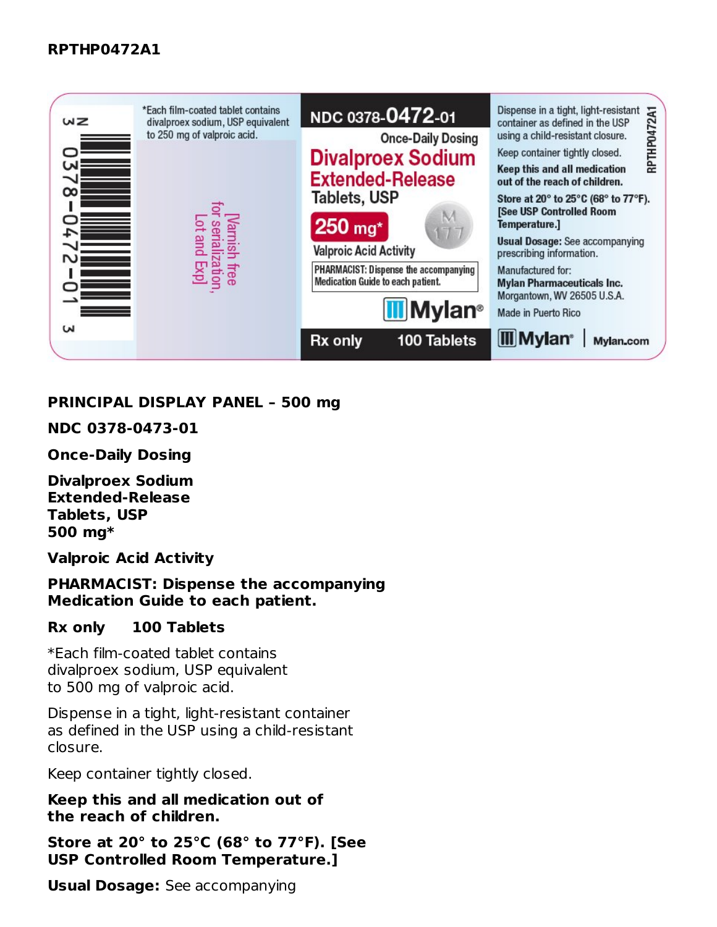

#### **PRINCIPAL DISPLAY PANEL – 500 mg**

**NDC 0378-0473-01**

**Once-Daily Dosing**

**Divalproex Sodium Extended-Release Tablets, USP 500 mg\***

**Valproic Acid Activity**

**PHARMACIST: Dispense the accompanying Medication Guide to each patient.**

#### **Rx only 100 Tablets**

\*Each film-coated tablet contains divalproex sodium, USP equivalent to 500 mg of valproic acid.

Dispense in a tight, light-resistant container as defined in the USP using a child-resistant closure.

Keep container tightly closed.

**Keep this and all medication out of the reach of children.**

**Store at 20° to 25°C (68° to 77°F). [See USP Controlled Room Temperature.]**

**Usual Dosage:** See accompanying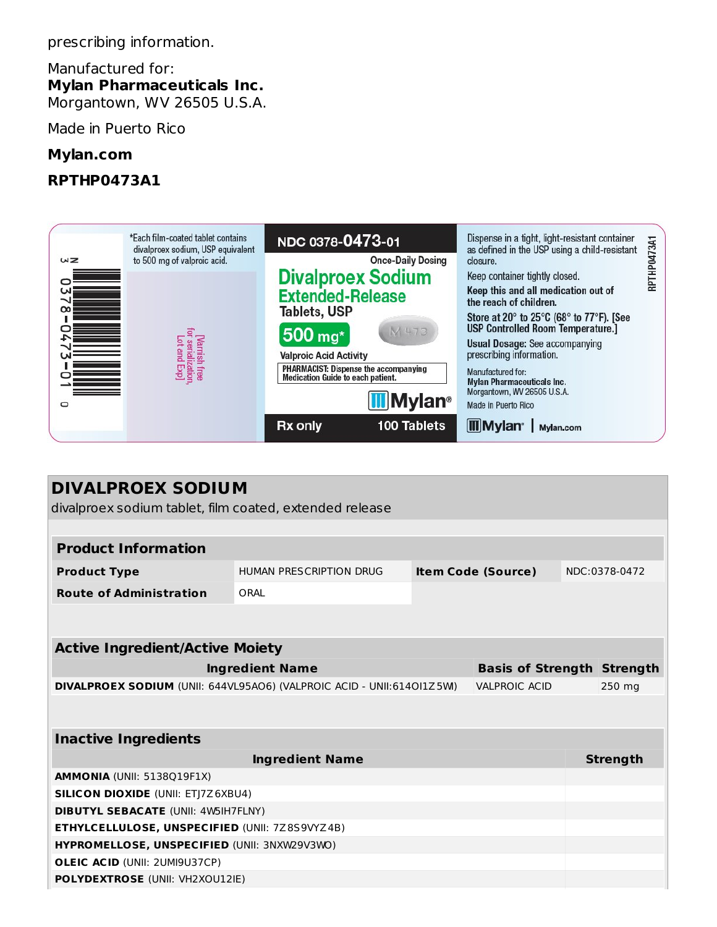prescribing information.

Manufactured for: **Mylan Pharmaceuticals Inc.** Morgantown, WV 26505 U.S.A.

Made in Puerto Rico

# **Mylan.com**

# **RPTHP0473A1**

|               | *Each film-coated tablet contains<br>divalproex sodium, USP equivalent | NDC 0378-0473-01                                                           | Dispense in a tight, light-resistant container<br>as defined in the USP using a child-resistant | <b>HP0473A1</b> |
|---------------|------------------------------------------------------------------------|----------------------------------------------------------------------------|-------------------------------------------------------------------------------------------------|-----------------|
| WZ            | to 500 mg of valproic acid.                                            | <b>Once-Daily Dosing</b>                                                   | closure.                                                                                        |                 |
|               |                                                                        | <b>Divalproex Sodium</b>                                                   | Keep container tightly closed.                                                                  | RPT             |
| ы<br>$\infty$ |                                                                        | <b>Extended-Release</b>                                                    | Keep this and all medication out of<br>the reach of children.                                   |                 |
|               |                                                                        | Tablets, USP                                                               | Store at 20° to 25°C (68° to 77°F). [See<br><b>USP Controlled Room Temperature.]</b>            |                 |
|               |                                                                        | M 473<br>500 mg*                                                           | <b>Usual Dosage: See accompanying</b>                                                           |                 |
|               |                                                                        | <b>Valproic Acid Activity</b>                                              | prescribing information.                                                                        |                 |
| $\mathcal{L}$ | [Varnish free<br>for serialization<br>Lot and Exp]                     | PHARMACIST: Dispense the accompanying<br>Medication Guide to each patient. | Manufactured for:<br><b>Mylan Pharmaceuticals Inc.</b>                                          |                 |
| ▭             |                                                                        | <b>III</b> Mylan <sup>®</sup>                                              | Morgantown, WV 26505 U.S.A.<br>Made in Puerto Rico                                              |                 |
|               |                                                                        | 100 Tablets<br>Rx only                                                     | <b>III</b> Mylan <sup>®</sup><br>Mylan.com                                                      |                 |

| <b>DIVALPROEX SODIUM</b><br>divalproex sodium tablet, film coated, extended release           |                         |  |                           |  |                 |
|-----------------------------------------------------------------------------------------------|-------------------------|--|---------------------------|--|-----------------|
|                                                                                               |                         |  |                           |  |                 |
| <b>Product Information</b>                                                                    |                         |  |                           |  |                 |
| <b>Product Type</b>                                                                           | HUMAN PRESCRIPTION DRUG |  | <b>Item Code (Source)</b> |  | NDC:0378-0472   |
| <b>Route of Administration</b>                                                                | ORAL                    |  |                           |  |                 |
|                                                                                               |                         |  |                           |  |                 |
| <b>Active Ingredient/Active Moiety</b>                                                        |                         |  |                           |  |                 |
| <b>Basis of Strength Strength</b>                                                             |                         |  |                           |  |                 |
| <b>Ingredient Name</b>                                                                        |                         |  |                           |  |                 |
| DIVALPROEX SODIUM (UNII: 644VL95AO6) (VALPROIC ACID - UNII:614OI1Z5W)<br><b>VALPROIC ACID</b> |                         |  |                           |  | 250 mg          |
|                                                                                               |                         |  |                           |  |                 |
| <b>Inactive Ingredients</b>                                                                   |                         |  |                           |  |                 |
|                                                                                               | <b>Ingredient Name</b>  |  |                           |  | <b>Strength</b> |
| AMMONIA (UNII: 5138Q19F1X)                                                                    |                         |  |                           |  |                 |
| <b>SILICON DIOXIDE (UNII: ETJ7Z6XBU4)</b>                                                     |                         |  |                           |  |                 |
| <b>DIBUTYL SEBACATE (UNII: 4W5IH7FLNY)</b>                                                    |                         |  |                           |  |                 |
| ETHYLCELLULOSE, UNSPECIFIED (UNII: 7Z8S9VYZ4B)                                                |                         |  |                           |  |                 |
| HYPROMELLOSE, UNSPECIFIED (UNII: 3NXW29V3WO)                                                  |                         |  |                           |  |                 |
| <b>OLEIC ACID (UNII: 2UMI9U37CP)</b>                                                          |                         |  |                           |  |                 |
| <b>POLYDEXTROSE (UNII: VH2XOU12IE)</b>                                                        |                         |  |                           |  |                 |
|                                                                                               |                         |  |                           |  |                 |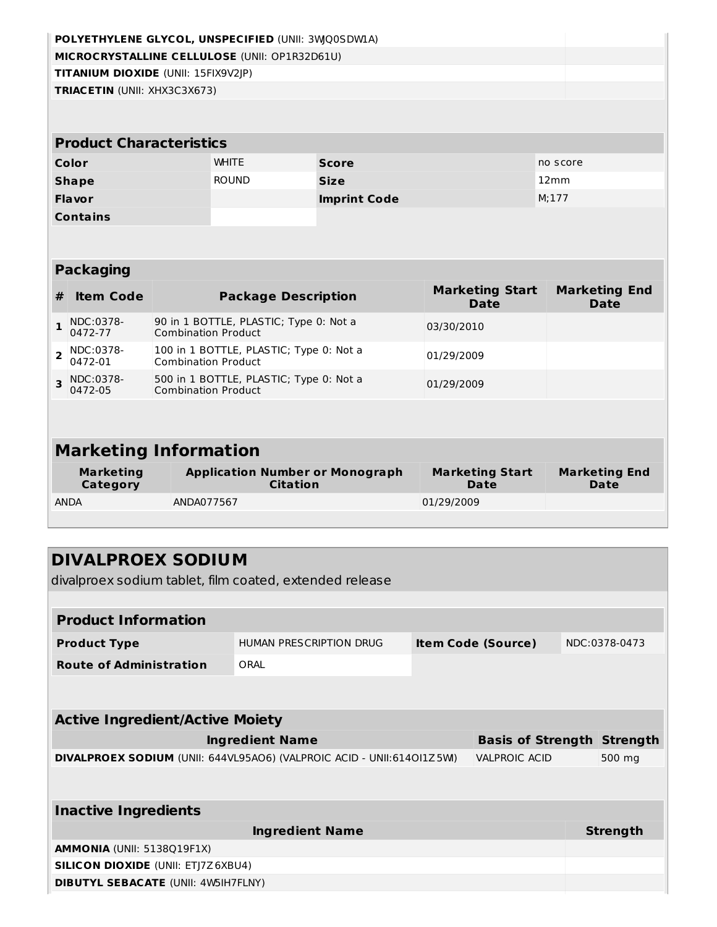|                         |                                                                                      |                                                                      |                                                                       | POLYETHYLENE GLYCOL, UNSPECIFIED (UNII: 3WQ0SDWLA)        |                                       |                                     |  |
|-------------------------|--------------------------------------------------------------------------------------|----------------------------------------------------------------------|-----------------------------------------------------------------------|-----------------------------------------------------------|---------------------------------------|-------------------------------------|--|
|                         | MICROCRYSTALLINE CELLULOSE (UNII: OP1R32D61U)<br>TITANIUM DIOXIDE (UNII: 15FIX9V2JP) |                                                                      |                                                                       |                                                           |                                       |                                     |  |
|                         | TRIACETIN (UNII: XHX3C3X673)                                                         |                                                                      |                                                                       |                                                           |                                       |                                     |  |
|                         |                                                                                      |                                                                      |                                                                       |                                                           |                                       |                                     |  |
|                         | <b>Product Characteristics</b>                                                       |                                                                      |                                                                       |                                                           |                                       |                                     |  |
|                         | Color                                                                                |                                                                      | <b>WHITE</b>                                                          | <b>Score</b>                                              |                                       | no score                            |  |
|                         | <b>Shape</b>                                                                         |                                                                      | <b>ROUND</b>                                                          | <b>Size</b>                                               |                                       | 12mm                                |  |
|                         | <b>Flavor</b>                                                                        |                                                                      |                                                                       | <b>Imprint Code</b>                                       |                                       | M; 177                              |  |
|                         | <b>Contains</b>                                                                      |                                                                      |                                                                       |                                                           |                                       |                                     |  |
|                         |                                                                                      |                                                                      |                                                                       |                                                           |                                       |                                     |  |
|                         | <b>Packaging</b>                                                                     |                                                                      |                                                                       |                                                           |                                       |                                     |  |
| #                       | <b>Item Code</b>                                                                     |                                                                      |                                                                       | <b>Package Description</b>                                | <b>Marketing Start</b><br><b>Date</b> | <b>Marketing End</b><br><b>Date</b> |  |
| $\mathbf{1}$            | NDC:0378-<br>0472-77                                                                 | 90 in 1 BOTTLE, PLASTIC; Type 0: Not a<br><b>Combination Product</b> |                                                                       |                                                           | 03/30/2010                            |                                     |  |
| $\overline{2}$          | NDC:0378-<br>0472-01                                                                 |                                                                      | 100 in 1 BOTTLE, PLASTIC; Type 0: Not a<br><b>Combination Product</b> |                                                           | 01/29/2009                            |                                     |  |
| $\overline{\mathbf{3}}$ | NDC:0378-<br>0472-05                                                                 | <b>Combination Product</b>                                           |                                                                       | 500 in 1 BOTTLE, PLASTIC; Type 0: Not a                   | 01/29/2009                            |                                     |  |
|                         |                                                                                      |                                                                      |                                                                       |                                                           |                                       |                                     |  |
|                         | <b>Marketing Information</b>                                                         |                                                                      |                                                                       |                                                           |                                       |                                     |  |
|                         | <b>Marketing</b><br><b>Category</b>                                                  |                                                                      |                                                                       | <b>Application Number or Monograph</b><br><b>Citation</b> | <b>Marketing Start</b><br>Date        | <b>Marketing End</b><br>Date        |  |
|                         | <b>ANDA</b>                                                                          | ANDA077567                                                           |                                                                       |                                                           | 01/29/2009                            |                                     |  |
|                         |                                                                                      |                                                                      |                                                                       |                                                           |                                       |                                     |  |
|                         | <b>DIVALPROEX SODIUM</b>                                                             |                                                                      |                                                                       |                                                           |                                       |                                     |  |
|                         |                                                                                      |                                                                      |                                                                       | divalproex sodium tablet, film coated, extended release   |                                       |                                     |  |
|                         |                                                                                      |                                                                      |                                                                       |                                                           |                                       |                                     |  |
|                         | <b>Product Information</b>                                                           |                                                                      |                                                                       |                                                           |                                       |                                     |  |
|                         | <b>Product Type</b>                                                                  |                                                                      |                                                                       | HUMAN PRESCRIPTION DRUG                                   | <b>Item Code (Source)</b>             | NDC:0378-0473                       |  |
|                         | <b>Route of Administration</b>                                                       |                                                                      | ORAL                                                                  |                                                           |                                       |                                     |  |
|                         |                                                                                      |                                                                      |                                                                       |                                                           |                                       |                                     |  |

| <b>Active Ingredient/Active Moiety</b>                                                        |                                   |  |  |  |  |  |
|-----------------------------------------------------------------------------------------------|-----------------------------------|--|--|--|--|--|
| <b>Ingredient Name</b>                                                                        | <b>Basis of Strength Strength</b> |  |  |  |  |  |
| <b>VALPROIC ACID</b><br>DIVALPROEX SODIUM (UNII: 644VL95AO6) (VALPROIC ACID - UNII:614OI1Z5M) | 500 mg                            |  |  |  |  |  |
|                                                                                               |                                   |  |  |  |  |  |
| Inactive Ingredients                                                                          |                                   |  |  |  |  |  |
| <b>Ingredient Name</b>                                                                        | <b>Strength</b>                   |  |  |  |  |  |
| <b>AMMONIA (UNII: 5138019F1X)</b>                                                             |                                   |  |  |  |  |  |
| <b>SILICON DIOXIDE (UNII: ETI7Z6XBU4)</b>                                                     |                                   |  |  |  |  |  |
| <b>DIBUTYL SEBACATE (UNII: 4W5IH7FLNY)</b>                                                    |                                   |  |  |  |  |  |